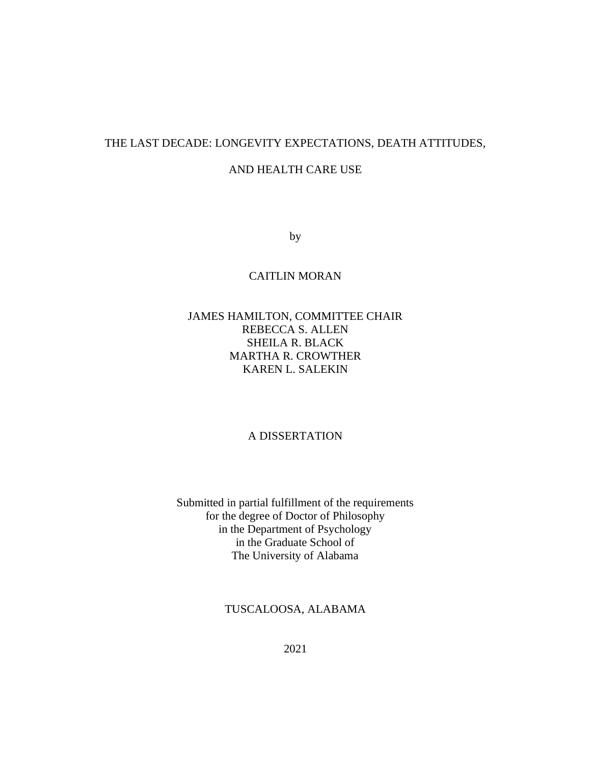## THE LAST DECADE: LONGEVITY EXPECTATIONS, DEATH ATTITUDES,

## AND HEALTH CARE USE

by

## CAITLIN MORAN

## JAMES HAMILTON, COMMITTEE CHAIR REBECCA S. ALLEN SHEILA R. BLACK MARTHA R. CROWTHER KAREN L. SALEKIN

## A DISSERTATION

Submitted in partial fulfillment of the requirements for the degree of Doctor of Philosophy in the Department of Psychology in the Graduate School of The University of Alabama

TUSCALOOSA, ALABAMA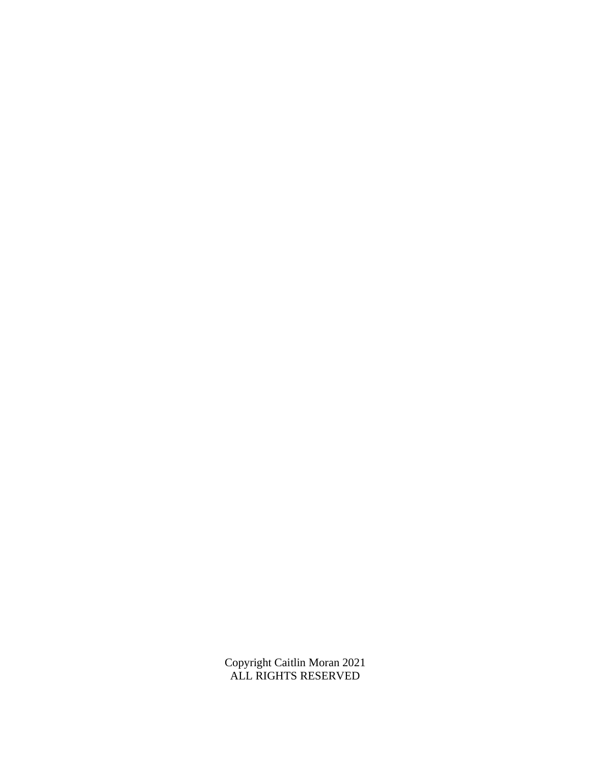Copyright Caitlin Moran 2021 ALL RIGHTS RESERVED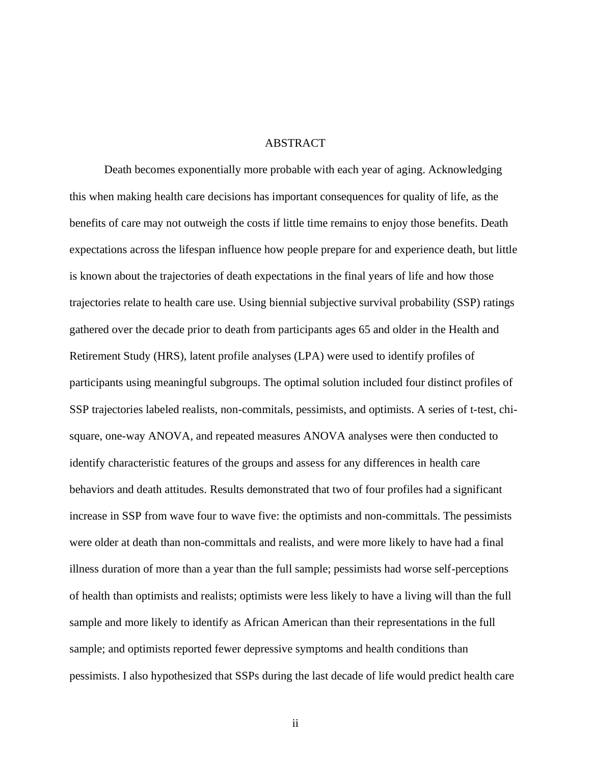#### ABSTRACT

Death becomes exponentially more probable with each year of aging. Acknowledging this when making health care decisions has important consequences for quality of life, as the benefits of care may not outweigh the costs if little time remains to enjoy those benefits. Death expectations across the lifespan influence how people prepare for and experience death, but little is known about the trajectories of death expectations in the final years of life and how those trajectories relate to health care use. Using biennial subjective survival probability (SSP) ratings gathered over the decade prior to death from participants ages 65 and older in the Health and Retirement Study (HRS), latent profile analyses (LPA) were used to identify profiles of participants using meaningful subgroups. The optimal solution included four distinct profiles of SSP trajectories labeled realists, non-commitals, pessimists, and optimists. A series of t-test, chisquare, one-way ANOVA, and repeated measures ANOVA analyses were then conducted to identify characteristic features of the groups and assess for any differences in health care behaviors and death attitudes. Results demonstrated that two of four profiles had a significant increase in SSP from wave four to wave five: the optimists and non-committals. The pessimists were older at death than non-committals and realists, and were more likely to have had a final illness duration of more than a year than the full sample; pessimists had worse self-perceptions of health than optimists and realists; optimists were less likely to have a living will than the full sample and more likely to identify as African American than their representations in the full sample; and optimists reported fewer depressive symptoms and health conditions than pessimists. I also hypothesized that SSPs during the last decade of life would predict health care

ii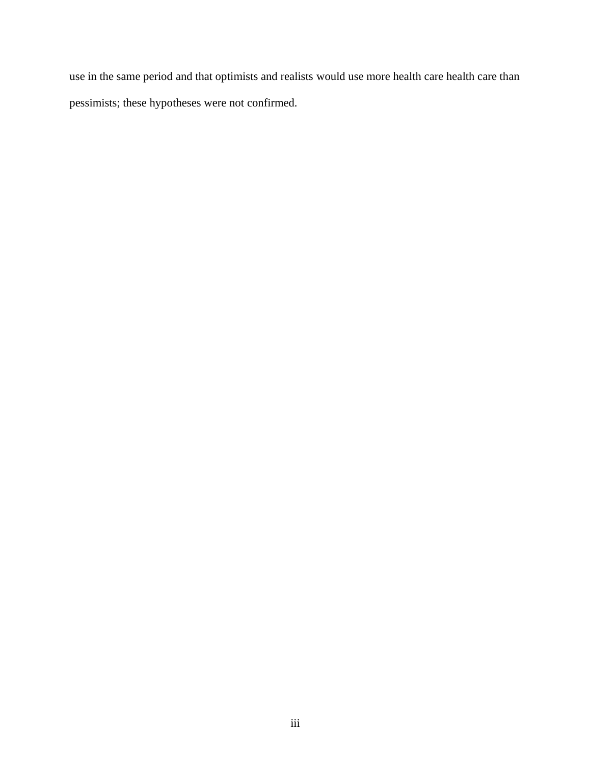use in the same period and that optimists and realists would use more health care health care than pessimists; these hypotheses were not confirmed.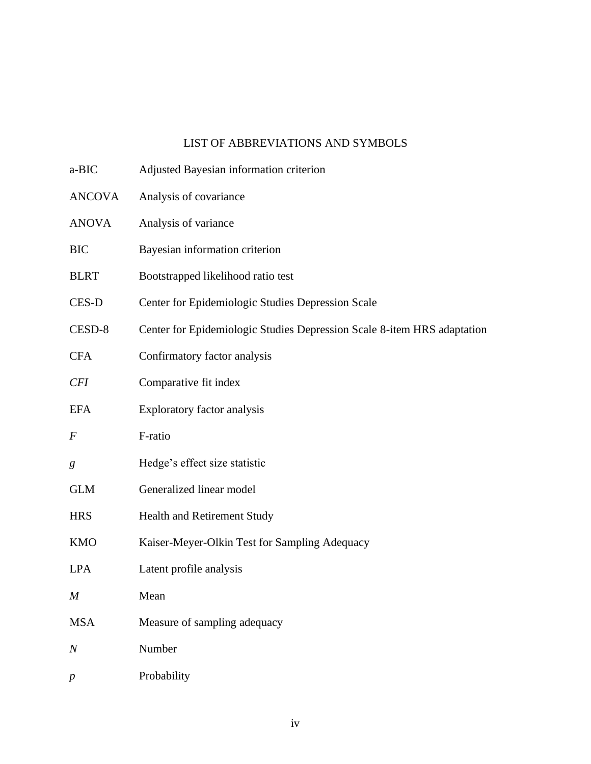# LIST OF ABBREVIATIONS AND SYMBOLS

| a-BIC            | Adjusted Bayesian information criterion                                 |
|------------------|-------------------------------------------------------------------------|
| <b>ANCOVA</b>    | Analysis of covariance                                                  |
| <b>ANOVA</b>     | Analysis of variance                                                    |
| <b>BIC</b>       | Bayesian information criterion                                          |
| <b>BLRT</b>      | Bootstrapped likelihood ratio test                                      |
| CES-D            | Center for Epidemiologic Studies Depression Scale                       |
| CESD-8           | Center for Epidemiologic Studies Depression Scale 8-item HRS adaptation |
| <b>CFA</b>       | Confirmatory factor analysis                                            |
| CFI              | Comparative fit index                                                   |
| <b>EFA</b>       | Exploratory factor analysis                                             |
| $\boldsymbol{F}$ | F-ratio                                                                 |
| g                | Hedge's effect size statistic                                           |
| <b>GLM</b>       | Generalized linear model                                                |
| <b>HRS</b>       | Health and Retirement Study                                             |
| <b>KMO</b>       | Kaiser-Meyer-Olkin Test for Sampling Adequacy                           |
| <b>LPA</b>       | Latent profile analysis                                                 |
| M                | Mean                                                                    |
| <b>MSA</b>       | Measure of sampling adequacy                                            |
| $\boldsymbol{N}$ | Number                                                                  |
| $\boldsymbol{p}$ | Probability                                                             |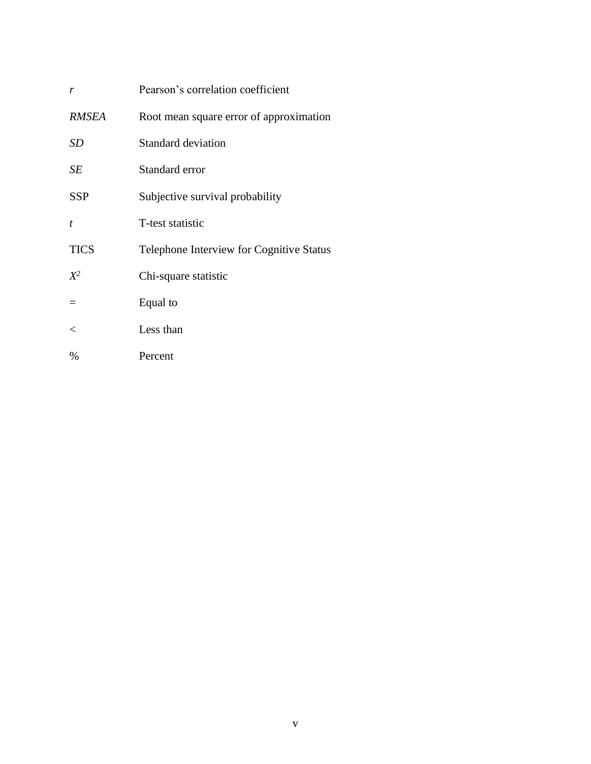| r                | Pearson's correlation coefficient               |
|------------------|-------------------------------------------------|
| <b>RMSEA</b>     | Root mean square error of approximation         |
| SD               | <b>Standard deviation</b>                       |
| SE               | Standard error                                  |
| <b>SSP</b>       | Subjective survival probability                 |
| $\boldsymbol{t}$ | T-test statistic                                |
| <b>TICS</b>      | <b>Telephone Interview for Cognitive Status</b> |
| $X^2$            | Chi-square statistic                            |
|                  | Equal to                                        |
| $\,<\,$          | Less than                                       |
| %                | Percent                                         |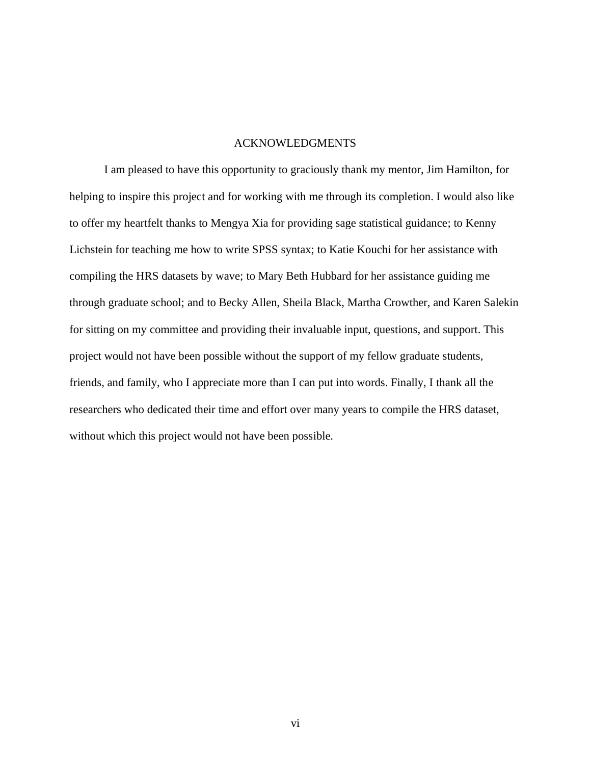## ACKNOWLEDGMENTS

I am pleased to have this opportunity to graciously thank my mentor, Jim Hamilton, for helping to inspire this project and for working with me through its completion. I would also like to offer my heartfelt thanks to Mengya Xia for providing sage statistical guidance; to Kenny Lichstein for teaching me how to write SPSS syntax; to Katie Kouchi for her assistance with compiling the HRS datasets by wave; to Mary Beth Hubbard for her assistance guiding me through graduate school; and to Becky Allen, Sheila Black, Martha Crowther, and Karen Salekin for sitting on my committee and providing their invaluable input, questions, and support. This project would not have been possible without the support of my fellow graduate students, friends, and family, who I appreciate more than I can put into words. Finally, I thank all the researchers who dedicated their time and effort over many years to compile the HRS dataset, without which this project would not have been possible.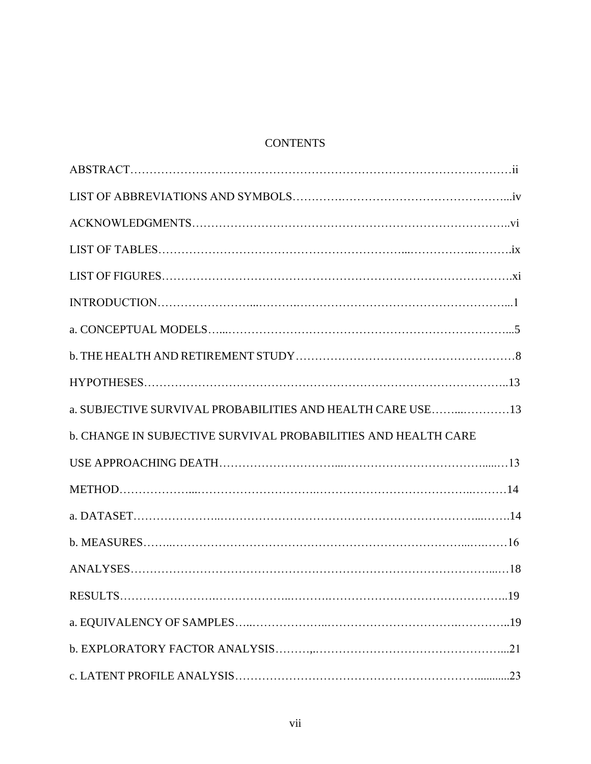# **CONTENTS**

| a. SUBJECTIVE SURVIVAL PROBABILITIES AND HEALTH CARE USE 13    |  |
|----------------------------------------------------------------|--|
| b. CHANGE IN SUBJECTIVE SURVIVAL PROBABILITIES AND HEALTH CARE |  |
|                                                                |  |
|                                                                |  |
|                                                                |  |
|                                                                |  |
|                                                                |  |
|                                                                |  |
|                                                                |  |
|                                                                |  |
|                                                                |  |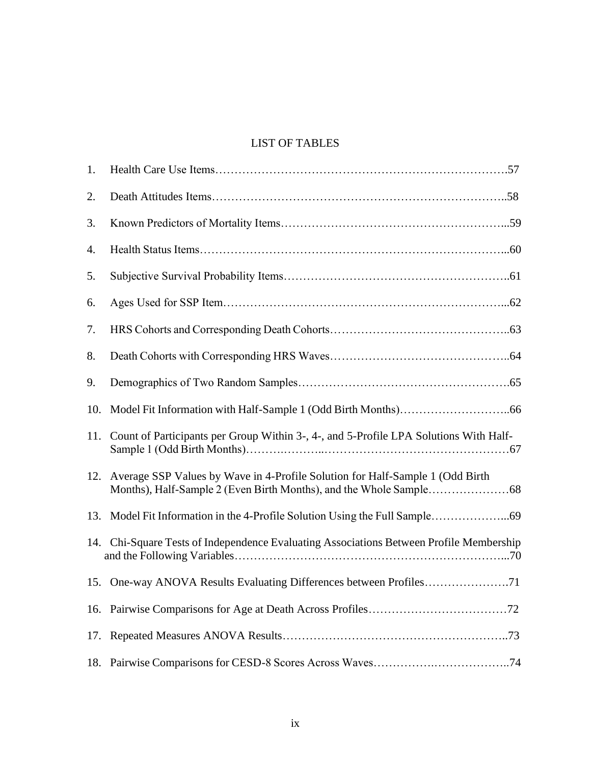# LIST OF TABLES

| 1.  |                                                                                         |
|-----|-----------------------------------------------------------------------------------------|
| 2.  |                                                                                         |
| 3.  |                                                                                         |
| 4.  |                                                                                         |
| 5.  |                                                                                         |
| 6.  |                                                                                         |
| 7.  |                                                                                         |
| 8.  |                                                                                         |
| 9.  |                                                                                         |
| 10. |                                                                                         |
| 11. | Count of Participants per Group Within 3-, 4-, and 5-Profile LPA Solutions With Half-   |
|     | 12. Average SSP Values by Wave in 4-Profile Solution for Half-Sample 1 (Odd Birth       |
| 13. |                                                                                         |
|     | 14. Chi-Square Tests of Independence Evaluating Associations Between Profile Membership |
|     |                                                                                         |
| 16. |                                                                                         |
| 17. |                                                                                         |
| 18. |                                                                                         |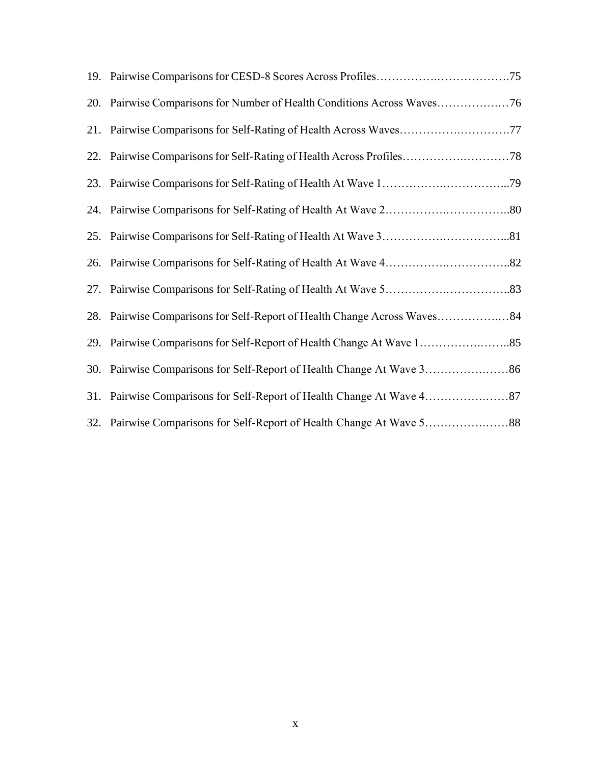| 20. Pairwise Comparisons for Number of Health Conditions Across Waves76 |
|-------------------------------------------------------------------------|
| 21. Pairwise Comparisons for Self-Rating of Health Across Waves77       |
|                                                                         |
|                                                                         |
|                                                                         |
|                                                                         |
|                                                                         |
|                                                                         |
|                                                                         |
|                                                                         |
|                                                                         |
|                                                                         |
|                                                                         |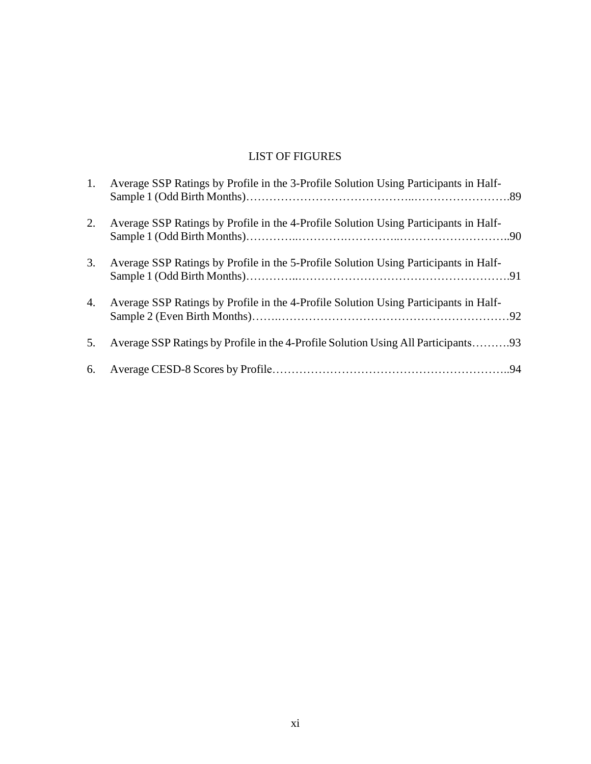# LIST OF FIGURES

| 1. | Average SSP Ratings by Profile in the 3-Profile Solution Using Participants in Half- |  |
|----|--------------------------------------------------------------------------------------|--|
| 2. | Average SSP Ratings by Profile in the 4-Profile Solution Using Participants in Half- |  |
| 3. | Average SSP Ratings by Profile in the 5-Profile Solution Using Participants in Half- |  |
| 4. | Average SSP Ratings by Profile in the 4-Profile Solution Using Participants in Half- |  |
| 5. | Average SSP Ratings by Profile in the 4-Profile Solution Using All Participants93    |  |
|    |                                                                                      |  |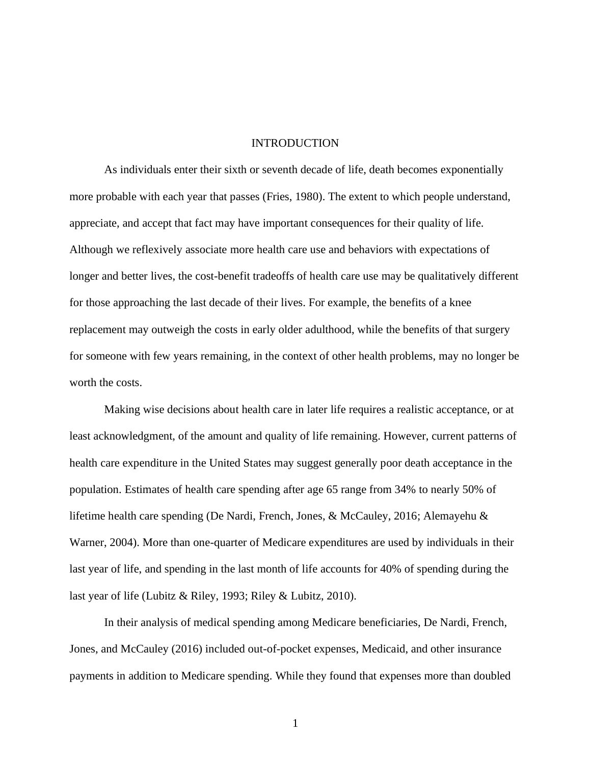#### INTRODUCTION

As individuals enter their sixth or seventh decade of life, death becomes exponentially more probable with each year that passes (Fries, 1980). The extent to which people understand, appreciate, and accept that fact may have important consequences for their quality of life. Although we reflexively associate more health care use and behaviors with expectations of longer and better lives, the cost-benefit tradeoffs of health care use may be qualitatively different for those approaching the last decade of their lives. For example, the benefits of a knee replacement may outweigh the costs in early older adulthood, while the benefits of that surgery for someone with few years remaining, in the context of other health problems, may no longer be worth the costs.

Making wise decisions about health care in later life requires a realistic acceptance, or at least acknowledgment, of the amount and quality of life remaining. However, current patterns of health care expenditure in the United States may suggest generally poor death acceptance in the population. Estimates of health care spending after age 65 range from 34% to nearly 50% of lifetime health care spending (De Nardi, French, Jones, & McCauley, 2016; Alemayehu & Warner, 2004). More than one-quarter of Medicare expenditures are used by individuals in their last year of life, and spending in the last month of life accounts for 40% of spending during the last year of life (Lubitz & Riley, 1993; Riley & Lubitz, 2010).

In their analysis of medical spending among Medicare beneficiaries, De Nardi, French, Jones, and McCauley (2016) included out-of-pocket expenses, Medicaid, and other insurance payments in addition to Medicare spending. While they found that expenses more than doubled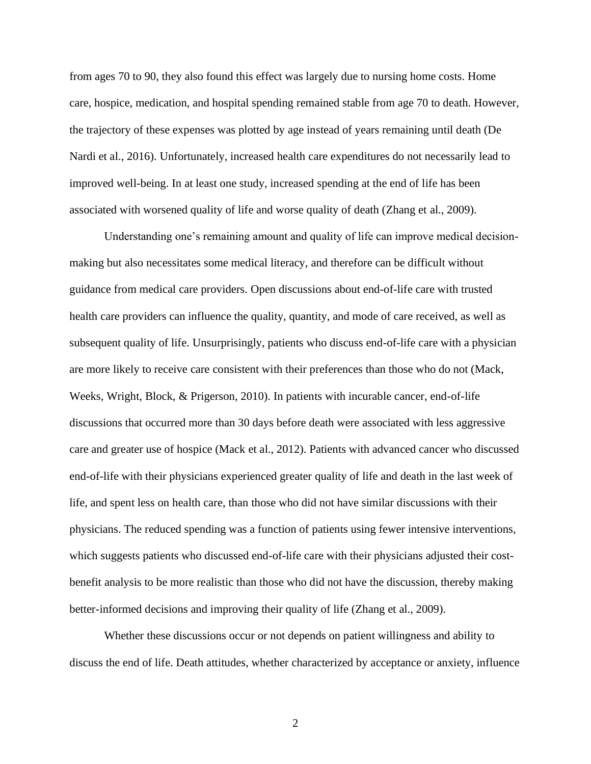from ages 70 to 90, they also found this effect was largely due to nursing home costs. Home care, hospice, medication, and hospital spending remained stable from age 70 to death. However, the trajectory of these expenses was plotted by age instead of years remaining until death (De Nardi et al., 2016). Unfortunately, increased health care expenditures do not necessarily lead to improved well-being. In at least one study, increased spending at the end of life has been associated with worsened quality of life and worse quality of death (Zhang et al., 2009).

Understanding one's remaining amount and quality of life can improve medical decisionmaking but also necessitates some medical literacy, and therefore can be difficult without guidance from medical care providers. Open discussions about end-of-life care with trusted health care providers can influence the quality, quantity, and mode of care received, as well as subsequent quality of life. Unsurprisingly, patients who discuss end-of-life care with a physician are more likely to receive care consistent with their preferences than those who do not (Mack, Weeks, Wright, Block, & Prigerson, 2010). In patients with incurable cancer, end-of-life discussions that occurred more than 30 days before death were associated with less aggressive care and greater use of hospice (Mack et al., 2012). Patients with advanced cancer who discussed end-of-life with their physicians experienced greater quality of life and death in the last week of life, and spent less on health care, than those who did not have similar discussions with their physicians. The reduced spending was a function of patients using fewer intensive interventions, which suggests patients who discussed end-of-life care with their physicians adjusted their costbenefit analysis to be more realistic than those who did not have the discussion, thereby making better-informed decisions and improving their quality of life (Zhang et al., 2009).

Whether these discussions occur or not depends on patient willingness and ability to discuss the end of life. Death attitudes, whether characterized by acceptance or anxiety, influence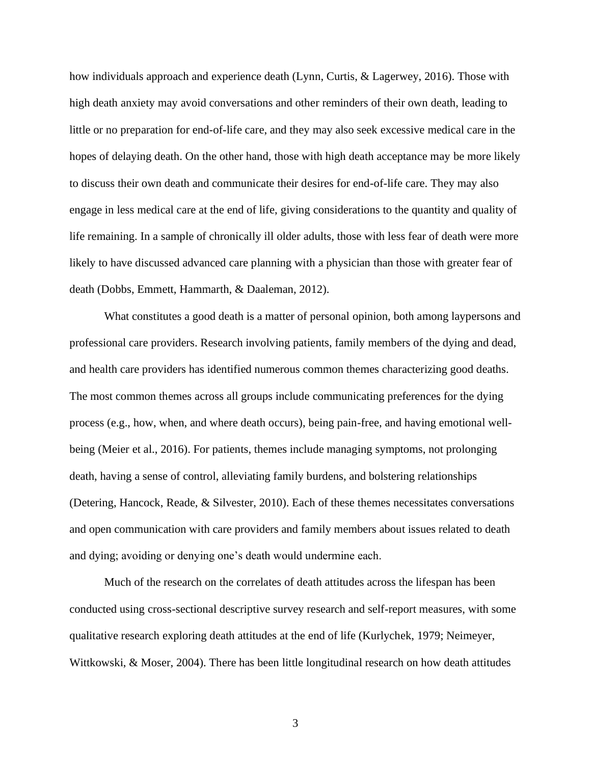how individuals approach and experience death (Lynn, Curtis, & Lagerwey, 2016). Those with high death anxiety may avoid conversations and other reminders of their own death, leading to little or no preparation for end-of-life care, and they may also seek excessive medical care in the hopes of delaying death. On the other hand, those with high death acceptance may be more likely to discuss their own death and communicate their desires for end-of-life care. They may also engage in less medical care at the end of life, giving considerations to the quantity and quality of life remaining. In a sample of chronically ill older adults, those with less fear of death were more likely to have discussed advanced care planning with a physician than those with greater fear of death (Dobbs, Emmett, Hammarth, & Daaleman, 2012).

What constitutes a good death is a matter of personal opinion, both among laypersons and professional care providers. Research involving patients, family members of the dying and dead, and health care providers has identified numerous common themes characterizing good deaths. The most common themes across all groups include communicating preferences for the dying process (e.g., how, when, and where death occurs), being pain-free, and having emotional wellbeing (Meier et al., 2016). For patients, themes include managing symptoms, not prolonging death, having a sense of control, alleviating family burdens, and bolstering relationships (Detering, Hancock, Reade, & Silvester, 2010). Each of these themes necessitates conversations and open communication with care providers and family members about issues related to death and dying; avoiding or denying one's death would undermine each.

Much of the research on the correlates of death attitudes across the lifespan has been conducted using cross-sectional descriptive survey research and self-report measures, with some qualitative research exploring death attitudes at the end of life (Kurlychek, 1979; Neimeyer, Wittkowski, & Moser, 2004). There has been little longitudinal research on how death attitudes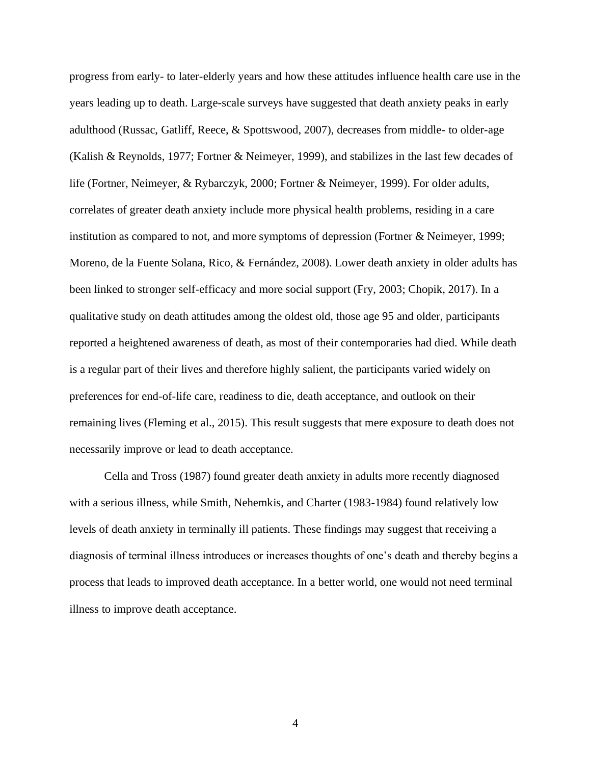progress from early- to later-elderly years and how these attitudes influence health care use in the years leading up to death. Large-scale surveys have suggested that death anxiety peaks in early adulthood (Russac, Gatliff, Reece, & Spottswood, 2007), decreases from middle- to older-age (Kalish & Reynolds, 1977; Fortner & Neimeyer, 1999), and stabilizes in the last few decades of life (Fortner, Neimeyer, & Rybarczyk, 2000; Fortner & Neimeyer, 1999). For older adults, correlates of greater death anxiety include more physical health problems, residing in a care institution as compared to not, and more symptoms of depression (Fortner & Neimeyer, 1999; Moreno, de la Fuente Solana, Rico, & Fernández, 2008). Lower death anxiety in older adults has been linked to stronger self-efficacy and more social support (Fry, 2003; Chopik, 2017). In a qualitative study on death attitudes among the oldest old, those age 95 and older, participants reported a heightened awareness of death, as most of their contemporaries had died. While death is a regular part of their lives and therefore highly salient, the participants varied widely on preferences for end-of-life care, readiness to die, death acceptance, and outlook on their remaining lives (Fleming et al., 2015). This result suggests that mere exposure to death does not necessarily improve or lead to death acceptance.

Cella and Tross (1987) found greater death anxiety in adults more recently diagnosed with a serious illness, while Smith, Nehemkis, and Charter (1983-1984) found relatively low levels of death anxiety in terminally ill patients. These findings may suggest that receiving a diagnosis of terminal illness introduces or increases thoughts of one's death and thereby begins a process that leads to improved death acceptance. In a better world, one would not need terminal illness to improve death acceptance.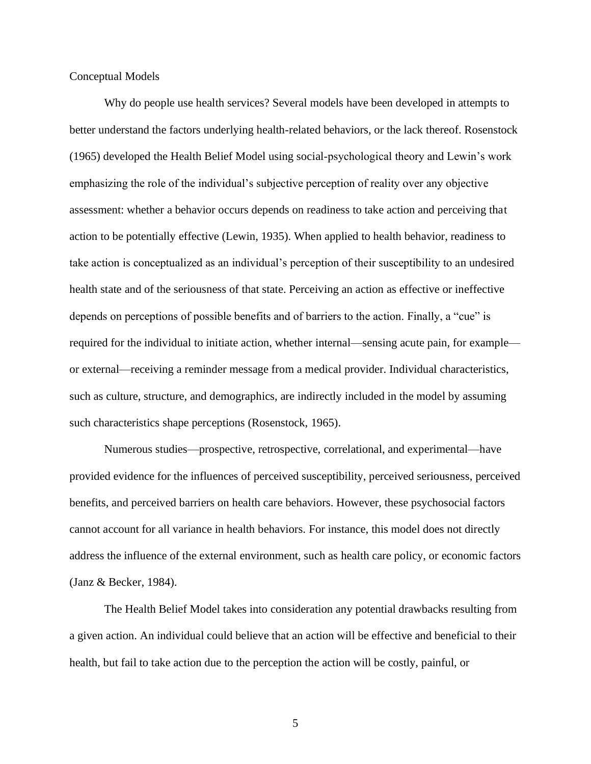Conceptual Models

Why do people use health services? Several models have been developed in attempts to better understand the factors underlying health-related behaviors, or the lack thereof. Rosenstock (1965) developed the Health Belief Model using social-psychological theory and Lewin's work emphasizing the role of the individual's subjective perception of reality over any objective assessment: whether a behavior occurs depends on readiness to take action and perceiving that action to be potentially effective (Lewin, 1935). When applied to health behavior, readiness to take action is conceptualized as an individual's perception of their susceptibility to an undesired health state and of the seriousness of that state. Perceiving an action as effective or ineffective depends on perceptions of possible benefits and of barriers to the action. Finally, a "cue" is required for the individual to initiate action, whether internal—sensing acute pain, for example or external—receiving a reminder message from a medical provider. Individual characteristics, such as culture, structure, and demographics, are indirectly included in the model by assuming such characteristics shape perceptions (Rosenstock, 1965).

Numerous studies—prospective, retrospective, correlational, and experimental—have provided evidence for the influences of perceived susceptibility, perceived seriousness, perceived benefits, and perceived barriers on health care behaviors. However, these psychosocial factors cannot account for all variance in health behaviors. For instance, this model does not directly address the influence of the external environment, such as health care policy, or economic factors (Janz & Becker, 1984).

The Health Belief Model takes into consideration any potential drawbacks resulting from a given action. An individual could believe that an action will be effective and beneficial to their health, but fail to take action due to the perception the action will be costly, painful, or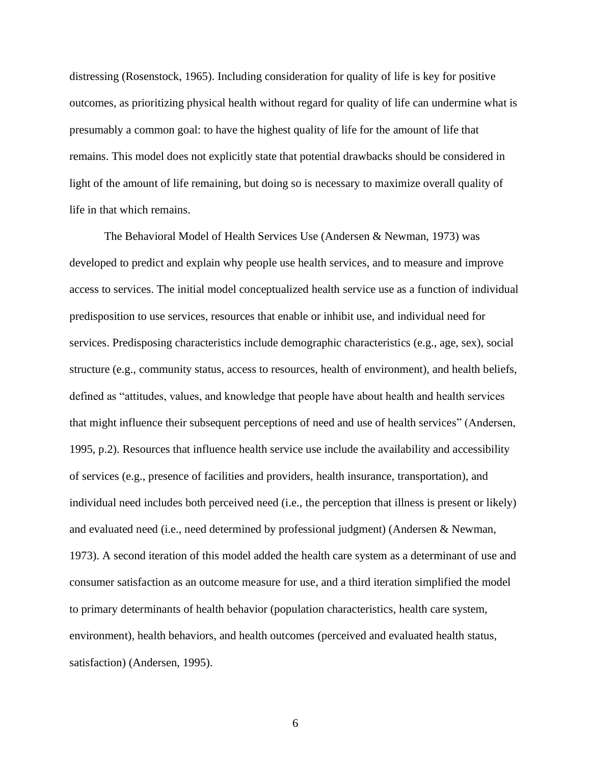distressing (Rosenstock, 1965). Including consideration for quality of life is key for positive outcomes, as prioritizing physical health without regard for quality of life can undermine what is presumably a common goal: to have the highest quality of life for the amount of life that remains. This model does not explicitly state that potential drawbacks should be considered in light of the amount of life remaining, but doing so is necessary to maximize overall quality of life in that which remains.

The Behavioral Model of Health Services Use (Andersen & Newman, 1973) was developed to predict and explain why people use health services, and to measure and improve access to services. The initial model conceptualized health service use as a function of individual predisposition to use services, resources that enable or inhibit use, and individual need for services. Predisposing characteristics include demographic characteristics (e.g., age, sex), social structure (e.g., community status, access to resources, health of environment), and health beliefs, defined as "attitudes, values, and knowledge that people have about health and health services that might influence their subsequent perceptions of need and use of health services" (Andersen, 1995, p.2). Resources that influence health service use include the availability and accessibility of services (e.g., presence of facilities and providers, health insurance, transportation), and individual need includes both perceived need (i.e., the perception that illness is present or likely) and evaluated need (i.e., need determined by professional judgment) (Andersen & Newman, 1973). A second iteration of this model added the health care system as a determinant of use and consumer satisfaction as an outcome measure for use, and a third iteration simplified the model to primary determinants of health behavior (population characteristics, health care system, environment), health behaviors, and health outcomes (perceived and evaluated health status, satisfaction) (Andersen, 1995).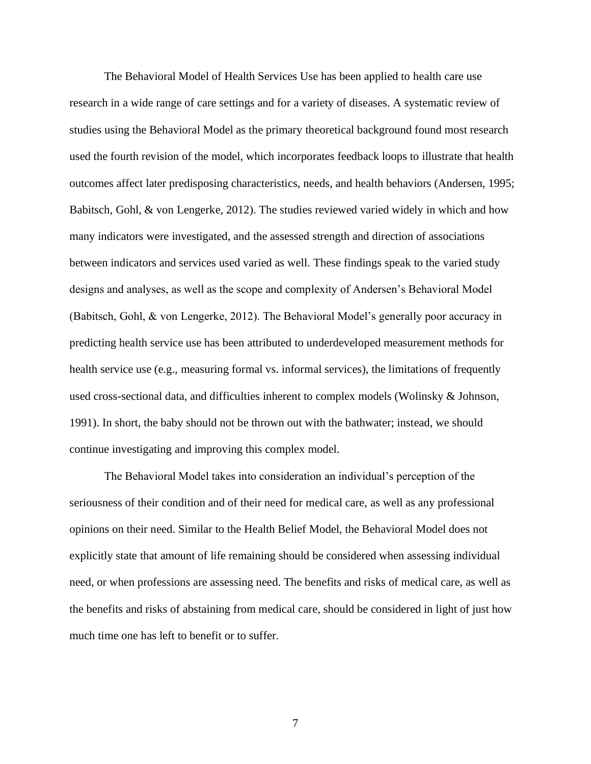The Behavioral Model of Health Services Use has been applied to health care use research in a wide range of care settings and for a variety of diseases. A systematic review of studies using the Behavioral Model as the primary theoretical background found most research used the fourth revision of the model, which incorporates feedback loops to illustrate that health outcomes affect later predisposing characteristics, needs, and health behaviors (Andersen, 1995; Babitsch, Gohl, & von Lengerke, 2012). The studies reviewed varied widely in which and how many indicators were investigated, and the assessed strength and direction of associations between indicators and services used varied as well. These findings speak to the varied study designs and analyses, as well as the scope and complexity of Andersen's Behavioral Model (Babitsch, Gohl, & von Lengerke, 2012). The Behavioral Model's generally poor accuracy in predicting health service use has been attributed to underdeveloped measurement methods for health service use (e.g., measuring formal vs. informal services), the limitations of frequently used cross-sectional data, and difficulties inherent to complex models (Wolinsky & Johnson, 1991). In short, the baby should not be thrown out with the bathwater; instead, we should continue investigating and improving this complex model.

The Behavioral Model takes into consideration an individual's perception of the seriousness of their condition and of their need for medical care, as well as any professional opinions on their need. Similar to the Health Belief Model, the Behavioral Model does not explicitly state that amount of life remaining should be considered when assessing individual need, or when professions are assessing need. The benefits and risks of medical care, as well as the benefits and risks of abstaining from medical care, should be considered in light of just how much time one has left to benefit or to suffer.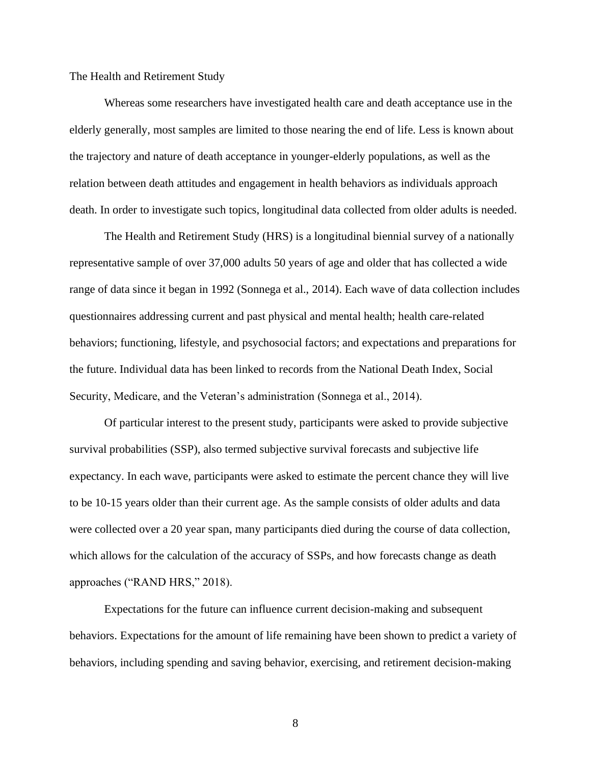The Health and Retirement Study

Whereas some researchers have investigated health care and death acceptance use in the elderly generally, most samples are limited to those nearing the end of life. Less is known about the trajectory and nature of death acceptance in younger-elderly populations, as well as the relation between death attitudes and engagement in health behaviors as individuals approach death. In order to investigate such topics, longitudinal data collected from older adults is needed.

The Health and Retirement Study (HRS) is a longitudinal biennial survey of a nationally representative sample of over 37,000 adults 50 years of age and older that has collected a wide range of data since it began in 1992 (Sonnega et al., 2014). Each wave of data collection includes questionnaires addressing current and past physical and mental health; health care-related behaviors; functioning, lifestyle, and psychosocial factors; and expectations and preparations for the future. Individual data has been linked to records from the National Death Index, Social Security, Medicare, and the Veteran's administration (Sonnega et al., 2014).

Of particular interest to the present study, participants were asked to provide subjective survival probabilities (SSP), also termed subjective survival forecasts and subjective life expectancy. In each wave, participants were asked to estimate the percent chance they will live to be 10-15 years older than their current age. As the sample consists of older adults and data were collected over a 20 year span, many participants died during the course of data collection, which allows for the calculation of the accuracy of SSPs, and how forecasts change as death approaches ("RAND HRS," 2018).

Expectations for the future can influence current decision-making and subsequent behaviors. Expectations for the amount of life remaining have been shown to predict a variety of behaviors, including spending and saving behavior, exercising, and retirement decision-making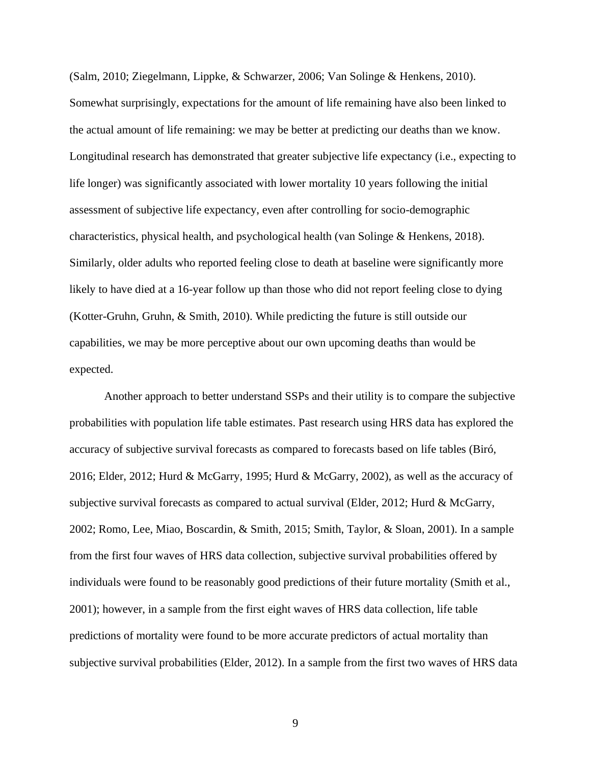(Salm, 2010; Ziegelmann, Lippke, & Schwarzer, 2006; Van Solinge & Henkens, 2010). Somewhat surprisingly, expectations for the amount of life remaining have also been linked to the actual amount of life remaining: we may be better at predicting our deaths than we know. Longitudinal research has demonstrated that greater subjective life expectancy (i.e., expecting to life longer) was significantly associated with lower mortality 10 years following the initial assessment of subjective life expectancy, even after controlling for socio-demographic characteristics, physical health, and psychological health (van Solinge & Henkens, 2018). Similarly, older adults who reported feeling close to death at baseline were significantly more likely to have died at a 16-year follow up than those who did not report feeling close to dying (Kotter-Gruhn, Gruhn, & Smith, 2010). While predicting the future is still outside our capabilities, we may be more perceptive about our own upcoming deaths than would be expected.

Another approach to better understand SSPs and their utility is to compare the subjective probabilities with population life table estimates. Past research using HRS data has explored the accuracy of subjective survival forecasts as compared to forecasts based on life tables (Biró, 2016; Elder, 2012; Hurd & McGarry, 1995; Hurd & McGarry, 2002), as well as the accuracy of subjective survival forecasts as compared to actual survival (Elder, 2012; Hurd & McGarry, 2002; Romo, Lee, Miao, Boscardin, & Smith, 2015; Smith, Taylor, & Sloan, 2001). In a sample from the first four waves of HRS data collection, subjective survival probabilities offered by individuals were found to be reasonably good predictions of their future mortality (Smith et al., 2001); however, in a sample from the first eight waves of HRS data collection, life table predictions of mortality were found to be more accurate predictors of actual mortality than subjective survival probabilities (Elder, 2012). In a sample from the first two waves of HRS data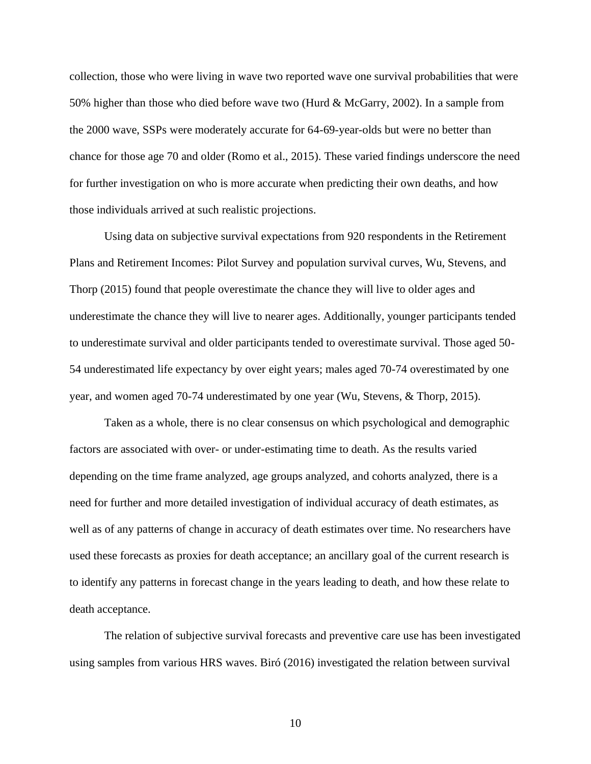collection, those who were living in wave two reported wave one survival probabilities that were 50% higher than those who died before wave two (Hurd & McGarry, 2002). In a sample from the 2000 wave, SSPs were moderately accurate for 64-69-year-olds but were no better than chance for those age 70 and older (Romo et al., 2015). These varied findings underscore the need for further investigation on who is more accurate when predicting their own deaths, and how those individuals arrived at such realistic projections.

Using data on subjective survival expectations from 920 respondents in the Retirement Plans and Retirement Incomes: Pilot Survey and population survival curves, Wu, Stevens, and Thorp (2015) found that people overestimate the chance they will live to older ages and underestimate the chance they will live to nearer ages. Additionally, younger participants tended to underestimate survival and older participants tended to overestimate survival. Those aged 50- 54 underestimated life expectancy by over eight years; males aged 70-74 overestimated by one year, and women aged 70-74 underestimated by one year (Wu, Stevens, & Thorp, 2015).

Taken as a whole, there is no clear consensus on which psychological and demographic factors are associated with over- or under-estimating time to death. As the results varied depending on the time frame analyzed, age groups analyzed, and cohorts analyzed, there is a need for further and more detailed investigation of individual accuracy of death estimates, as well as of any patterns of change in accuracy of death estimates over time. No researchers have used these forecasts as proxies for death acceptance; an ancillary goal of the current research is to identify any patterns in forecast change in the years leading to death, and how these relate to death acceptance.

The relation of subjective survival forecasts and preventive care use has been investigated using samples from various HRS waves. Biró (2016) investigated the relation between survival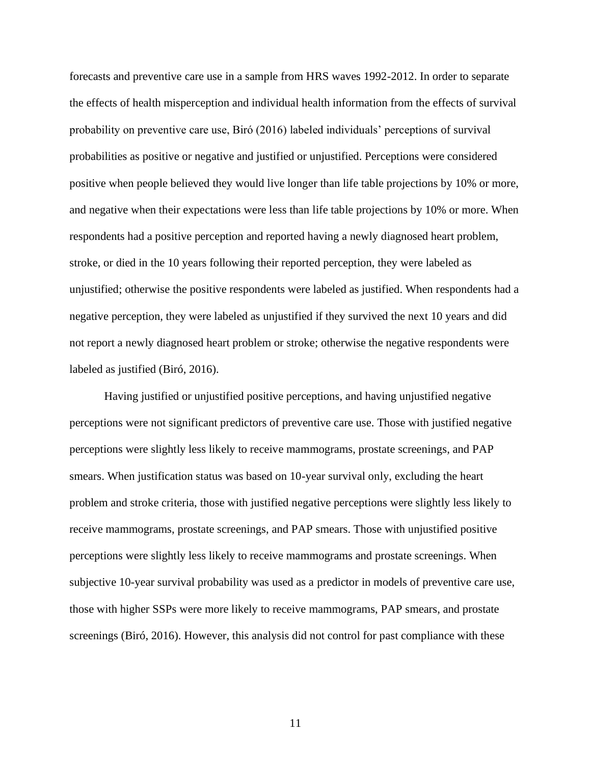forecasts and preventive care use in a sample from HRS waves 1992-2012. In order to separate the effects of health misperception and individual health information from the effects of survival probability on preventive care use, Biró (2016) labeled individuals' perceptions of survival probabilities as positive or negative and justified or unjustified. Perceptions were considered positive when people believed they would live longer than life table projections by 10% or more, and negative when their expectations were less than life table projections by 10% or more. When respondents had a positive perception and reported having a newly diagnosed heart problem, stroke, or died in the 10 years following their reported perception, they were labeled as unjustified; otherwise the positive respondents were labeled as justified. When respondents had a negative perception, they were labeled as unjustified if they survived the next 10 years and did not report a newly diagnosed heart problem or stroke; otherwise the negative respondents were labeled as justified (Biró, 2016).

Having justified or unjustified positive perceptions, and having unjustified negative perceptions were not significant predictors of preventive care use. Those with justified negative perceptions were slightly less likely to receive mammograms, prostate screenings, and PAP smears. When justification status was based on 10-year survival only, excluding the heart problem and stroke criteria, those with justified negative perceptions were slightly less likely to receive mammograms, prostate screenings, and PAP smears. Those with unjustified positive perceptions were slightly less likely to receive mammograms and prostate screenings. When subjective 10-year survival probability was used as a predictor in models of preventive care use, those with higher SSPs were more likely to receive mammograms, PAP smears, and prostate screenings (Biró, 2016). However, this analysis did not control for past compliance with these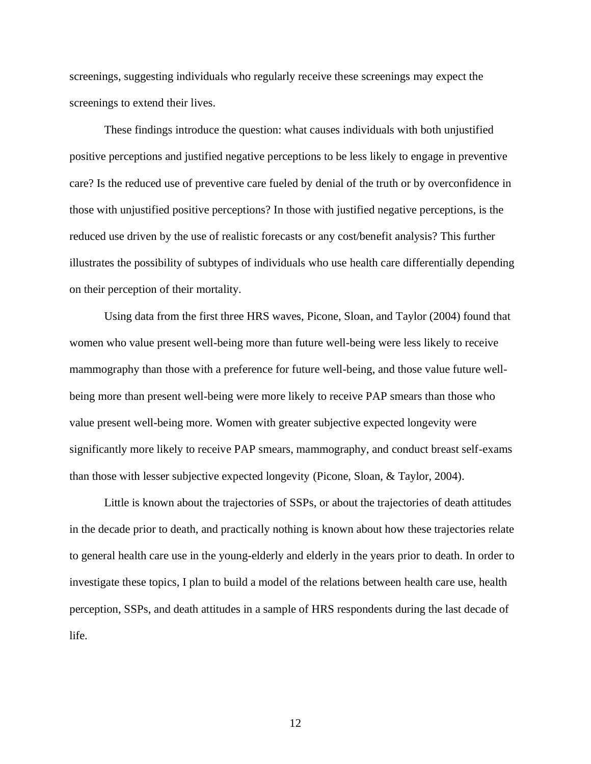screenings, suggesting individuals who regularly receive these screenings may expect the screenings to extend their lives.

These findings introduce the question: what causes individuals with both unjustified positive perceptions and justified negative perceptions to be less likely to engage in preventive care? Is the reduced use of preventive care fueled by denial of the truth or by overconfidence in those with unjustified positive perceptions? In those with justified negative perceptions, is the reduced use driven by the use of realistic forecasts or any cost/benefit analysis? This further illustrates the possibility of subtypes of individuals who use health care differentially depending on their perception of their mortality.

Using data from the first three HRS waves, Picone, Sloan, and Taylor (2004) found that women who value present well-being more than future well-being were less likely to receive mammography than those with a preference for future well-being, and those value future wellbeing more than present well-being were more likely to receive PAP smears than those who value present well-being more. Women with greater subjective expected longevity were significantly more likely to receive PAP smears, mammography, and conduct breast self-exams than those with lesser subjective expected longevity (Picone, Sloan, & Taylor, 2004).

Little is known about the trajectories of SSPs, or about the trajectories of death attitudes in the decade prior to death, and practically nothing is known about how these trajectories relate to general health care use in the young-elderly and elderly in the years prior to death. In order to investigate these topics, I plan to build a model of the relations between health care use, health perception, SSPs, and death attitudes in a sample of HRS respondents during the last decade of life.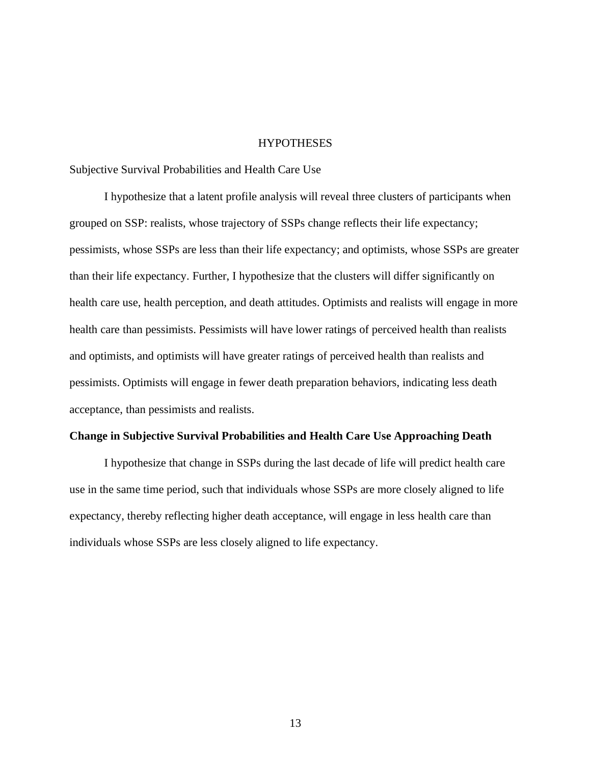#### **HYPOTHESES**

Subjective Survival Probabilities and Health Care Use

I hypothesize that a latent profile analysis will reveal three clusters of participants when grouped on SSP: realists, whose trajectory of SSPs change reflects their life expectancy; pessimists, whose SSPs are less than their life expectancy; and optimists, whose SSPs are greater than their life expectancy. Further, I hypothesize that the clusters will differ significantly on health care use, health perception, and death attitudes. Optimists and realists will engage in more health care than pessimists. Pessimists will have lower ratings of perceived health than realists and optimists, and optimists will have greater ratings of perceived health than realists and pessimists. Optimists will engage in fewer death preparation behaviors, indicating less death acceptance, than pessimists and realists.

#### **Change in Subjective Survival Probabilities and Health Care Use Approaching Death**

I hypothesize that change in SSPs during the last decade of life will predict health care use in the same time period, such that individuals whose SSPs are more closely aligned to life expectancy, thereby reflecting higher death acceptance, will engage in less health care than individuals whose SSPs are less closely aligned to life expectancy.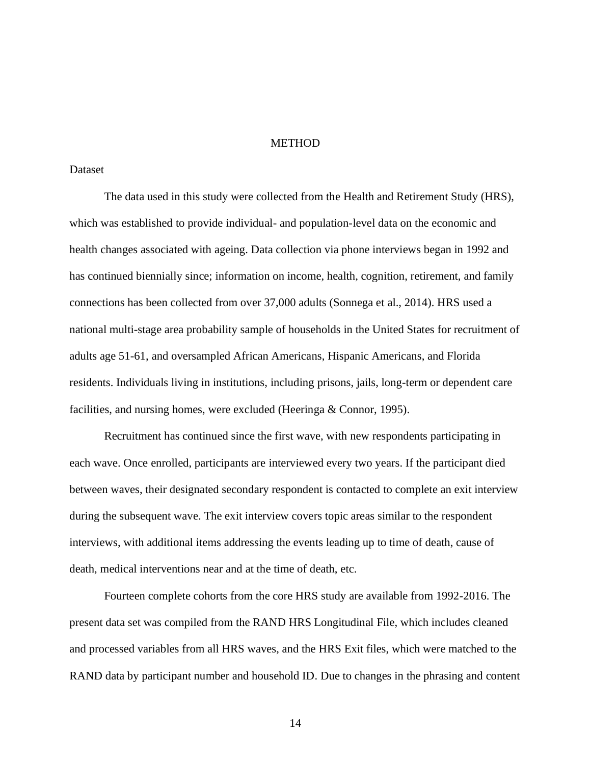## **METHOD**

## Dataset

The data used in this study were collected from the Health and Retirement Study (HRS), which was established to provide individual- and population-level data on the economic and health changes associated with ageing. Data collection via phone interviews began in 1992 and has continued biennially since; information on income, health, cognition, retirement, and family connections has been collected from over 37,000 adults (Sonnega et al., 2014). HRS used a national multi-stage area probability sample of households in the United States for recruitment of adults age 51-61, and oversampled African Americans, Hispanic Americans, and Florida residents. Individuals living in institutions, including prisons, jails, long-term or dependent care facilities, and nursing homes, were excluded (Heeringa & Connor, 1995).

Recruitment has continued since the first wave, with new respondents participating in each wave. Once enrolled, participants are interviewed every two years. If the participant died between waves, their designated secondary respondent is contacted to complete an exit interview during the subsequent wave. The exit interview covers topic areas similar to the respondent interviews, with additional items addressing the events leading up to time of death, cause of death, medical interventions near and at the time of death, etc.

Fourteen complete cohorts from the core HRS study are available from 1992-2016. The present data set was compiled from the RAND HRS Longitudinal File, which includes cleaned and processed variables from all HRS waves, and the HRS Exit files, which were matched to the RAND data by participant number and household ID. Due to changes in the phrasing and content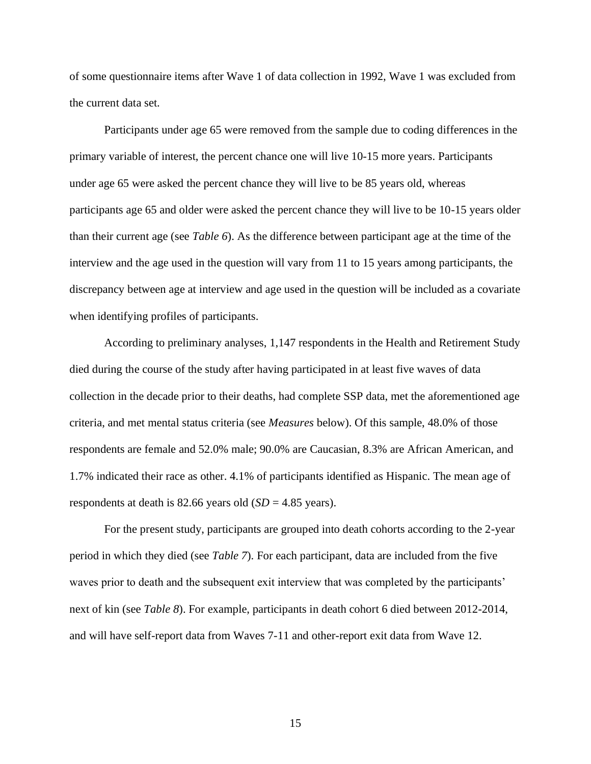of some questionnaire items after Wave 1 of data collection in 1992, Wave 1 was excluded from the current data set.

Participants under age 65 were removed from the sample due to coding differences in the primary variable of interest, the percent chance one will live 10-15 more years. Participants under age 65 were asked the percent chance they will live to be 85 years old, whereas participants age 65 and older were asked the percent chance they will live to be 10-15 years older than their current age (see *Table 6*). As the difference between participant age at the time of the interview and the age used in the question will vary from 11 to 15 years among participants, the discrepancy between age at interview and age used in the question will be included as a covariate when identifying profiles of participants.

According to preliminary analyses, 1,147 respondents in the Health and Retirement Study died during the course of the study after having participated in at least five waves of data collection in the decade prior to their deaths, had complete SSP data, met the aforementioned age criteria, and met mental status criteria (see *Measures* below). Of this sample, 48.0% of those respondents are female and 52.0% male; 90.0% are Caucasian, 8.3% are African American, and 1.7% indicated their race as other. 4.1% of participants identified as Hispanic. The mean age of respondents at death is 82.66 years old  $(SD = 4.85$  years).

For the present study, participants are grouped into death cohorts according to the 2-year period in which they died (see *Table 7*). For each participant, data are included from the five waves prior to death and the subsequent exit interview that was completed by the participants' next of kin (see *Table 8*). For example, participants in death cohort 6 died between 2012-2014, and will have self-report data from Waves 7-11 and other-report exit data from Wave 12.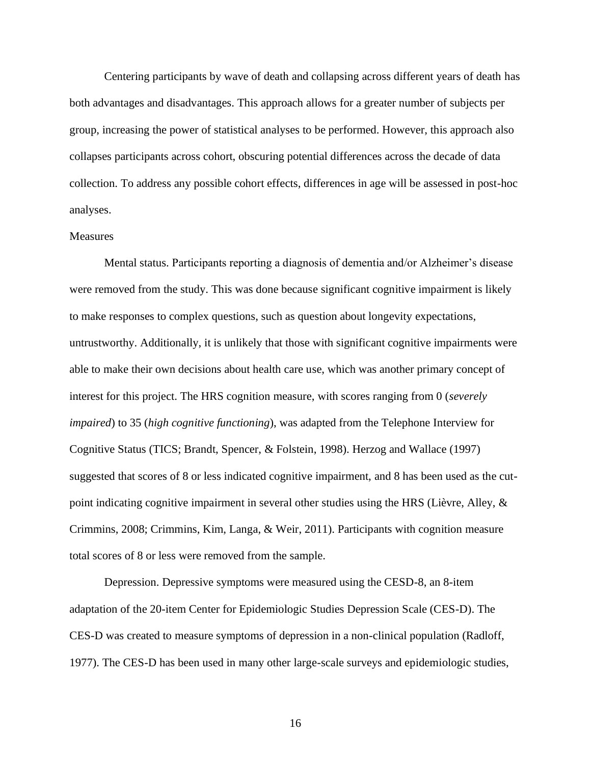Centering participants by wave of death and collapsing across different years of death has both advantages and disadvantages. This approach allows for a greater number of subjects per group, increasing the power of statistical analyses to be performed. However, this approach also collapses participants across cohort, obscuring potential differences across the decade of data collection. To address any possible cohort effects, differences in age will be assessed in post-hoc analyses.

#### Measures

Mental status. Participants reporting a diagnosis of dementia and/or Alzheimer's disease were removed from the study. This was done because significant cognitive impairment is likely to make responses to complex questions, such as question about longevity expectations, untrustworthy. Additionally, it is unlikely that those with significant cognitive impairments were able to make their own decisions about health care use, which was another primary concept of interest for this project. The HRS cognition measure, with scores ranging from 0 (*severely impaired*) to 35 (*high cognitive functioning*), was adapted from the Telephone Interview for Cognitive Status (TICS; Brandt, Spencer, & Folstein, 1998). Herzog and Wallace (1997) suggested that scores of 8 or less indicated cognitive impairment, and 8 has been used as the cutpoint indicating cognitive impairment in several other studies using the HRS (Lièvre, Alley, & Crimmins, 2008; Crimmins, Kim, Langa, & Weir, 2011). Participants with cognition measure total scores of 8 or less were removed from the sample.

Depression. Depressive symptoms were measured using the CESD-8, an 8-item adaptation of the 20-item Center for Epidemiologic Studies Depression Scale (CES-D). The CES-D was created to measure symptoms of depression in a non-clinical population (Radloff, 1977). The CES-D has been used in many other large-scale surveys and epidemiologic studies,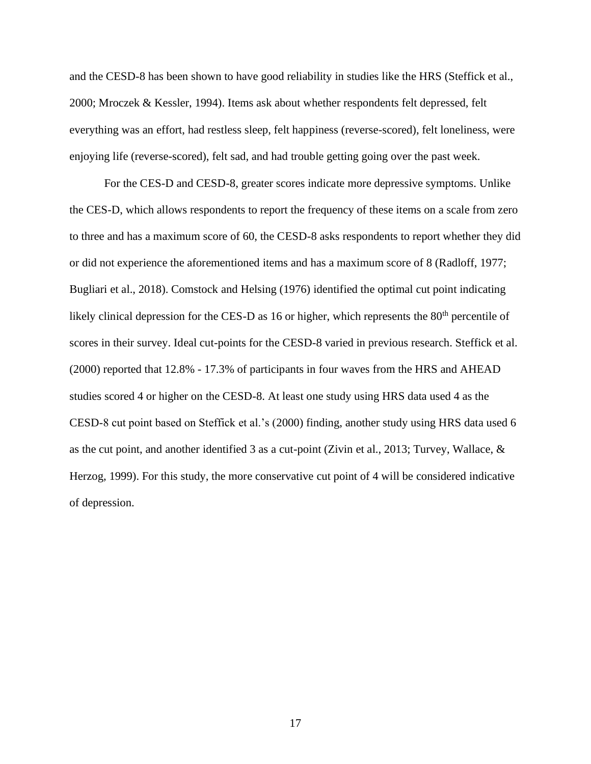and the CESD-8 has been shown to have good reliability in studies like the HRS (Steffick et al., 2000; Mroczek & Kessler, 1994). Items ask about whether respondents felt depressed, felt everything was an effort, had restless sleep, felt happiness (reverse-scored), felt loneliness, were enjoying life (reverse-scored), felt sad, and had trouble getting going over the past week.

For the CES-D and CESD-8, greater scores indicate more depressive symptoms. Unlike the CES-D, which allows respondents to report the frequency of these items on a scale from zero to three and has a maximum score of 60, the CESD-8 asks respondents to report whether they did or did not experience the aforementioned items and has a maximum score of 8 (Radloff, 1977; Bugliari et al., 2018). Comstock and Helsing (1976) identified the optimal cut point indicating likely clinical depression for the CES-D as 16 or higher, which represents the  $80<sup>th</sup>$  percentile of scores in their survey. Ideal cut-points for the CESD-8 varied in previous research. Steffick et al. (2000) reported that 12.8% - 17.3% of participants in four waves from the HRS and AHEAD studies scored 4 or higher on the CESD-8. At least one study using HRS data used 4 as the CESD-8 cut point based on Steffick et al.'s (2000) finding, another study using HRS data used 6 as the cut point, and another identified 3 as a cut-point (Zivin et al., 2013; Turvey, Wallace, & Herzog, 1999). For this study, the more conservative cut point of 4 will be considered indicative of depression.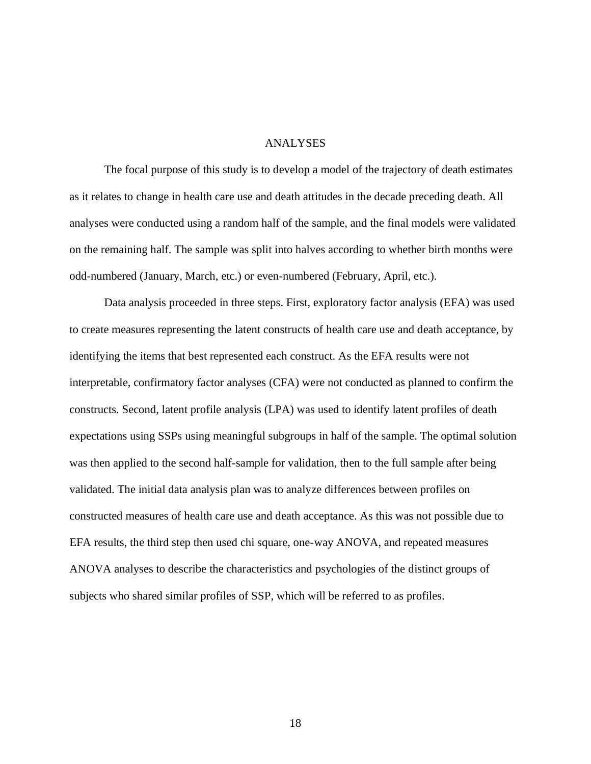#### ANALYSES

The focal purpose of this study is to develop a model of the trajectory of death estimates as it relates to change in health care use and death attitudes in the decade preceding death. All analyses were conducted using a random half of the sample, and the final models were validated on the remaining half. The sample was split into halves according to whether birth months were odd-numbered (January, March, etc.) or even-numbered (February, April, etc.).

Data analysis proceeded in three steps. First, exploratory factor analysis (EFA) was used to create measures representing the latent constructs of health care use and death acceptance, by identifying the items that best represented each construct. As the EFA results were not interpretable, confirmatory factor analyses (CFA) were not conducted as planned to confirm the constructs. Second, latent profile analysis (LPA) was used to identify latent profiles of death expectations using SSPs using meaningful subgroups in half of the sample. The optimal solution was then applied to the second half-sample for validation, then to the full sample after being validated. The initial data analysis plan was to analyze differences between profiles on constructed measures of health care use and death acceptance. As this was not possible due to EFA results, the third step then used chi square, one-way ANOVA, and repeated measures ANOVA analyses to describe the characteristics and psychologies of the distinct groups of subjects who shared similar profiles of SSP, which will be referred to as profiles.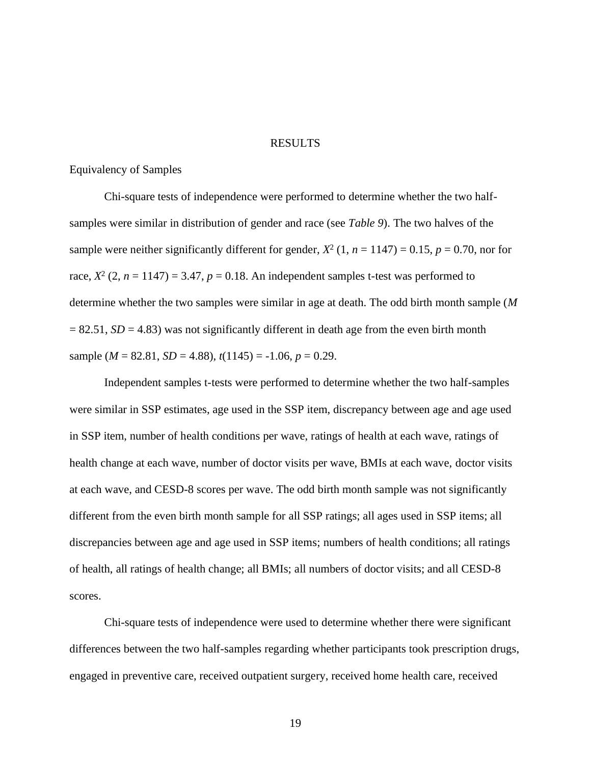#### RESULTS

## Equivalency of Samples

Chi-square tests of independence were performed to determine whether the two halfsamples were similar in distribution of gender and race (see *Table 9*). The two halves of the sample were neither significantly different for gender,  $X^2$  (1,  $n = 1147$ ) = 0.15,  $p = 0.70$ , nor for race,  $X^2$  (2,  $n = 1147$ ) = 3.47,  $p = 0.18$ . An independent samples t-test was performed to determine whether the two samples were similar in age at death. The odd birth month sample (*M*  $= 82.51$ ,  $SD = 4.83$ ) was not significantly different in death age from the even birth month sample ( $M = 82.81$ ,  $SD = 4.88$ ),  $t(1145) = -1.06$ ,  $p = 0.29$ .

Independent samples t-tests were performed to determine whether the two half-samples were similar in SSP estimates, age used in the SSP item, discrepancy between age and age used in SSP item, number of health conditions per wave, ratings of health at each wave, ratings of health change at each wave, number of doctor visits per wave, BMIs at each wave, doctor visits at each wave, and CESD-8 scores per wave. The odd birth month sample was not significantly different from the even birth month sample for all SSP ratings; all ages used in SSP items; all discrepancies between age and age used in SSP items; numbers of health conditions; all ratings of health, all ratings of health change; all BMIs; all numbers of doctor visits; and all CESD-8 scores.

Chi-square tests of independence were used to determine whether there were significant differences between the two half-samples regarding whether participants took prescription drugs, engaged in preventive care, received outpatient surgery, received home health care, received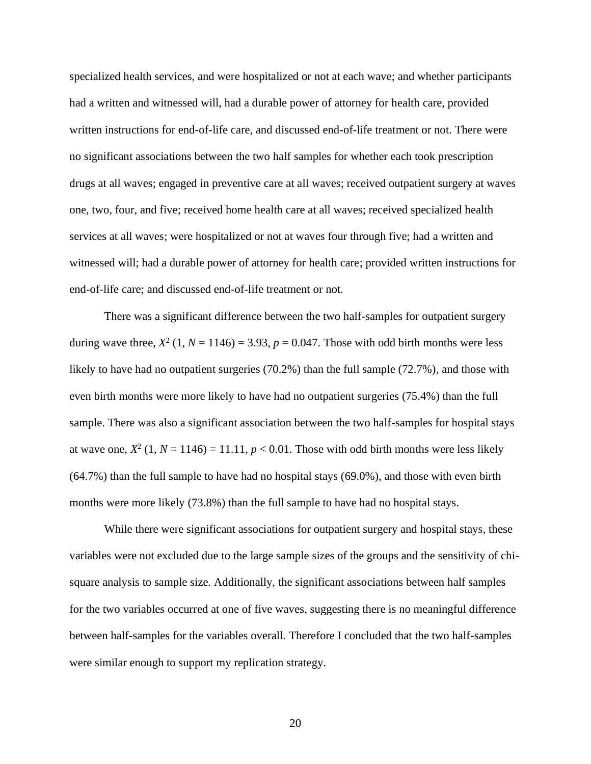specialized health services, and were hospitalized or not at each wave; and whether participants had a written and witnessed will, had a durable power of attorney for health care, provided written instructions for end-of-life care, and discussed end-of-life treatment or not. There were no significant associations between the two half samples for whether each took prescription drugs at all waves; engaged in preventive care at all waves; received outpatient surgery at waves one, two, four, and five; received home health care at all waves; received specialized health services at all waves; were hospitalized or not at waves four through five; had a written and witnessed will; had a durable power of attorney for health care; provided written instructions for end-of-life care; and discussed end-of-life treatment or not.

There was a significant difference between the two half-samples for outpatient surgery during wave three,  $X^2$  (1,  $N = 1146$ ) = 3.93,  $p = 0.047$ . Those with odd birth months were less likely to have had no outpatient surgeries (70.2%) than the full sample (72.7%), and those with even birth months were more likely to have had no outpatient surgeries (75.4%) than the full sample. There was also a significant association between the two half-samples for hospital stays at wave one,  $X^2$  (1,  $N = 1146$ ) = 11.11,  $p < 0.01$ . Those with odd birth months were less likely (64.7%) than the full sample to have had no hospital stays (69.0%), and those with even birth months were more likely (73.8%) than the full sample to have had no hospital stays.

While there were significant associations for outpatient surgery and hospital stays, these variables were not excluded due to the large sample sizes of the groups and the sensitivity of chisquare analysis to sample size. Additionally, the significant associations between half samples for the two variables occurred at one of five waves, suggesting there is no meaningful difference between half-samples for the variables overall. Therefore I concluded that the two half-samples were similar enough to support my replication strategy.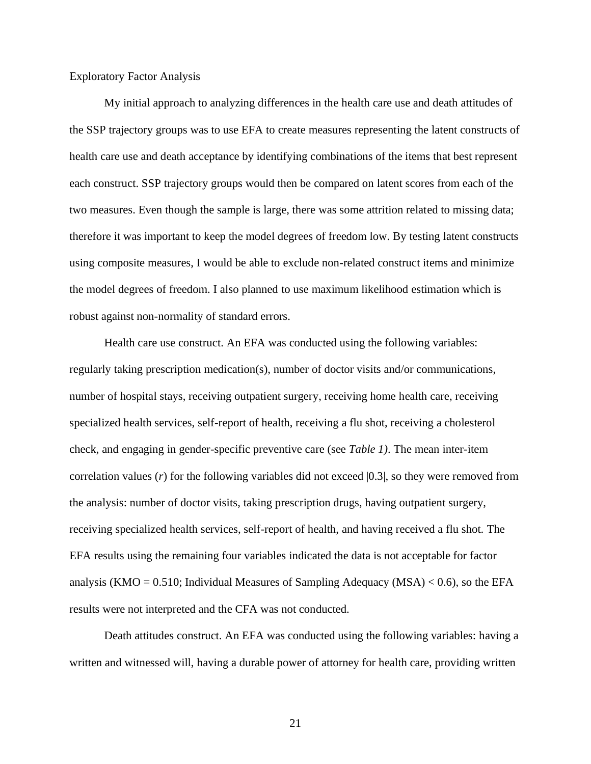### Exploratory Factor Analysis

My initial approach to analyzing differences in the health care use and death attitudes of the SSP trajectory groups was to use EFA to create measures representing the latent constructs of health care use and death acceptance by identifying combinations of the items that best represent each construct. SSP trajectory groups would then be compared on latent scores from each of the two measures. Even though the sample is large, there was some attrition related to missing data; therefore it was important to keep the model degrees of freedom low. By testing latent constructs using composite measures, I would be able to exclude non-related construct items and minimize the model degrees of freedom. I also planned to use maximum likelihood estimation which is robust against non-normality of standard errors.

Health care use construct. An EFA was conducted using the following variables: regularly taking prescription medication(s), number of doctor visits and/or communications, number of hospital stays, receiving outpatient surgery, receiving home health care, receiving specialized health services, self-report of health, receiving a flu shot, receiving a cholesterol check, and engaging in gender-specific preventive care (see *Table 1)*. The mean inter-item correlation values  $(r)$  for the following variables did not exceed  $|0.3|$ , so they were removed from the analysis: number of doctor visits, taking prescription drugs, having outpatient surgery, receiving specialized health services, self-report of health, and having received a flu shot. The EFA results using the remaining four variables indicated the data is not acceptable for factor analysis (KMO =  $0.510$ ; Individual Measures of Sampling Adequacy (MSA)  $< 0.6$ ), so the EFA results were not interpreted and the CFA was not conducted.

Death attitudes construct. An EFA was conducted using the following variables: having a written and witnessed will, having a durable power of attorney for health care, providing written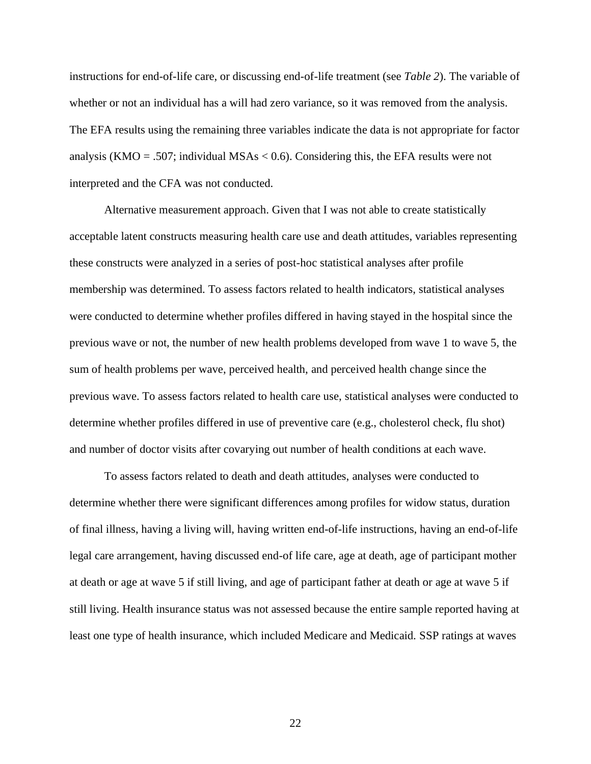instructions for end-of-life care, or discussing end-of-life treatment (see *Table 2*). The variable of whether or not an individual has a will had zero variance, so it was removed from the analysis. The EFA results using the remaining three variables indicate the data is not appropriate for factor analysis (KMO = .507; individual MSAs  $< 0.6$ ). Considering this, the EFA results were not interpreted and the CFA was not conducted.

Alternative measurement approach. Given that I was not able to create statistically acceptable latent constructs measuring health care use and death attitudes, variables representing these constructs were analyzed in a series of post-hoc statistical analyses after profile membership was determined. To assess factors related to health indicators, statistical analyses were conducted to determine whether profiles differed in having stayed in the hospital since the previous wave or not, the number of new health problems developed from wave 1 to wave 5, the sum of health problems per wave, perceived health, and perceived health change since the previous wave. To assess factors related to health care use, statistical analyses were conducted to determine whether profiles differed in use of preventive care (e.g., cholesterol check, flu shot) and number of doctor visits after covarying out number of health conditions at each wave.

To assess factors related to death and death attitudes, analyses were conducted to determine whether there were significant differences among profiles for widow status, duration of final illness, having a living will, having written end-of-life instructions, having an end-of-life legal care arrangement, having discussed end-of life care, age at death, age of participant mother at death or age at wave 5 if still living, and age of participant father at death or age at wave 5 if still living. Health insurance status was not assessed because the entire sample reported having at least one type of health insurance, which included Medicare and Medicaid. SSP ratings at waves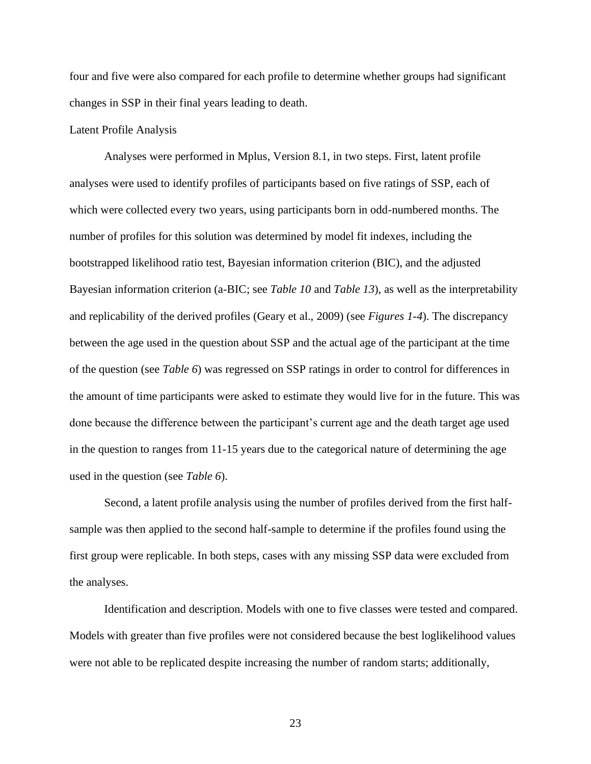four and five were also compared for each profile to determine whether groups had significant changes in SSP in their final years leading to death.

### Latent Profile Analysis

Analyses were performed in Mplus, Version 8.1, in two steps. First, latent profile analyses were used to identify profiles of participants based on five ratings of SSP, each of which were collected every two years, using participants born in odd-numbered months. The number of profiles for this solution was determined by model fit indexes, including the bootstrapped likelihood ratio test, Bayesian information criterion (BIC), and the adjusted Bayesian information criterion (a-BIC; see *Table 10* and *Table 13*), as well as the interpretability and replicability of the derived profiles (Geary et al., 2009) (see *Figures 1-4*). The discrepancy between the age used in the question about SSP and the actual age of the participant at the time of the question (see *Table 6*) was regressed on SSP ratings in order to control for differences in the amount of time participants were asked to estimate they would live for in the future. This was done because the difference between the participant's current age and the death target age used in the question to ranges from 11-15 years due to the categorical nature of determining the age used in the question (see *Table 6*).

Second, a latent profile analysis using the number of profiles derived from the first halfsample was then applied to the second half-sample to determine if the profiles found using the first group were replicable. In both steps, cases with any missing SSP data were excluded from the analyses.

Identification and description. Models with one to five classes were tested and compared. Models with greater than five profiles were not considered because the best loglikelihood values were not able to be replicated despite increasing the number of random starts; additionally,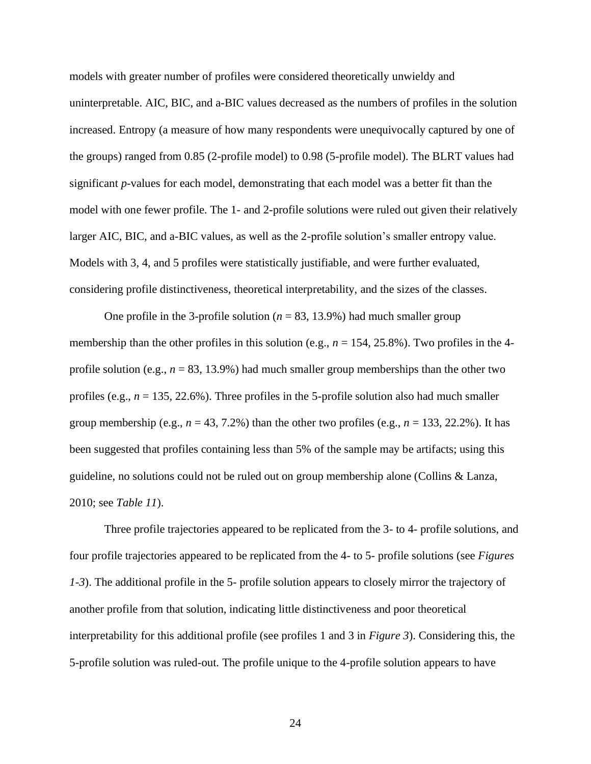models with greater number of profiles were considered theoretically unwieldy and uninterpretable. AIC, BIC, and a-BIC values decreased as the numbers of profiles in the solution increased. Entropy (a measure of how many respondents were unequivocally captured by one of the groups) ranged from 0.85 (2-profile model) to 0.98 (5-profile model). The BLRT values had significant *p*-values for each model, demonstrating that each model was a better fit than the model with one fewer profile. The 1- and 2-profile solutions were ruled out given their relatively larger AIC, BIC, and a-BIC values, as well as the 2-profile solution's smaller entropy value. Models with 3, 4, and 5 profiles were statistically justifiable, and were further evaluated, considering profile distinctiveness, theoretical interpretability, and the sizes of the classes.

One profile in the 3-profile solution ( $n = 83, 13.9\%$ ) had much smaller group membership than the other profiles in this solution (e.g.,  $n = 154$ , 25.8%). Two profiles in the 4profile solution (e.g.,  $n = 83$ , 13.9%) had much smaller group memberships than the other two profiles (e.g.,  $n = 135, 22.6\%$ ). Three profiles in the 5-profile solution also had much smaller group membership (e.g.,  $n = 43, 7.2\%$ ) than the other two profiles (e.g.,  $n = 133, 22.2\%$ ). It has been suggested that profiles containing less than 5% of the sample may be artifacts; using this guideline, no solutions could not be ruled out on group membership alone (Collins & Lanza, 2010; see *Table 11*).

Three profile trajectories appeared to be replicated from the 3- to 4- profile solutions, and four profile trajectories appeared to be replicated from the 4- to 5- profile solutions (see *Figures 1-3*). The additional profile in the 5- profile solution appears to closely mirror the trajectory of another profile from that solution, indicating little distinctiveness and poor theoretical interpretability for this additional profile (see profiles 1 and 3 in *Figure 3*). Considering this, the 5-profile solution was ruled-out. The profile unique to the 4-profile solution appears to have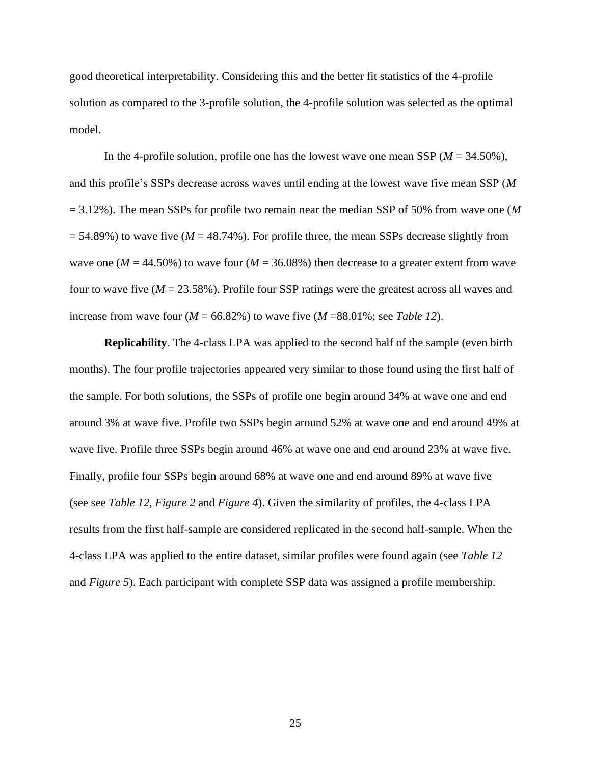good theoretical interpretability. Considering this and the better fit statistics of the 4-profile solution as compared to the 3-profile solution, the 4-profile solution was selected as the optimal model.

In the 4-profile solution, profile one has the lowest wave one mean SSP (*M* = 34.50%), and this profile's SSPs decrease across waves until ending at the lowest wave five mean SSP (*M* = 3.12%). The mean SSPs for profile two remain near the median SSP of 50% from wave one (*M*  $= 54.89\%$ ) to wave five ( $M = 48.74\%$ ). For profile three, the mean SSPs decrease slightly from wave one ( $M = 44.50\%$ ) to wave four ( $M = 36.08\%$ ) then decrease to a greater extent from wave four to wave five  $(M = 23.58\%)$ . Profile four SSP ratings were the greatest across all waves and increase from wave four  $(M = 66.82\%)$  to wave five  $(M = 88.01\%$ ; see *Table 12*).

**Replicability**. The 4-class LPA was applied to the second half of the sample (even birth months). The four profile trajectories appeared very similar to those found using the first half of the sample. For both solutions, the SSPs of profile one begin around 34% at wave one and end around 3% at wave five. Profile two SSPs begin around 52% at wave one and end around 49% at wave five. Profile three SSPs begin around 46% at wave one and end around 23% at wave five. Finally, profile four SSPs begin around 68% at wave one and end around 89% at wave five (see see *Table 12*, *Figure 2* and *Figure 4*). Given the similarity of profiles, the 4-class LPA results from the first half-sample are considered replicated in the second half-sample. When the 4-class LPA was applied to the entire dataset, similar profiles were found again (see *Table 12*  and *Figure 5*). Each participant with complete SSP data was assigned a profile membership.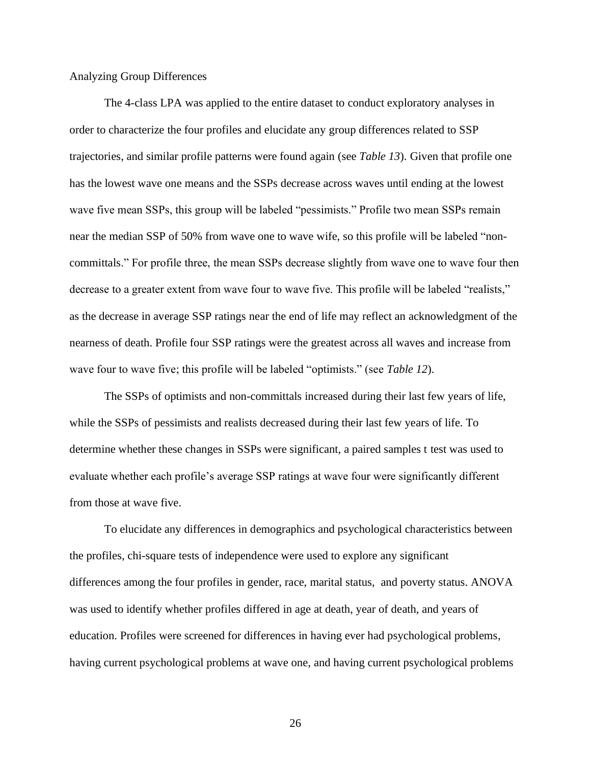#### Analyzing Group Differences

The 4-class LPA was applied to the entire dataset to conduct exploratory analyses in order to characterize the four profiles and elucidate any group differences related to SSP trajectories, and similar profile patterns were found again (see *Table 13*). Given that profile one has the lowest wave one means and the SSPs decrease across waves until ending at the lowest wave five mean SSPs, this group will be labeled "pessimists." Profile two mean SSPs remain near the median SSP of 50% from wave one to wave wife, so this profile will be labeled "noncommittals." For profile three, the mean SSPs decrease slightly from wave one to wave four then decrease to a greater extent from wave four to wave five. This profile will be labeled "realists," as the decrease in average SSP ratings near the end of life may reflect an acknowledgment of the nearness of death. Profile four SSP ratings were the greatest across all waves and increase from wave four to wave five; this profile will be labeled "optimists." (see *Table 12*).

The SSPs of optimists and non-committals increased during their last few years of life, while the SSPs of pessimists and realists decreased during their last few years of life. To determine whether these changes in SSPs were significant, a paired samples t test was used to evaluate whether each profile's average SSP ratings at wave four were significantly different from those at wave five.

To elucidate any differences in demographics and psychological characteristics between the profiles, chi-square tests of independence were used to explore any significant differences among the four profiles in gender, race, marital status, and poverty status. ANOVA was used to identify whether profiles differed in age at death, year of death, and years of education. Profiles were screened for differences in having ever had psychological problems, having current psychological problems at wave one, and having current psychological problems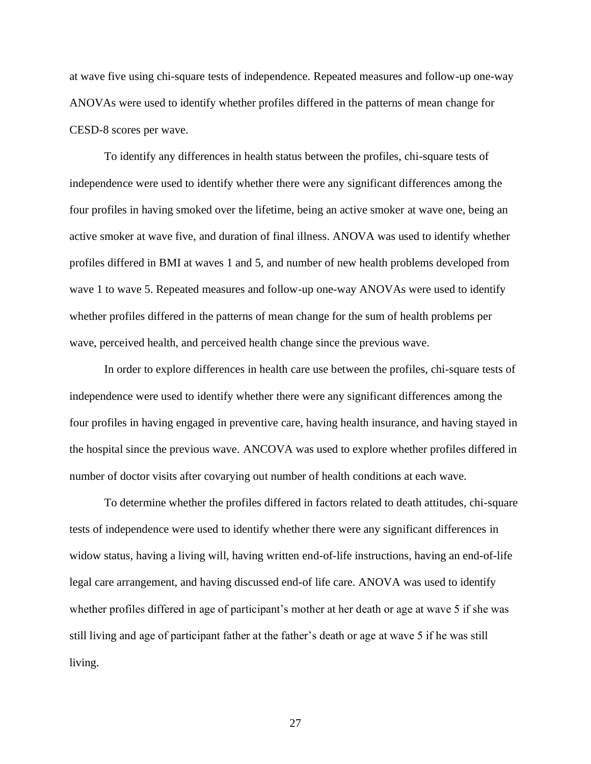at wave five using chi-square tests of independence. Repeated measures and follow-up one-way ANOVAs were used to identify whether profiles differed in the patterns of mean change for CESD-8 scores per wave.

To identify any differences in health status between the profiles, chi-square tests of independence were used to identify whether there were any significant differences among the four profiles in having smoked over the lifetime, being an active smoker at wave one, being an active smoker at wave five, and duration of final illness. ANOVA was used to identify whether profiles differed in BMI at waves 1 and 5, and number of new health problems developed from wave 1 to wave 5. Repeated measures and follow-up one-way ANOVAs were used to identify whether profiles differed in the patterns of mean change for the sum of health problems per wave, perceived health, and perceived health change since the previous wave.

In order to explore differences in health care use between the profiles, chi-square tests of independence were used to identify whether there were any significant differences among the four profiles in having engaged in preventive care, having health insurance, and having stayed in the hospital since the previous wave. ANCOVA was used to explore whether profiles differed in number of doctor visits after covarying out number of health conditions at each wave.

To determine whether the profiles differed in factors related to death attitudes, chi-square tests of independence were used to identify whether there were any significant differences in widow status, having a living will, having written end-of-life instructions, having an end-of-life legal care arrangement, and having discussed end-of life care. ANOVA was used to identify whether profiles differed in age of participant's mother at her death or age at wave 5 if she was still living and age of participant father at the father's death or age at wave 5 if he was still living.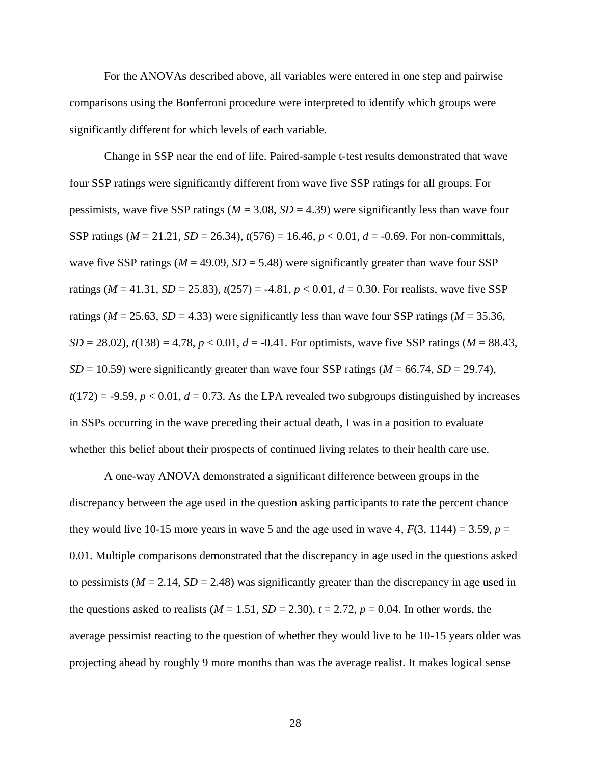For the ANOVAs described above, all variables were entered in one step and pairwise comparisons using the Bonferroni procedure were interpreted to identify which groups were significantly different for which levels of each variable.

Change in SSP near the end of life. Paired-sample t-test results demonstrated that wave four SSP ratings were significantly different from wave five SSP ratings for all groups. For pessimists, wave five SSP ratings ( $M = 3.08$ ,  $SD = 4.39$ ) were significantly less than wave four SSP ratings  $(M = 21.21, SD = 26.34)$ ,  $t(576) = 16.46, p < 0.01, d = -0.69$ . For non-committals, wave five SSP ratings ( $M = 49.09$ ,  $SD = 5.48$ ) were significantly greater than wave four SSP ratings ( $M = 41.31$ ,  $SD = 25.83$ ),  $t(257) = -4.81$ ,  $p < 0.01$ ,  $d = 0.30$ . For realists, wave five SSP ratings ( $M = 25.63$ ,  $SD = 4.33$ ) were significantly less than wave four SSP ratings ( $M = 35.36$ , *SD* = 28.02),  $t(138) = 4.78$ ,  $p < 0.01$ ,  $d = -0.41$ . For optimists, wave five SSP ratings (*M* = 88.43,  $SD = 10.59$ ) were significantly greater than wave four SSP ratings ( $M = 66.74$ ,  $SD = 29.74$ ),  $t(172) = -9.59$ ,  $p < 0.01$ ,  $d = 0.73$ . As the LPA revealed two subgroups distinguished by increases in SSPs occurring in the wave preceding their actual death, I was in a position to evaluate whether this belief about their prospects of continued living relates to their health care use.

A one-way ANOVA demonstrated a significant difference between groups in the discrepancy between the age used in the question asking participants to rate the percent chance they would live 10-15 more years in wave 5 and the age used in wave 4,  $F(3, 1144) = 3.59$ ,  $p =$ 0.01. Multiple comparisons demonstrated that the discrepancy in age used in the questions asked to pessimists ( $M = 2.14$ ,  $SD = 2.48$ ) was significantly greater than the discrepancy in age used in the questions asked to realists ( $M = 1.51$ ,  $SD = 2.30$ ),  $t = 2.72$ ,  $p = 0.04$ . In other words, the average pessimist reacting to the question of whether they would live to be 10-15 years older was projecting ahead by roughly 9 more months than was the average realist. It makes logical sense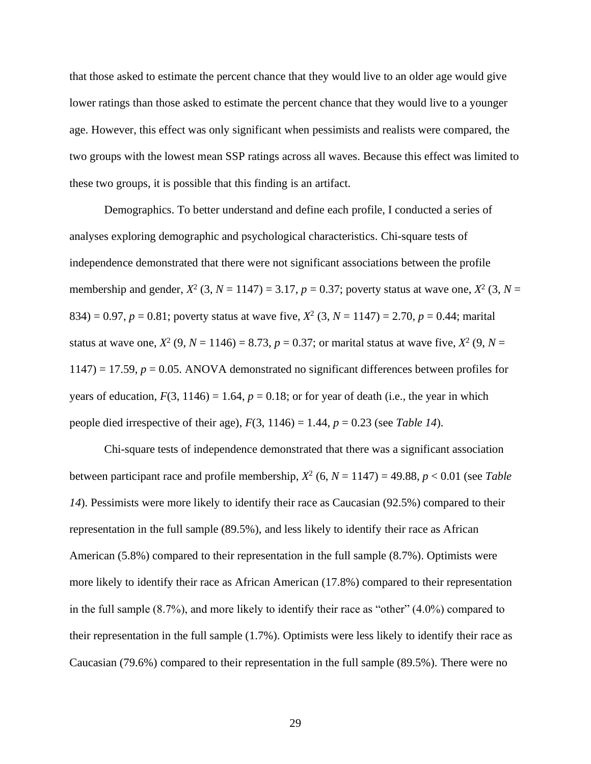that those asked to estimate the percent chance that they would live to an older age would give lower ratings than those asked to estimate the percent chance that they would live to a younger age. However, this effect was only significant when pessimists and realists were compared, the two groups with the lowest mean SSP ratings across all waves. Because this effect was limited to these two groups, it is possible that this finding is an artifact.

Demographics. To better understand and define each profile, I conducted a series of analyses exploring demographic and psychological characteristics. Chi-square tests of independence demonstrated that there were not significant associations between the profile membership and gender,  $X^2$  (3,  $N = 1147$ ) = 3.17,  $p = 0.37$ ; poverty status at wave one,  $X^2$  (3,  $N =$ 834) = 0.97,  $p = 0.81$ ; poverty status at wave five,  $X^2$  (3,  $N = 1147$ ) = 2.70,  $p = 0.44$ ; marital status at wave one,  $X^2$  (9,  $N = 1146$ ) = 8.73,  $p = 0.37$ ; or marital status at wave five,  $X^2$  (9,  $N =$  $1147$ ) = 17.59,  $p = 0.05$ . ANOVA demonstrated no significant differences between profiles for years of education,  $F(3, 1146) = 1.64$ ,  $p = 0.18$ ; or for year of death (i.e., the year in which people died irrespective of their age),  $F(3, 1146) = 1.44$ ,  $p = 0.23$  (see *Table 14*).

Chi-square tests of independence demonstrated that there was a significant association between participant race and profile membership,  $X^2$  (6,  $N = 1147$ ) = 49.88,  $p < 0.01$  (see *Table 14*). Pessimists were more likely to identify their race as Caucasian (92.5%) compared to their representation in the full sample (89.5%), and less likely to identify their race as African American (5.8%) compared to their representation in the full sample (8.7%). Optimists were more likely to identify their race as African American (17.8%) compared to their representation in the full sample (8.7%), and more likely to identify their race as "other" (4.0%) compared to their representation in the full sample (1.7%). Optimists were less likely to identify their race as Caucasian (79.6%) compared to their representation in the full sample (89.5%). There were no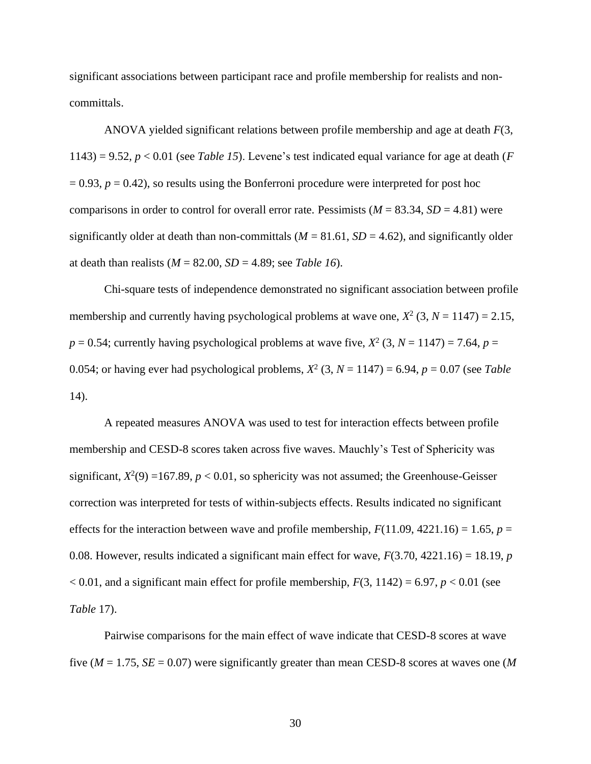significant associations between participant race and profile membership for realists and noncommittals.

ANOVA yielded significant relations between profile membership and age at death *F*(3, 1143) = 9.52,  $p < 0.01$  (see *Table 15*). Levene's test indicated equal variance for age at death (*F*  $= 0.93$ ,  $p = 0.42$ ), so results using the Bonferroni procedure were interpreted for post hoc comparisons in order to control for overall error rate. Pessimists  $(M = 83.34, SD = 4.81)$  were significantly older at death than non-committals  $(M = 81.61, SD = 4.62)$ , and significantly older at death than realists  $(M = 82.00, SD = 4.89$ ; see *Table 16*).

Chi-square tests of independence demonstrated no significant association between profile membership and currently having psychological problems at wave one,  $X^2$  (3,  $N = 1147$ ) = 2.15,  $p = 0.54$ ; currently having psychological problems at wave five,  $X^2$  (3,  $N = 1147$ ) = 7.64,  $p =$ 0.054; or having ever had psychological problems,  $X^2$  (3,  $N = 1147$ ) = 6.94,  $p = 0.07$  (see *Table* 14).

A repeated measures ANOVA was used to test for interaction effects between profile membership and CESD-8 scores taken across five waves. Mauchly's Test of Sphericity was significant,  $X^2(9) = 167.89$ ,  $p < 0.01$ , so sphericity was not assumed; the Greenhouse-Geisser correction was interpreted for tests of within-subjects effects. Results indicated no significant effects for the interaction between wave and profile membership,  $F(11.09, 4221.16) = 1.65$ ,  $p =$ 0.08. However, results indicated a significant main effect for wave, *F*(3.70, 4221.16) = 18.19, *p*  $< 0.01$ , and a significant main effect for profile membership,  $F(3, 1142) = 6.97$ ,  $p < 0.01$  (see *Table* 17).

Pairwise comparisons for the main effect of wave indicate that CESD-8 scores at wave five (*M* = 1.75, *SE* = 0.07) were significantly greater than mean CESD-8 scores at waves one (*M*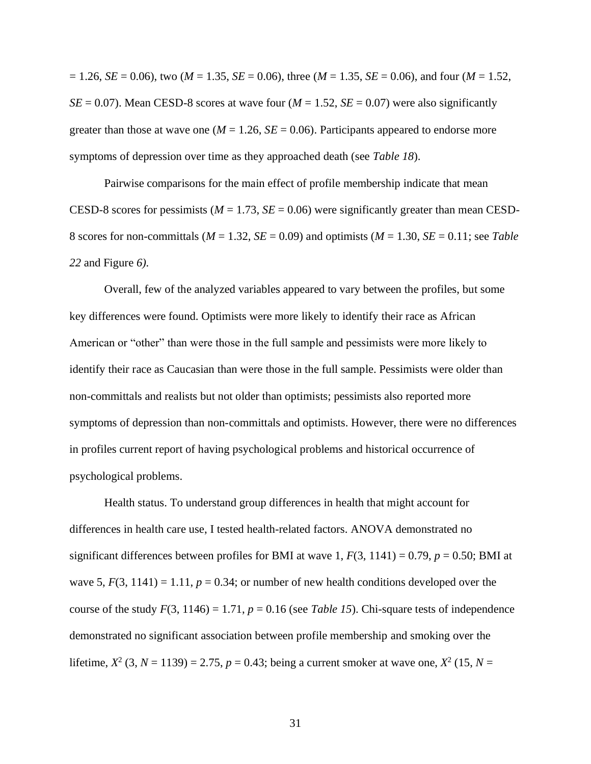$= 1.26$ , *SE* = 0.06), two (*M* = 1.35, *SE* = 0.06), three (*M* = 1.35, *SE* = 0.06), and four (*M* = 1.52,  $SE = 0.07$ ). Mean CESD-8 scores at wave four ( $M = 1.52$ ,  $SE = 0.07$ ) were also significantly greater than those at wave one ( $M = 1.26$ ,  $SE = 0.06$ ). Participants appeared to endorse more symptoms of depression over time as they approached death (see *Table 18*).

Pairwise comparisons for the main effect of profile membership indicate that mean CESD-8 scores for pessimists ( $M = 1.73$ ,  $SE = 0.06$ ) were significantly greater than mean CESD-8 scores for non-committals ( $M = 1.32$ ,  $SE = 0.09$ ) and optimists ( $M = 1.30$ ,  $SE = 0.11$ ; see *Table 22* and Figure *6).* 

Overall, few of the analyzed variables appeared to vary between the profiles, but some key differences were found. Optimists were more likely to identify their race as African American or "other" than were those in the full sample and pessimists were more likely to identify their race as Caucasian than were those in the full sample. Pessimists were older than non-committals and realists but not older than optimists; pessimists also reported more symptoms of depression than non-committals and optimists. However, there were no differences in profiles current report of having psychological problems and historical occurrence of psychological problems.

Health status. To understand group differences in health that might account for differences in health care use, I tested health-related factors. ANOVA demonstrated no significant differences between profiles for BMI at wave 1,  $F(3, 1141) = 0.79$ ,  $p = 0.50$ ; BMI at wave 5,  $F(3, 1141) = 1.11$ ,  $p = 0.34$ ; or number of new health conditions developed over the course of the study  $F(3, 1146) = 1.71$ ,  $p = 0.16$  (see *Table 15*). Chi-square tests of independence demonstrated no significant association between profile membership and smoking over the lifetime,  $X^2$  (3,  $N = 1139$ ) = 2.75,  $p = 0.43$ ; being a current smoker at wave one,  $X^2$  (15,  $N =$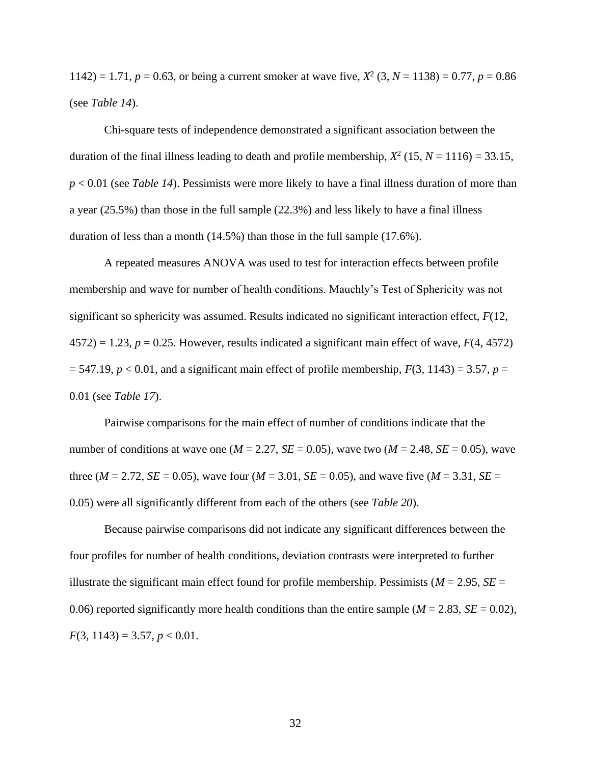1142) = 1.71,  $p = 0.63$ , or being a current smoker at wave five,  $X^2$  (3,  $N = 1138$ ) = 0.77,  $p = 0.86$ (see *Table 14*).

Chi-square tests of independence demonstrated a significant association between the duration of the final illness leading to death and profile membership,  $X^2$  (15,  $N = 1116$ ) = 33.15, *p* < 0.01 (see *Table 14*). Pessimists were more likely to have a final illness duration of more than a year (25.5%) than those in the full sample (22.3%) and less likely to have a final illness duration of less than a month (14.5%) than those in the full sample (17.6%).

A repeated measures ANOVA was used to test for interaction effects between profile membership and wave for number of health conditions. Mauchly's Test of Sphericity was not significant so sphericity was assumed. Results indicated no significant interaction effect, *F*(12,  $4572$ ) = 1.23,  $p = 0.25$ . However, results indicated a significant main effect of wave,  $F(4, 4572)$  $= 547.19$ ,  $p < 0.01$ , and a significant main effect of profile membership,  $F(3, 1143) = 3.57$ ,  $p =$ 0.01 (see *Table 17*).

Pairwise comparisons for the main effect of number of conditions indicate that the number of conditions at wave one ( $M = 2.27$ ,  $SE = 0.05$ ), wave two ( $M = 2.48$ ,  $SE = 0.05$ ), wave three ( $M = 2.72$ ,  $SE = 0.05$ ), wave four ( $M = 3.01$ ,  $SE = 0.05$ ), and wave five ( $M = 3.31$ ,  $SE = 0.05$ ) 0.05) were all significantly different from each of the others (see *Table 20*).

Because pairwise comparisons did not indicate any significant differences between the four profiles for number of health conditions, deviation contrasts were interpreted to further illustrate the significant main effect found for profile membership. Pessimists ( $M = 2.95$ ,  $SE =$ 0.06) reported significantly more health conditions than the entire sample ( $M = 2.83$ ,  $SE = 0.02$ ),  $F(3, 1143) = 3.57, p < 0.01$ .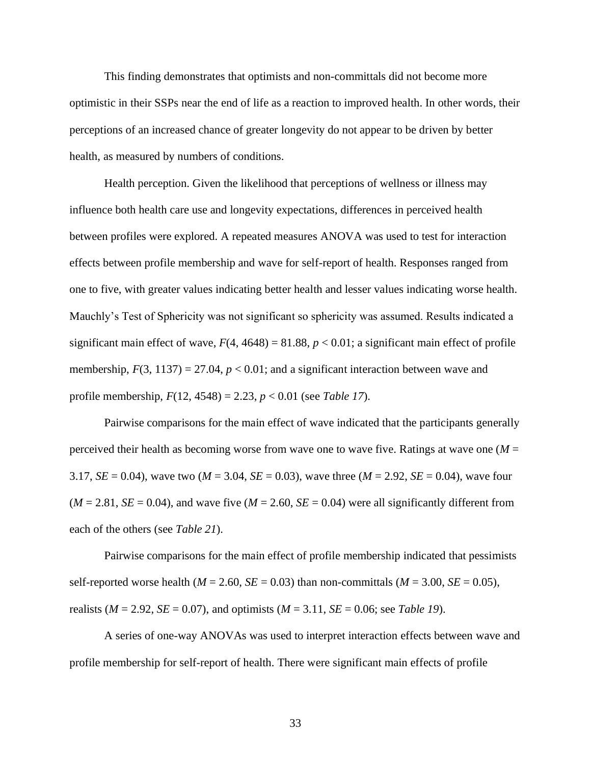This finding demonstrates that optimists and non-committals did not become more optimistic in their SSPs near the end of life as a reaction to improved health. In other words, their perceptions of an increased chance of greater longevity do not appear to be driven by better health, as measured by numbers of conditions.

Health perception. Given the likelihood that perceptions of wellness or illness may influence both health care use and longevity expectations, differences in perceived health between profiles were explored. A repeated measures ANOVA was used to test for interaction effects between profile membership and wave for self-report of health. Responses ranged from one to five, with greater values indicating better health and lesser values indicating worse health. Mauchly's Test of Sphericity was not significant so sphericity was assumed. Results indicated a significant main effect of wave,  $F(4, 4648) = 81.88$ ,  $p < 0.01$ ; a significant main effect of profile membership,  $F(3, 1137) = 27.04$ ,  $p < 0.01$ ; and a significant interaction between wave and profile membership, *F*(12, 4548) = 2.23, *p* < 0.01 (see *Table 17*).

Pairwise comparisons for the main effect of wave indicated that the participants generally perceived their health as becoming worse from wave one to wave five. Ratings at wave one (*M* = 3.17, *SE* = 0.04), wave two (*M* = 3.04, *SE* = 0.03), wave three (*M* = 2.92, *SE* = 0.04), wave four  $(M = 2.81, SE = 0.04)$ , and wave five  $(M = 2.60, SE = 0.04)$  were all significantly different from each of the others (see *Table 21*).

Pairwise comparisons for the main effect of profile membership indicated that pessimists self-reported worse health ( $M = 2.60$ ,  $SE = 0.03$ ) than non-committals ( $M = 3.00$ ,  $SE = 0.05$ ), realists (*M* = 2.92, *SE* = 0.07), and optimists (*M* = 3.11, *SE* = 0.06; see *Table 19*).

A series of one-way ANOVAs was used to interpret interaction effects between wave and profile membership for self-report of health. There were significant main effects of profile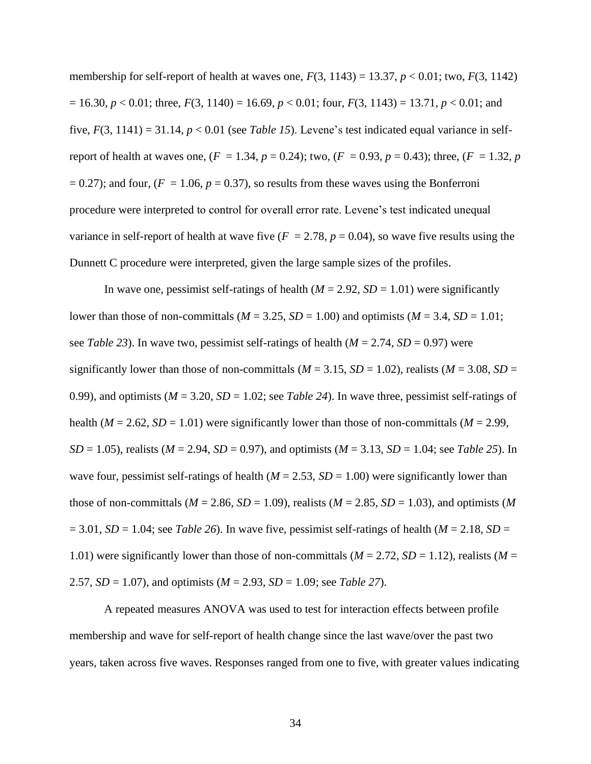membership for self-report of health at waves one,  $F(3, 1143) = 13.37$ ,  $p < 0.01$ ; two,  $F(3, 1142)$  $= 16.30, p < 0.01$ ; three,  $F(3, 1140) = 16.69, p < 0.01$ ; four,  $F(3, 1143) = 13.71, p < 0.01$ ; and five,  $F(3, 1141) = 31.14$ ,  $p < 0.01$  (see *Table 15*). Levene's test indicated equal variance in selfreport of health at waves one,  $(F = 1.34, p = 0.24)$ ; two,  $(F = 0.93, p = 0.43)$ ; three,  $(F = 1.32, p$  $= 0.27$ ; and four, ( $F = 1.06$ ,  $p = 0.37$ ), so results from these waves using the Bonferroni procedure were interpreted to control for overall error rate. Levene's test indicated unequal variance in self-report of health at wave five  $(F = 2.78, p = 0.04)$ , so wave five results using the Dunnett C procedure were interpreted, given the large sample sizes of the profiles.

In wave one, pessimist self-ratings of health  $(M = 2.92, SD = 1.01)$  were significantly lower than those of non-committals ( $M = 3.25$ ,  $SD = 1.00$ ) and optimists ( $M = 3.4$ ,  $SD = 1.01$ ; see *Table 23*). In wave two, pessimist self-ratings of health (*M* = 2.74, *SD* = 0.97) were significantly lower than those of non-committals ( $M = 3.15$ ,  $SD = 1.02$ ), realists ( $M = 3.08$ ,  $SD =$ 0.99), and optimists  $(M = 3.20, SD = 1.02$ ; see *Table 24*). In wave three, pessimist self-ratings of health ( $M = 2.62$ ,  $SD = 1.01$ ) were significantly lower than those of non-committals ( $M = 2.99$ , *SD* = 1.05), realists (*M* = 2.94, *SD* = 0.97), and optimists (*M* = 3.13, *SD* = 1.04; see *Table 25*). In wave four, pessimist self-ratings of health ( $M = 2.53$ ,  $SD = 1.00$ ) were significantly lower than those of non-committals ( $M = 2.86$ ,  $SD = 1.09$ ), realists ( $M = 2.85$ ,  $SD = 1.03$ ), and optimists ( $M$  $= 3.01$ ,  $SD = 1.04$ ; see *Table 26*). In wave five, pessimist self-ratings of health ( $M = 2.18$ ,  $SD = 1.04$ ) 1.01) were significantly lower than those of non-committals ( $M = 2.72$ ,  $SD = 1.12$ ), realists ( $M =$ 2.57, *SD* = 1.07), and optimists (*M* = 2.93, *SD* = 1.09; see *Table 27*).

A repeated measures ANOVA was used to test for interaction effects between profile membership and wave for self-report of health change since the last wave/over the past two years, taken across five waves. Responses ranged from one to five, with greater values indicating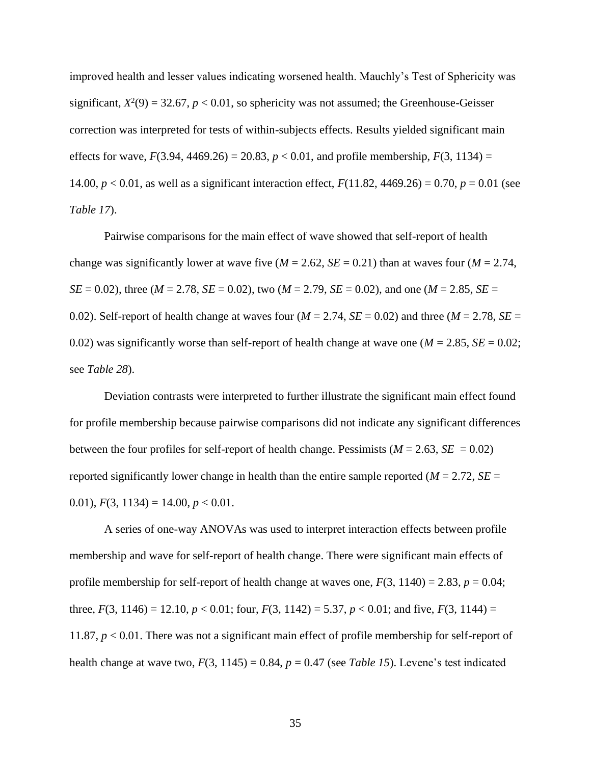improved health and lesser values indicating worsened health. Mauchly's Test of Sphericity was significant,  $X^2(9) = 32.67$ ,  $p < 0.01$ , so sphericity was not assumed; the Greenhouse-Geisser correction was interpreted for tests of within-subjects effects. Results yielded significant main effects for wave,  $F(3.94, 4469.26) = 20.83$ ,  $p < 0.01$ , and profile membership,  $F(3, 1134) =$ 14.00, *p* < 0.01, as well as a significant interaction effect, *F*(11.82, 4469.26) = 0.70, *p* = 0.01 (see *Table 17*).

Pairwise comparisons for the main effect of wave showed that self-report of health change was significantly lower at wave five ( $M = 2.62$ ,  $SE = 0.21$ ) than at waves four ( $M = 2.74$ , *SE* = 0.02), three (*M* = 2.78, *SE* = 0.02), two (*M* = 2.79, *SE* = 0.02), and one (*M* = 2.85, *SE* = 0.02). Self-report of health change at waves four ( $M = 2.74$ ,  $SE = 0.02$ ) and three ( $M = 2.78$ ,  $SE = 0.02$ ) 0.02) was significantly worse than self-report of health change at wave one ( $M = 2.85$ ,  $SE = 0.02$ ; see *Table 28*).

Deviation contrasts were interpreted to further illustrate the significant main effect found for profile membership because pairwise comparisons did not indicate any significant differences between the four profiles for self-report of health change. Pessimists ( $M = 2.63$ ,  $SE = 0.02$ ) reported significantly lower change in health than the entire sample reported ( $M = 2.72$ ,  $SE =$ 0.01),  $F(3, 1134) = 14.00, p < 0.01$ .

A series of one-way ANOVAs was used to interpret interaction effects between profile membership and wave for self-report of health change. There were significant main effects of profile membership for self-report of health change at waves one,  $F(3, 1140) = 2.83$ ,  $p = 0.04$ ; three,  $F(3, 1146) = 12.10, p < 0.01$ ; four,  $F(3, 1142) = 5.37, p < 0.01$ ; and five,  $F(3, 1144) =$ 11.87, *p* < 0.01. There was not a significant main effect of profile membership for self-report of health change at wave two,  $F(3, 1145) = 0.84$ ,  $p = 0.47$  (see *Table 15*). Levene's test indicated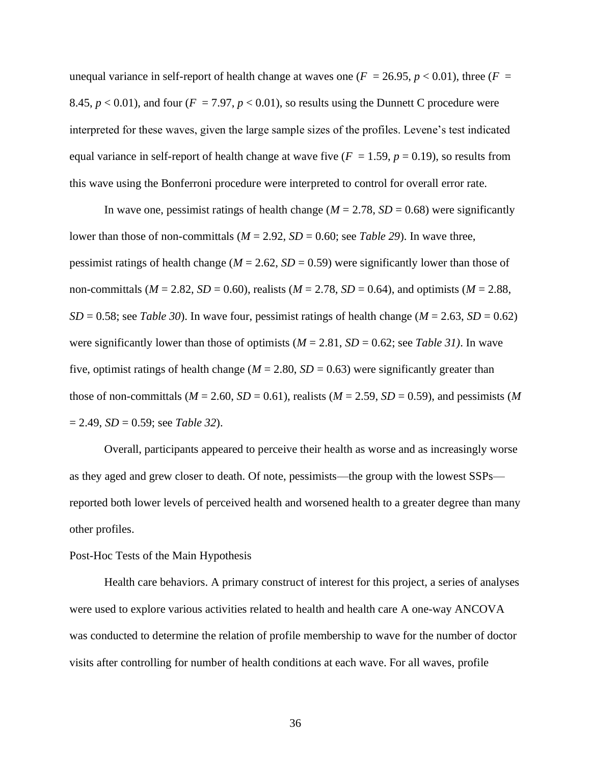unequal variance in self-report of health change at waves one  $(F = 26.95, p < 0.01)$ , three  $(F = 16.95, p < 0.01)$ 8.45,  $p < 0.01$ ), and four ( $F = 7.97$ ,  $p < 0.01$ ), so results using the Dunnett C procedure were interpreted for these waves, given the large sample sizes of the profiles. Levene's test indicated equal variance in self-report of health change at wave five  $(F = 1.59, p = 0.19)$ , so results from this wave using the Bonferroni procedure were interpreted to control for overall error rate.

In wave one, pessimist ratings of health change ( $M = 2.78$ ,  $SD = 0.68$ ) were significantly lower than those of non-committals  $(M = 2.92, SD = 0.60$ ; see *Table 29*). In wave three, pessimist ratings of health change ( $M = 2.62$ ,  $SD = 0.59$ ) were significantly lower than those of non-committals ( $M = 2.82$ ,  $SD = 0.60$ ), realists ( $M = 2.78$ ,  $SD = 0.64$ ), and optimists ( $M = 2.88$ ,  $SD = 0.58$ ; see *Table 30*). In wave four, pessimist ratings of health change ( $M = 2.63$ ,  $SD = 0.62$ ) were significantly lower than those of optimists ( $M = 2.81$ ,  $SD = 0.62$ ; see *Table 31*). In wave five, optimist ratings of health change ( $M = 2.80$ ,  $SD = 0.63$ ) were significantly greater than those of non-committals ( $M = 2.60$ ,  $SD = 0.61$ ), realists ( $M = 2.59$ ,  $SD = 0.59$ ), and pessimists ( $M$ = 2.49, *SD* = 0.59; see *Table 32*).

Overall, participants appeared to perceive their health as worse and as increasingly worse as they aged and grew closer to death. Of note, pessimists—the group with the lowest SSPs reported both lower levels of perceived health and worsened health to a greater degree than many other profiles.

# Post-Hoc Tests of the Main Hypothesis

Health care behaviors. A primary construct of interest for this project, a series of analyses were used to explore various activities related to health and health care A one-way ANCOVA was conducted to determine the relation of profile membership to wave for the number of doctor visits after controlling for number of health conditions at each wave. For all waves, profile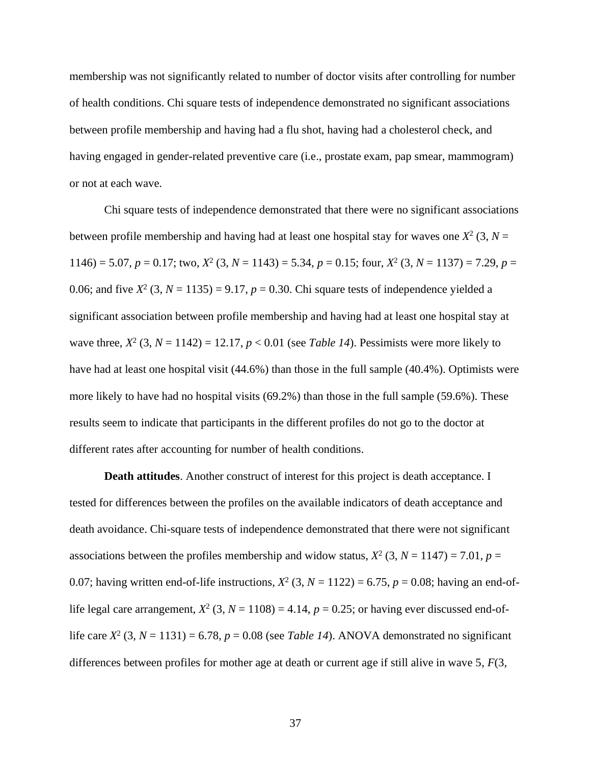membership was not significantly related to number of doctor visits after controlling for number of health conditions. Chi square tests of independence demonstrated no significant associations between profile membership and having had a flu shot, having had a cholesterol check, and having engaged in gender-related preventive care (i.e., prostate exam, pap smear, mammogram) or not at each wave.

Chi square tests of independence demonstrated that there were no significant associations between profile membership and having had at least one hospital stay for waves one  $X^2$  (3,  $N =$  $1146$ ) = 5.07,  $p = 0.17$ ; two,  $X^2$  (3,  $N = 1143$ ) = 5.34,  $p = 0.15$ ; four,  $X^2$  (3,  $N = 1137$ ) = 7.29,  $p =$ 0.06; and five  $X^2$  (3,  $N = 1135$ ) = 9.17,  $p = 0.30$ . Chi square tests of independence yielded a significant association between profile membership and having had at least one hospital stay at wave three,  $X^2$  (3,  $N = 1142$ ) = 12.17,  $p < 0.01$  (see *Table 14*). Pessimists were more likely to have had at least one hospital visit (44.6%) than those in the full sample (40.4%). Optimists were more likely to have had no hospital visits (69.2%) than those in the full sample (59.6%). These results seem to indicate that participants in the different profiles do not go to the doctor at different rates after accounting for number of health conditions.

**Death attitudes**. Another construct of interest for this project is death acceptance. I tested for differences between the profiles on the available indicators of death acceptance and death avoidance. Chi-square tests of independence demonstrated that there were not significant associations between the profiles membership and widow status,  $X^2$  (3,  $N = 1147$ ) = 7.01,  $p =$ 0.07; having written end-of-life instructions,  $X^2$  (3,  $N = 1122$ ) = 6.75,  $p = 0.08$ ; having an end-oflife legal care arrangement,  $X^2$  (3,  $N = 1108$ ) = 4.14,  $p = 0.25$ ; or having ever discussed end-oflife care  $X^2$  (3,  $N = 1131$ ) = 6.78,  $p = 0.08$  (see *Table 14*). ANOVA demonstrated no significant differences between profiles for mother age at death or current age if still alive in wave 5, *F*(3,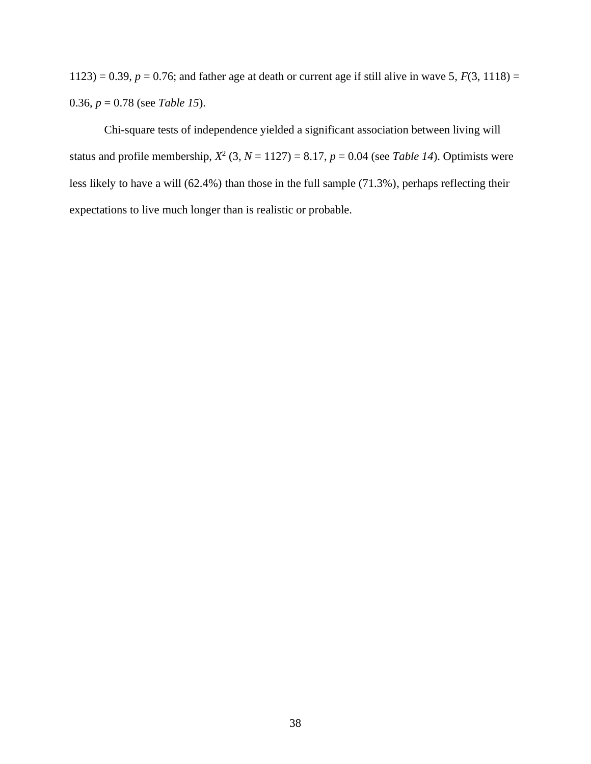1123) = 0.39,  $p = 0.76$ ; and father age at death or current age if still alive in wave 5,  $F(3, 1118) =$ 0.36, *p* = 0.78 (see *Table 15*).

Chi-square tests of independence yielded a significant association between living will status and profile membership,  $X^2$  (3,  $N = 1127$ ) = 8.17,  $p = 0.04$  (see *Table 14*). Optimists were less likely to have a will (62.4%) than those in the full sample (71.3%), perhaps reflecting their expectations to live much longer than is realistic or probable.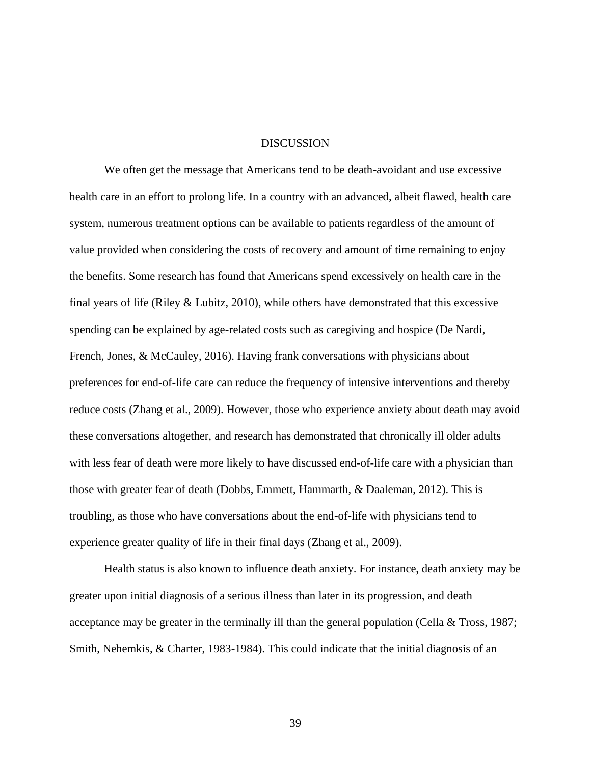## **DISCUSSION**

We often get the message that Americans tend to be death-avoidant and use excessive health care in an effort to prolong life. In a country with an advanced, albeit flawed, health care system, numerous treatment options can be available to patients regardless of the amount of value provided when considering the costs of recovery and amount of time remaining to enjoy the benefits. Some research has found that Americans spend excessively on health care in the final years of life (Riley & Lubitz, 2010), while others have demonstrated that this excessive spending can be explained by age-related costs such as caregiving and hospice (De Nardi, French, Jones, & McCauley, 2016). Having frank conversations with physicians about preferences for end-of-life care can reduce the frequency of intensive interventions and thereby reduce costs (Zhang et al., 2009). However, those who experience anxiety about death may avoid these conversations altogether, and research has demonstrated that chronically ill older adults with less fear of death were more likely to have discussed end-of-life care with a physician than those with greater fear of death (Dobbs, Emmett, Hammarth, & Daaleman, 2012). This is troubling, as those who have conversations about the end-of-life with physicians tend to experience greater quality of life in their final days (Zhang et al., 2009).

Health status is also known to influence death anxiety. For instance, death anxiety may be greater upon initial diagnosis of a serious illness than later in its progression, and death acceptance may be greater in the terminally ill than the general population (Cella & Tross, 1987; Smith, Nehemkis, & Charter, 1983-1984). This could indicate that the initial diagnosis of an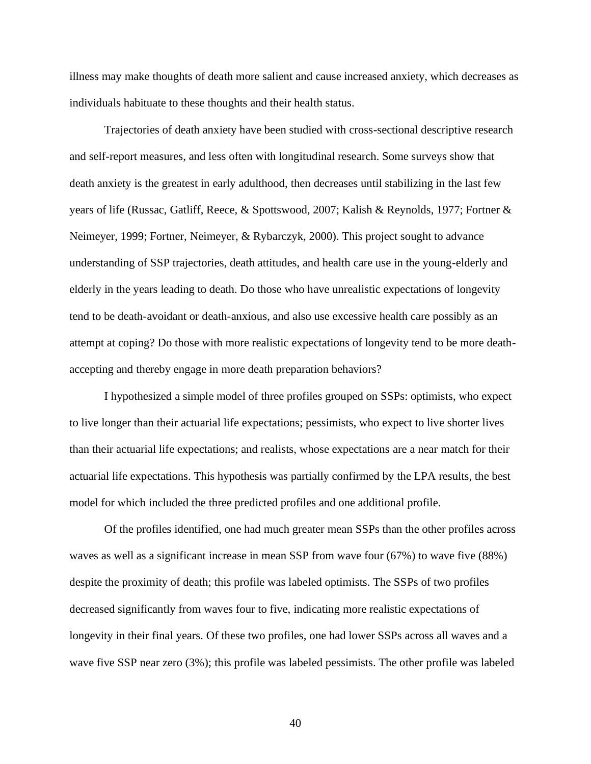illness may make thoughts of death more salient and cause increased anxiety, which decreases as individuals habituate to these thoughts and their health status.

Trajectories of death anxiety have been studied with cross-sectional descriptive research and self-report measures, and less often with longitudinal research. Some surveys show that death anxiety is the greatest in early adulthood, then decreases until stabilizing in the last few years of life (Russac, Gatliff, Reece, & Spottswood, 2007; Kalish & Reynolds, 1977; Fortner & Neimeyer, 1999; Fortner, Neimeyer, & Rybarczyk, 2000). This project sought to advance understanding of SSP trajectories, death attitudes, and health care use in the young-elderly and elderly in the years leading to death. Do those who have unrealistic expectations of longevity tend to be death-avoidant or death-anxious, and also use excessive health care possibly as an attempt at coping? Do those with more realistic expectations of longevity tend to be more deathaccepting and thereby engage in more death preparation behaviors?

I hypothesized a simple model of three profiles grouped on SSPs: optimists, who expect to live longer than their actuarial life expectations; pessimists, who expect to live shorter lives than their actuarial life expectations; and realists, whose expectations are a near match for their actuarial life expectations. This hypothesis was partially confirmed by the LPA results, the best model for which included the three predicted profiles and one additional profile.

Of the profiles identified, one had much greater mean SSPs than the other profiles across waves as well as a significant increase in mean SSP from wave four (67%) to wave five (88%) despite the proximity of death; this profile was labeled optimists. The SSPs of two profiles decreased significantly from waves four to five, indicating more realistic expectations of longevity in their final years. Of these two profiles, one had lower SSPs across all waves and a wave five SSP near zero (3%); this profile was labeled pessimists. The other profile was labeled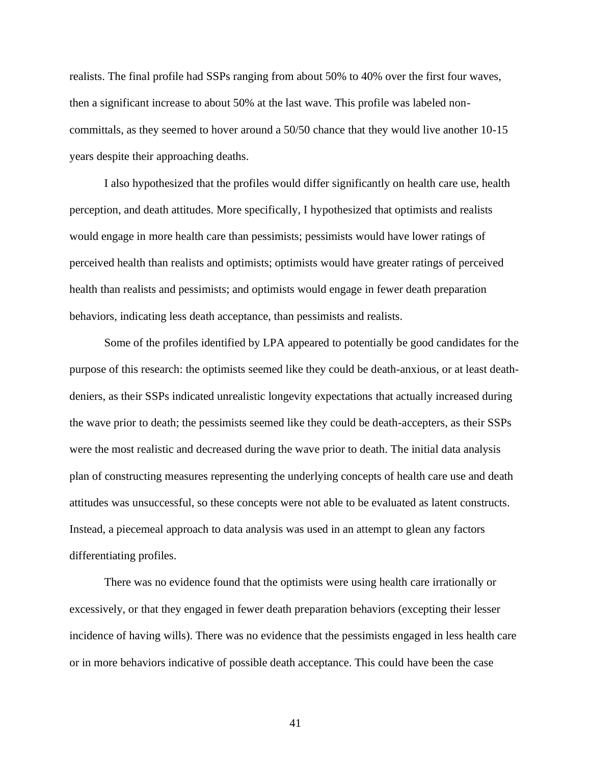realists. The final profile had SSPs ranging from about 50% to 40% over the first four waves, then a significant increase to about 50% at the last wave. This profile was labeled noncommittals, as they seemed to hover around a 50/50 chance that they would live another 10-15 years despite their approaching deaths.

I also hypothesized that the profiles would differ significantly on health care use, health perception, and death attitudes. More specifically, I hypothesized that optimists and realists would engage in more health care than pessimists; pessimists would have lower ratings of perceived health than realists and optimists; optimists would have greater ratings of perceived health than realists and pessimists; and optimists would engage in fewer death preparation behaviors, indicating less death acceptance, than pessimists and realists.

Some of the profiles identified by LPA appeared to potentially be good candidates for the purpose of this research: the optimists seemed like they could be death-anxious, or at least deathdeniers, as their SSPs indicated unrealistic longevity expectations that actually increased during the wave prior to death; the pessimists seemed like they could be death-accepters, as their SSPs were the most realistic and decreased during the wave prior to death. The initial data analysis plan of constructing measures representing the underlying concepts of health care use and death attitudes was unsuccessful, so these concepts were not able to be evaluated as latent constructs. Instead, a piecemeal approach to data analysis was used in an attempt to glean any factors differentiating profiles.

There was no evidence found that the optimists were using health care irrationally or excessively, or that they engaged in fewer death preparation behaviors (excepting their lesser incidence of having wills). There was no evidence that the pessimists engaged in less health care or in more behaviors indicative of possible death acceptance. This could have been the case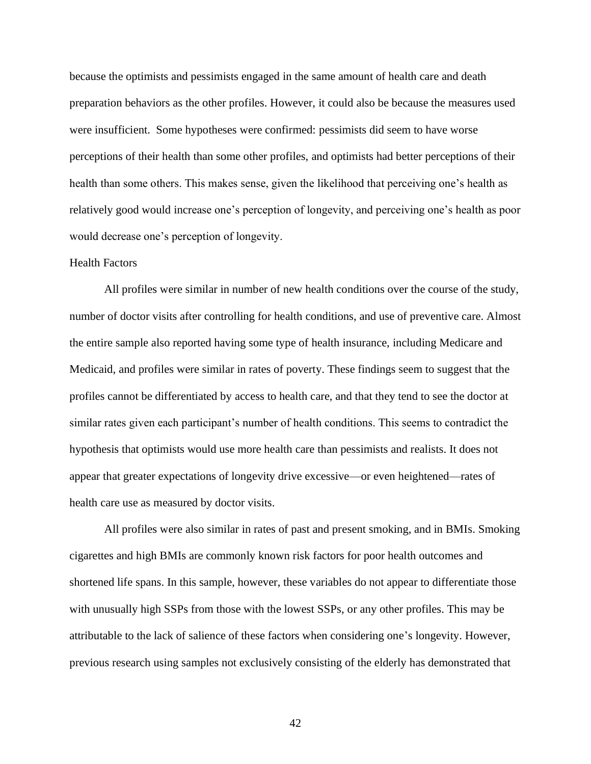because the optimists and pessimists engaged in the same amount of health care and death preparation behaviors as the other profiles. However, it could also be because the measures used were insufficient. Some hypotheses were confirmed: pessimists did seem to have worse perceptions of their health than some other profiles, and optimists had better perceptions of their health than some others. This makes sense, given the likelihood that perceiving one's health as relatively good would increase one's perception of longevity, and perceiving one's health as poor would decrease one's perception of longevity.

## Health Factors

All profiles were similar in number of new health conditions over the course of the study, number of doctor visits after controlling for health conditions, and use of preventive care. Almost the entire sample also reported having some type of health insurance, including Medicare and Medicaid, and profiles were similar in rates of poverty. These findings seem to suggest that the profiles cannot be differentiated by access to health care, and that they tend to see the doctor at similar rates given each participant's number of health conditions. This seems to contradict the hypothesis that optimists would use more health care than pessimists and realists. It does not appear that greater expectations of longevity drive excessive—or even heightened—rates of health care use as measured by doctor visits.

All profiles were also similar in rates of past and present smoking, and in BMIs. Smoking cigarettes and high BMIs are commonly known risk factors for poor health outcomes and shortened life spans. In this sample, however, these variables do not appear to differentiate those with unusually high SSPs from those with the lowest SSPs, or any other profiles. This may be attributable to the lack of salience of these factors when considering one's longevity. However, previous research using samples not exclusively consisting of the elderly has demonstrated that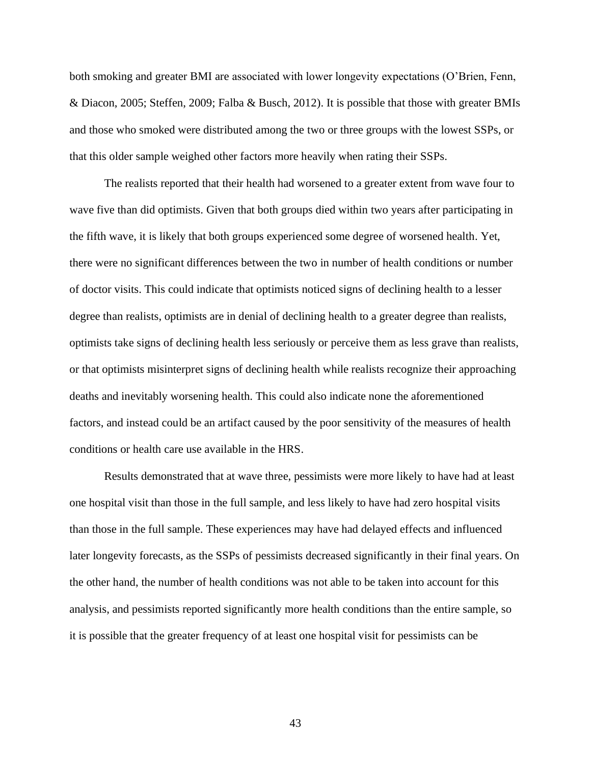both smoking and greater BMI are associated with lower longevity expectations (O'Brien, Fenn, & Diacon, 2005; Steffen, 2009; Falba & Busch, 2012). It is possible that those with greater BMIs and those who smoked were distributed among the two or three groups with the lowest SSPs, or that this older sample weighed other factors more heavily when rating their SSPs.

The realists reported that their health had worsened to a greater extent from wave four to wave five than did optimists. Given that both groups died within two years after participating in the fifth wave, it is likely that both groups experienced some degree of worsened health. Yet, there were no significant differences between the two in number of health conditions or number of doctor visits. This could indicate that optimists noticed signs of declining health to a lesser degree than realists, optimists are in denial of declining health to a greater degree than realists, optimists take signs of declining health less seriously or perceive them as less grave than realists, or that optimists misinterpret signs of declining health while realists recognize their approaching deaths and inevitably worsening health. This could also indicate none the aforementioned factors, and instead could be an artifact caused by the poor sensitivity of the measures of health conditions or health care use available in the HRS.

Results demonstrated that at wave three, pessimists were more likely to have had at least one hospital visit than those in the full sample, and less likely to have had zero hospital visits than those in the full sample. These experiences may have had delayed effects and influenced later longevity forecasts, as the SSPs of pessimists decreased significantly in their final years. On the other hand, the number of health conditions was not able to be taken into account for this analysis, and pessimists reported significantly more health conditions than the entire sample, so it is possible that the greater frequency of at least one hospital visit for pessimists can be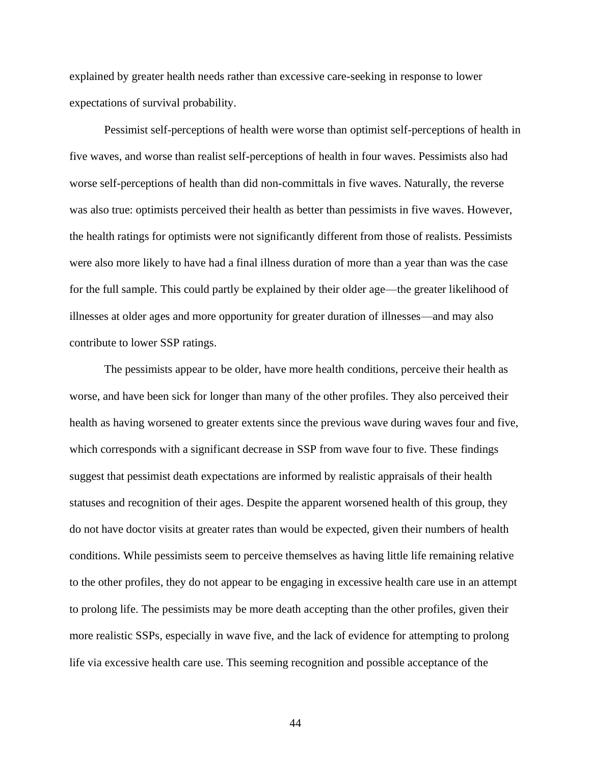explained by greater health needs rather than excessive care-seeking in response to lower expectations of survival probability.

Pessimist self-perceptions of health were worse than optimist self-perceptions of health in five waves, and worse than realist self-perceptions of health in four waves. Pessimists also had worse self-perceptions of health than did non-committals in five waves. Naturally, the reverse was also true: optimists perceived their health as better than pessimists in five waves. However, the health ratings for optimists were not significantly different from those of realists. Pessimists were also more likely to have had a final illness duration of more than a year than was the case for the full sample. This could partly be explained by their older age—the greater likelihood of illnesses at older ages and more opportunity for greater duration of illnesses—and may also contribute to lower SSP ratings.

The pessimists appear to be older, have more health conditions, perceive their health as worse, and have been sick for longer than many of the other profiles. They also perceived their health as having worsened to greater extents since the previous wave during waves four and five, which corresponds with a significant decrease in SSP from wave four to five. These findings suggest that pessimist death expectations are informed by realistic appraisals of their health statuses and recognition of their ages. Despite the apparent worsened health of this group, they do not have doctor visits at greater rates than would be expected, given their numbers of health conditions. While pessimists seem to perceive themselves as having little life remaining relative to the other profiles, they do not appear to be engaging in excessive health care use in an attempt to prolong life. The pessimists may be more death accepting than the other profiles, given their more realistic SSPs, especially in wave five, and the lack of evidence for attempting to prolong life via excessive health care use. This seeming recognition and possible acceptance of the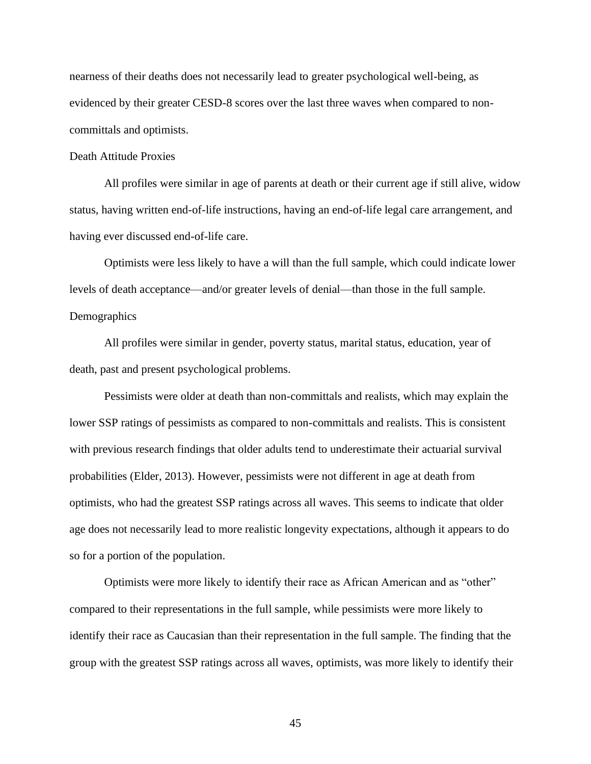nearness of their deaths does not necessarily lead to greater psychological well-being, as evidenced by their greater CESD-8 scores over the last three waves when compared to noncommittals and optimists.

# Death Attitude Proxies

All profiles were similar in age of parents at death or their current age if still alive, widow status, having written end-of-life instructions, having an end-of-life legal care arrangement, and having ever discussed end-of-life care.

Optimists were less likely to have a will than the full sample, which could indicate lower levels of death acceptance—and/or greater levels of denial—than those in the full sample. **Demographics** 

All profiles were similar in gender, poverty status, marital status, education, year of death, past and present psychological problems.

Pessimists were older at death than non-committals and realists, which may explain the lower SSP ratings of pessimists as compared to non-committals and realists. This is consistent with previous research findings that older adults tend to underestimate their actuarial survival probabilities (Elder, 2013). However, pessimists were not different in age at death from optimists, who had the greatest SSP ratings across all waves. This seems to indicate that older age does not necessarily lead to more realistic longevity expectations, although it appears to do so for a portion of the population.

Optimists were more likely to identify their race as African American and as "other" compared to their representations in the full sample, while pessimists were more likely to identify their race as Caucasian than their representation in the full sample. The finding that the group with the greatest SSP ratings across all waves, optimists, was more likely to identify their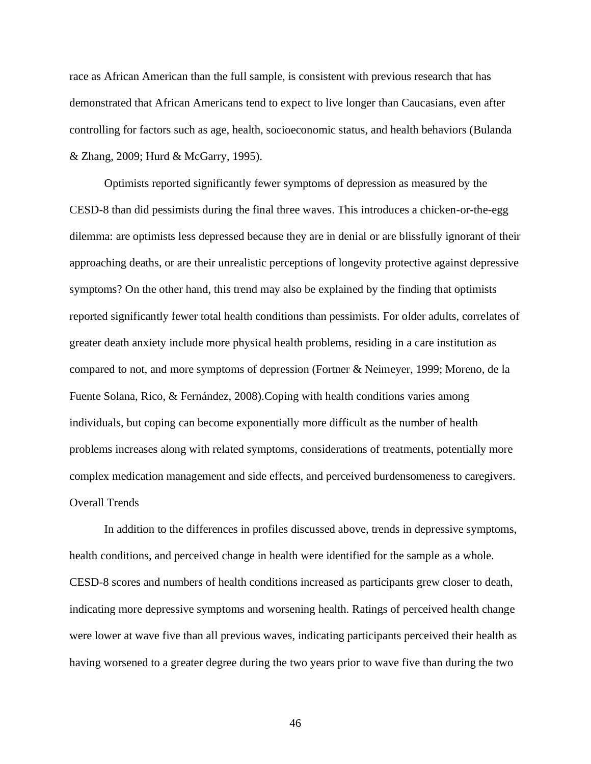race as African American than the full sample, is consistent with previous research that has demonstrated that African Americans tend to expect to live longer than Caucasians, even after controlling for factors such as age, health, socioeconomic status, and health behaviors (Bulanda & Zhang, 2009; Hurd & McGarry, 1995).

Optimists reported significantly fewer symptoms of depression as measured by the CESD-8 than did pessimists during the final three waves. This introduces a chicken-or-the-egg dilemma: are optimists less depressed because they are in denial or are blissfully ignorant of their approaching deaths, or are their unrealistic perceptions of longevity protective against depressive symptoms? On the other hand, this trend may also be explained by the finding that optimists reported significantly fewer total health conditions than pessimists. For older adults, correlates of greater death anxiety include more physical health problems, residing in a care institution as compared to not, and more symptoms of depression (Fortner & Neimeyer, 1999; Moreno, de la Fuente Solana, Rico, & Fernández, 2008).Coping with health conditions varies among individuals, but coping can become exponentially more difficult as the number of health problems increases along with related symptoms, considerations of treatments, potentially more complex medication management and side effects, and perceived burdensomeness to caregivers. Overall Trends

In addition to the differences in profiles discussed above, trends in depressive symptoms, health conditions, and perceived change in health were identified for the sample as a whole. CESD-8 scores and numbers of health conditions increased as participants grew closer to death, indicating more depressive symptoms and worsening health. Ratings of perceived health change were lower at wave five than all previous waves, indicating participants perceived their health as having worsened to a greater degree during the two years prior to wave five than during the two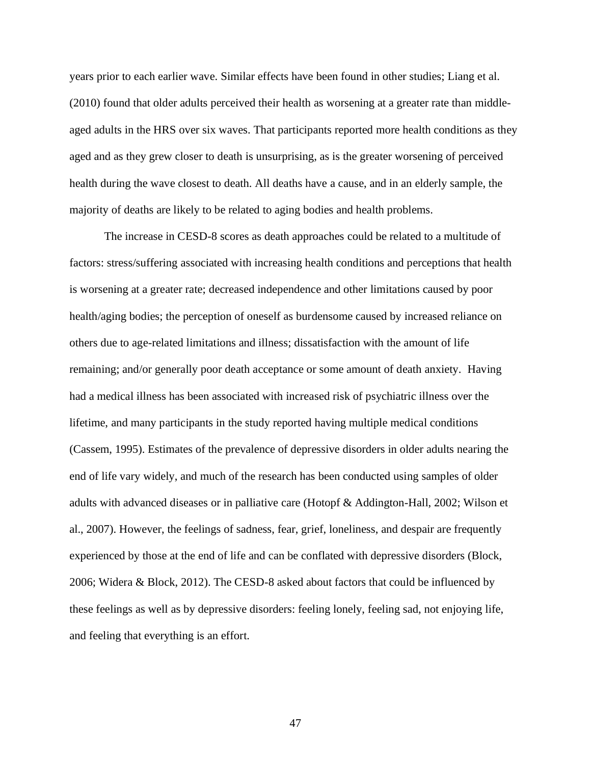years prior to each earlier wave. Similar effects have been found in other studies; Liang et al. (2010) found that older adults perceived their health as worsening at a greater rate than middleaged adults in the HRS over six waves. That participants reported more health conditions as they aged and as they grew closer to death is unsurprising, as is the greater worsening of perceived health during the wave closest to death. All deaths have a cause, and in an elderly sample, the majority of deaths are likely to be related to aging bodies and health problems.

The increase in CESD-8 scores as death approaches could be related to a multitude of factors: stress/suffering associated with increasing health conditions and perceptions that health is worsening at a greater rate; decreased independence and other limitations caused by poor health/aging bodies; the perception of oneself as burdensome caused by increased reliance on others due to age-related limitations and illness; dissatisfaction with the amount of life remaining; and/or generally poor death acceptance or some amount of death anxiety. Having had a medical illness has been associated with increased risk of psychiatric illness over the lifetime, and many participants in the study reported having multiple medical conditions (Cassem, 1995). Estimates of the prevalence of depressive disorders in older adults nearing the end of life vary widely, and much of the research has been conducted using samples of older adults with advanced diseases or in palliative care (Hotopf & Addington-Hall, 2002; Wilson et al., 2007). However, the feelings of sadness, fear, grief, loneliness, and despair are frequently experienced by those at the end of life and can be conflated with depressive disorders (Block, 2006; Widera & Block, 2012). The CESD-8 asked about factors that could be influenced by these feelings as well as by depressive disorders: feeling lonely, feeling sad, not enjoying life, and feeling that everything is an effort.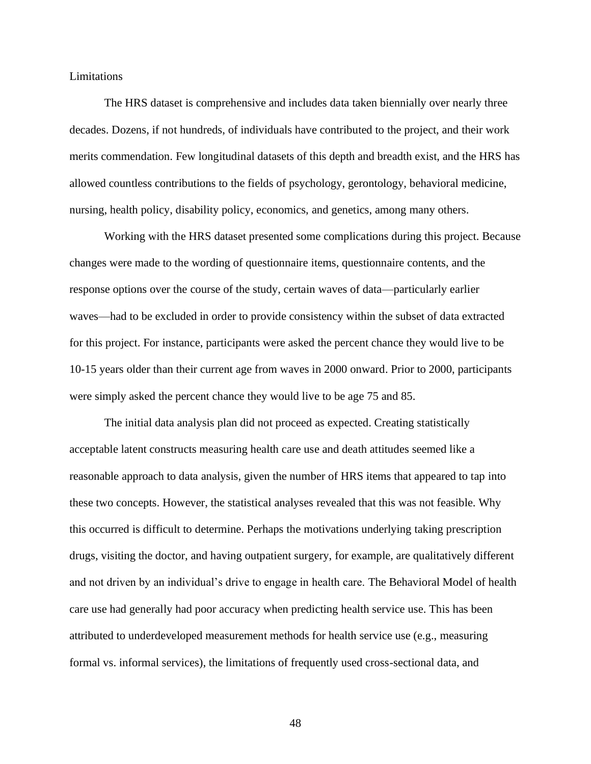Limitations

The HRS dataset is comprehensive and includes data taken biennially over nearly three decades. Dozens, if not hundreds, of individuals have contributed to the project, and their work merits commendation. Few longitudinal datasets of this depth and breadth exist, and the HRS has allowed countless contributions to the fields of psychology, gerontology, behavioral medicine, nursing, health policy, disability policy, economics, and genetics, among many others.

Working with the HRS dataset presented some complications during this project. Because changes were made to the wording of questionnaire items, questionnaire contents, and the response options over the course of the study, certain waves of data—particularly earlier waves—had to be excluded in order to provide consistency within the subset of data extracted for this project. For instance, participants were asked the percent chance they would live to be 10-15 years older than their current age from waves in 2000 onward. Prior to 2000, participants were simply asked the percent chance they would live to be age 75 and 85.

The initial data analysis plan did not proceed as expected. Creating statistically acceptable latent constructs measuring health care use and death attitudes seemed like a reasonable approach to data analysis, given the number of HRS items that appeared to tap into these two concepts. However, the statistical analyses revealed that this was not feasible. Why this occurred is difficult to determine. Perhaps the motivations underlying taking prescription drugs, visiting the doctor, and having outpatient surgery, for example, are qualitatively different and not driven by an individual's drive to engage in health care. The Behavioral Model of health care use had generally had poor accuracy when predicting health service use. This has been attributed to underdeveloped measurement methods for health service use (e.g., measuring formal vs. informal services), the limitations of frequently used cross-sectional data, and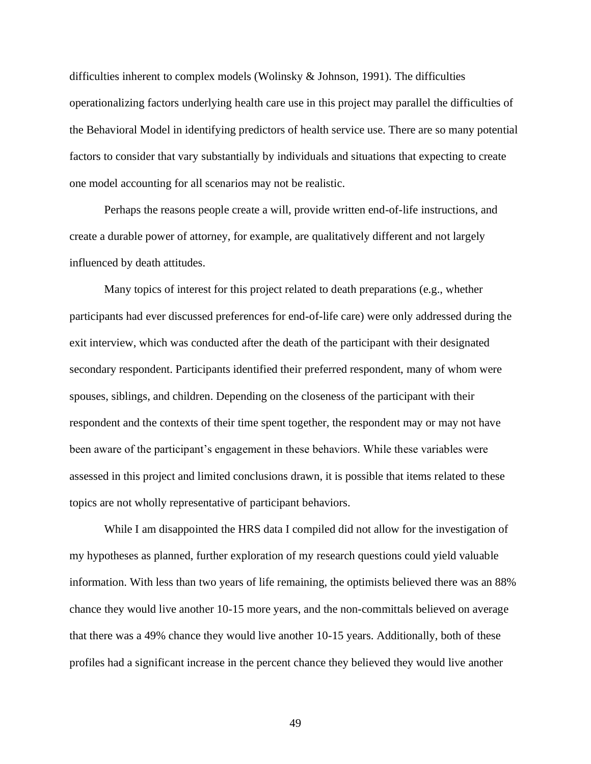difficulties inherent to complex models (Wolinsky  $\&$  Johnson, 1991). The difficulties operationalizing factors underlying health care use in this project may parallel the difficulties of the Behavioral Model in identifying predictors of health service use. There are so many potential factors to consider that vary substantially by individuals and situations that expecting to create one model accounting for all scenarios may not be realistic.

Perhaps the reasons people create a will, provide written end-of-life instructions, and create a durable power of attorney, for example, are qualitatively different and not largely influenced by death attitudes.

Many topics of interest for this project related to death preparations (e.g., whether participants had ever discussed preferences for end-of-life care) were only addressed during the exit interview, which was conducted after the death of the participant with their designated secondary respondent. Participants identified their preferred respondent, many of whom were spouses, siblings, and children. Depending on the closeness of the participant with their respondent and the contexts of their time spent together, the respondent may or may not have been aware of the participant's engagement in these behaviors. While these variables were assessed in this project and limited conclusions drawn, it is possible that items related to these topics are not wholly representative of participant behaviors.

While I am disappointed the HRS data I compiled did not allow for the investigation of my hypotheses as planned, further exploration of my research questions could yield valuable information. With less than two years of life remaining, the optimists believed there was an 88% chance they would live another 10-15 more years, and the non-committals believed on average that there was a 49% chance they would live another 10-15 years. Additionally, both of these profiles had a significant increase in the percent chance they believed they would live another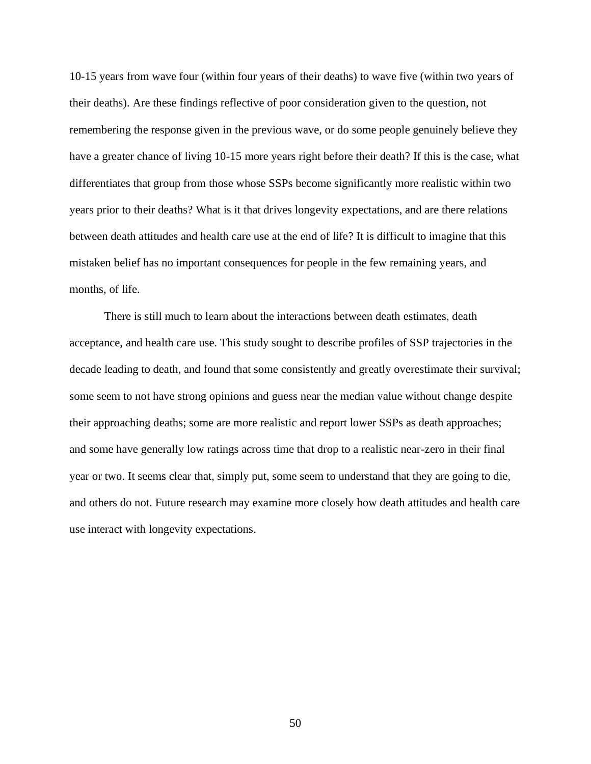10-15 years from wave four (within four years of their deaths) to wave five (within two years of their deaths). Are these findings reflective of poor consideration given to the question, not remembering the response given in the previous wave, or do some people genuinely believe they have a greater chance of living 10-15 more years right before their death? If this is the case, what differentiates that group from those whose SSPs become significantly more realistic within two years prior to their deaths? What is it that drives longevity expectations, and are there relations between death attitudes and health care use at the end of life? It is difficult to imagine that this mistaken belief has no important consequences for people in the few remaining years, and months, of life.

There is still much to learn about the interactions between death estimates, death acceptance, and health care use. This study sought to describe profiles of SSP trajectories in the decade leading to death, and found that some consistently and greatly overestimate their survival; some seem to not have strong opinions and guess near the median value without change despite their approaching deaths; some are more realistic and report lower SSPs as death approaches; and some have generally low ratings across time that drop to a realistic near-zero in their final year or two. It seems clear that, simply put, some seem to understand that they are going to die, and others do not. Future research may examine more closely how death attitudes and health care use interact with longevity expectations.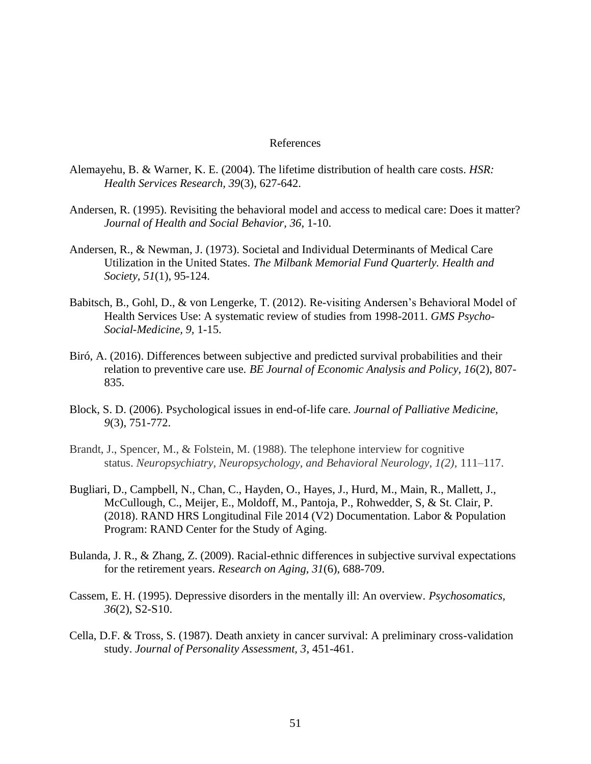## References

- Alemayehu, B. & Warner, K. E. (2004). The lifetime distribution of health care costs. *HSR: Health Services Research, 39*(3), 627-642.
- Andersen, R. (1995). Revisiting the behavioral model and access to medical care: Does it matter? *Journal of Health and Social Behavior, 36*, 1-10.
- Andersen, R., & Newman, J. (1973). Societal and Individual Determinants of Medical Care Utilization in the United States. *The Milbank Memorial Fund Quarterly. Health and Society, 51*(1), 95-124.
- Babitsch, B., Gohl, D., & von Lengerke, T. (2012). Re-visiting Andersen's Behavioral Model of Health Services Use: A systematic review of studies from 1998-2011. *GMS Psycho-Social-Medicine, 9,* 1-15.
- Biró, A. (2016). Differences between subjective and predicted survival probabilities and their relation to preventive care use. *BE Journal of Economic Analysis and Policy, 16*(2), 807- 835.
- Block, S. D. (2006). Psychological issues in end-of-life care. *Journal of Palliative Medicine, 9*(3), 751-772.
- Brandt, J., Spencer, M., & Folstein, M. (1988). The telephone interview for cognitive status. *Neuropsychiatry, Neuropsychology, and Behavioral Neurology, 1(2),* 111–117.
- Bugliari, D., Campbell, N., Chan, C., Hayden, O., Hayes, J., Hurd, M., Main, R., Mallett, J., McCullough, C., Meijer, E., Moldoff, M., Pantoja, P., Rohwedder, S, & St. Clair, P. (2018). RAND HRS Longitudinal File 2014 (V2) Documentation. Labor & Population Program: RAND Center for the Study of Aging.
- Bulanda, J. R., & Zhang, Z. (2009). Racial-ethnic differences in subjective survival expectations for the retirement years. *Research on Aging, 31*(6), 688-709.
- Cassem, E. H. (1995). Depressive disorders in the mentally ill: An overview. *Psychosomatics, 36*(2), S2-S10.
- Cella, D.F. & Tross, S. (1987). Death anxiety in cancer survival: A preliminary cross-validation study. *Journal of Personality Assessment, 3*, 451-461.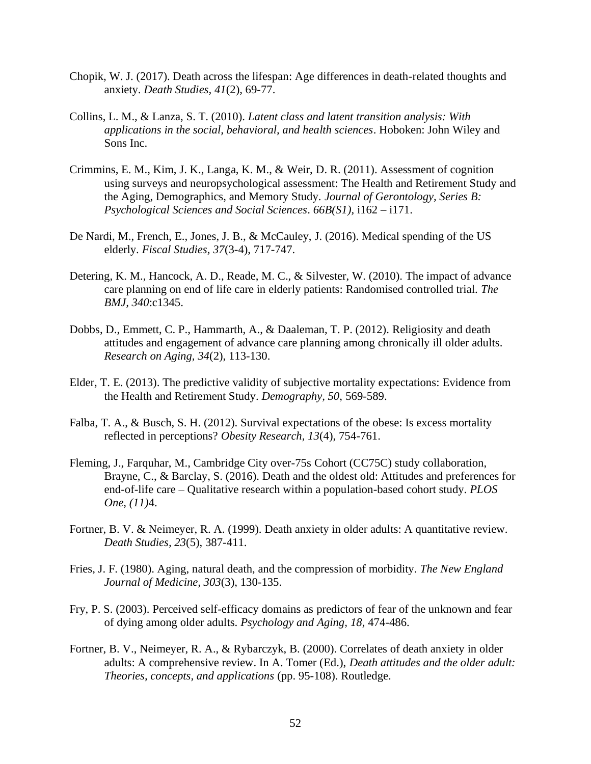- Chopik, W. J. (2017). Death across the lifespan: Age differences in death-related thoughts and anxiety. *Death Studies, 41*(2), 69-77.
- Collins, L. M., & Lanza, S. T. (2010). *Latent class and latent transition analysis: With applications in the social, behavioral, and health sciences*. Hoboken: John Wiley and Sons Inc.
- Crimmins, E. M., Kim, J. K., Langa, K. M., & Weir, D. R. (2011). Assessment of cognition using surveys and neuropsychological assessment: The Health and Retirement Study and the Aging, Demographics, and Memory Study. *Journal of Gerontology, Series B: Psychological Sciences and Social Sciences*. *66B(S1),* i162 – i171.
- De Nardi, M., French, E., Jones, J. B., & McCauley, J. (2016). Medical spending of the US elderly. *Fiscal Studies, 37*(3-4), 717-747.
- Detering, K. M., Hancock, A. D., Reade, M. C., & Silvester, W. (2010). The impact of advance care planning on end of life care in elderly patients: Randomised controlled trial. *The BMJ, 340*:c1345.
- Dobbs, D., Emmett, C. P., Hammarth, A., & Daaleman, T. P. (2012). Religiosity and death attitudes and engagement of advance care planning among chronically ill older adults. *Research on Aging, 34*(2), 113-130.
- Elder, T. E. (2013). The predictive validity of subjective mortality expectations: Evidence from the Health and Retirement Study. *Demography, 50*, 569-589.
- Falba, T. A., & Busch, S. H. (2012). Survival expectations of the obese: Is excess mortality reflected in perceptions? *Obesity Research, 13*(4), 754-761.
- Fleming, J., Farquhar, M., Cambridge City over-75s Cohort (CC75C) study collaboration, Brayne, C., & Barclay, S. (2016). Death and the oldest old: Attitudes and preferences for end-of-life care – Qualitative research within a population-based cohort study. *PLOS One, (11)*4.
- Fortner, B. V. & Neimeyer, R. A. (1999). Death anxiety in older adults: A quantitative review. *Death Studies, 23*(5), 387-411.
- Fries, J. F. (1980). Aging, natural death, and the compression of morbidity. *The New England Journal of Medicine, 303*(3), 130-135.
- Fry, P. S. (2003). Perceived self-efficacy domains as predictors of fear of the unknown and fear of dying among older adults. *Psychology and Aging, 18,* 474-486.
- Fortner, B. V., Neimeyer, R. A., & Rybarczyk, B. (2000). Correlates of death anxiety in older adults: A comprehensive review. In A. Tomer (Ed.), *Death attitudes and the older adult: Theories, concepts, and applications* (pp. 95-108). Routledge.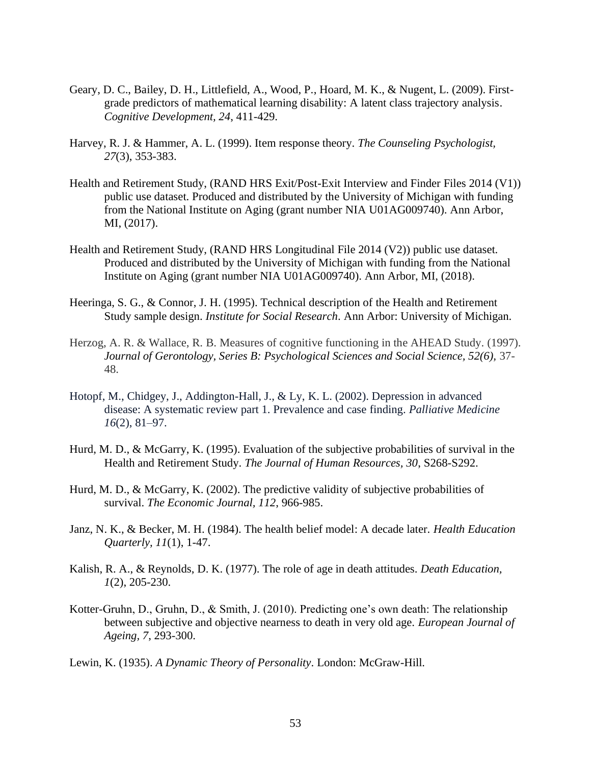- Geary, D. C., Bailey, D. H., Littlefield, A., Wood, P., Hoard, M. K., & Nugent, L. (2009). Firstgrade predictors of mathematical learning disability: A latent class trajectory analysis. *Cognitive Development, 24*, 411-429.
- Harvey, R. J. & Hammer, A. L. (1999). Item response theory. *The Counseling Psychologist, 27*(3), 353-383.
- Health and Retirement Study, (RAND HRS Exit/Post-Exit Interview and Finder Files 2014 (V1)) public use dataset. Produced and distributed by the University of Michigan with funding from the National Institute on Aging (grant number NIA U01AG009740). Ann Arbor, MI, (2017).
- Health and Retirement Study, (RAND HRS Longitudinal File 2014 (V2)) public use dataset. Produced and distributed by the University of Michigan with funding from the National Institute on Aging (grant number NIA U01AG009740). Ann Arbor, MI, (2018).
- Heeringa, S. G., & Connor, J. H. (1995). Technical description of the Health and Retirement Study sample design. *Institute for Social Research*. Ann Arbor: University of Michigan.
- Herzog, A. R. & Wallace, R. B. Measures of cognitive functioning in the AHEAD Study. (1997). *Journal of Gerontology, Series B: Psychological Sciences and Social Science, 52(6),* 37- 48.
- Hotopf, M., Chidgey, J., Addington-Hall, J., & Ly, K. L. (2002). Depression in advanced disease: A systematic review part 1. Prevalence and case finding. *Palliative Medicine 16*(2), 81–97.
- Hurd, M. D., & McGarry, K. (1995). Evaluation of the subjective probabilities of survival in the Health and Retirement Study. *The Journal of Human Resources, 30*, S268-S292.
- Hurd, M. D., & McGarry, K. (2002). The predictive validity of subjective probabilities of survival. *The Economic Journal, 112*, 966-985.
- Janz, N. K., & Becker, M. H. (1984). The health belief model: A decade later. *Health Education Quarterly, 11*(1), 1-47.
- Kalish, R. A., & Reynolds, D. K. (1977). The role of age in death attitudes. *Death Education, 1*(2), 205-230.
- Kotter-Gruhn, D., Gruhn, D., & Smith, J. (2010). Predicting one's own death: The relationship between subjective and objective nearness to death in very old age. *European Journal of Ageing, 7*, 293-300.
- Lewin, K. (1935). *A Dynamic Theory of Personality*. London: McGraw-Hill.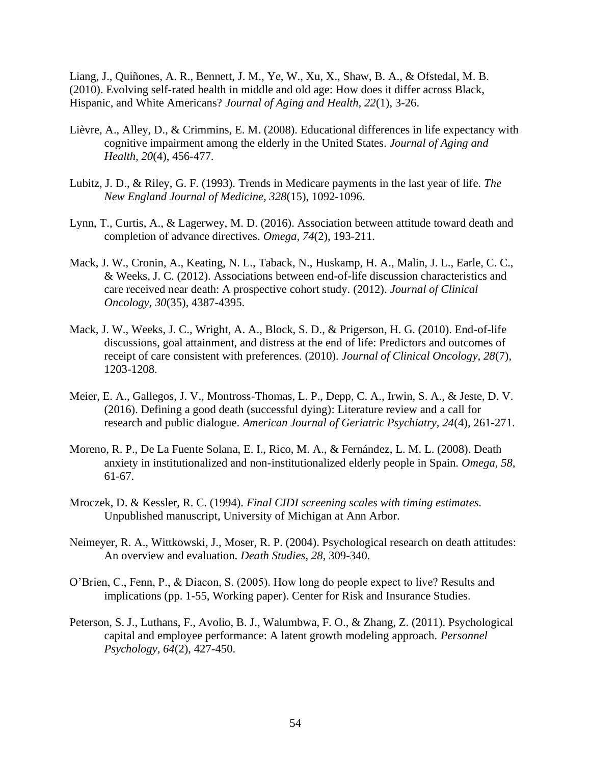Liang, J., Quiñones, A. R., Bennett, J. M., Ye, W., Xu, X., Shaw, B. A., & Ofstedal, M. B. (2010). Evolving self-rated health in middle and old age: How does it differ across Black, Hispanic, and White Americans? *Journal of Aging and Health, 22*(1), 3-26.

- Lièvre, A., Alley, D., & Crimmins, E. M. (2008). Educational differences in life expectancy with cognitive impairment among the elderly in the United States. *Journal of Aging and Health, 20*(4), 456-477.
- Lubitz, J. D., & Riley, G. F. (1993). Trends in Medicare payments in the last year of life. *The New England Journal of Medicine, 328*(15), 1092-1096.
- Lynn, T., Curtis, A., & Lagerwey, M. D. (2016). Association between attitude toward death and completion of advance directives. *Omega, 74*(2), 193-211.
- Mack, J. W., Cronin, A., Keating, N. L., Taback, N., Huskamp, H. A., Malin, J. L., Earle, C. C., & Weeks, J. C. (2012). Associations between end-of-life discussion characteristics and care received near death: A prospective cohort study. (2012). *Journal of Clinical Oncology, 30*(35), 4387-4395.
- Mack, J. W., Weeks, J. C., Wright, A. A., Block, S. D., & Prigerson, H. G. (2010). End-of-life discussions, goal attainment, and distress at the end of life: Predictors and outcomes of receipt of care consistent with preferences. (2010). *Journal of Clinical Oncology, 28*(7), 1203-1208.
- Meier, E. A., Gallegos, J. V., Montross-Thomas, L. P., Depp, C. A., Irwin, S. A., & Jeste, D. V. (2016). Defining a good death (successful dying): Literature review and a call for research and public dialogue. *American Journal of Geriatric Psychiatry, 24*(4), 261-271.
- Moreno, R. P., De La Fuente Solana, E. I., Rico, M. A., & Fernández, L. M. L. (2008). Death anxiety in institutionalized and non-institutionalized elderly people in Spain. *Omega, 58,*  61-67.
- Mroczek, D. & Kessler, R. C. (1994). *Final CIDI screening scales with timing estimates.*  Unpublished manuscript, University of Michigan at Ann Arbor.
- Neimeyer, R. A., Wittkowski, J., Moser, R. P. (2004). Psychological research on death attitudes: An overview and evaluation. *Death Studies, 28*, 309-340.
- O'Brien, C., Fenn, P., & Diacon, S. (2005). How long do people expect to live? Results and implications (pp. 1-55, Working paper). Center for Risk and Insurance Studies.
- Peterson, S. J., Luthans, F., Avolio, B. J., Walumbwa, F. O., & Zhang, Z. (2011). Psychological capital and employee performance: A latent growth modeling approach. *Personnel Psychology, 64*(2), 427-450.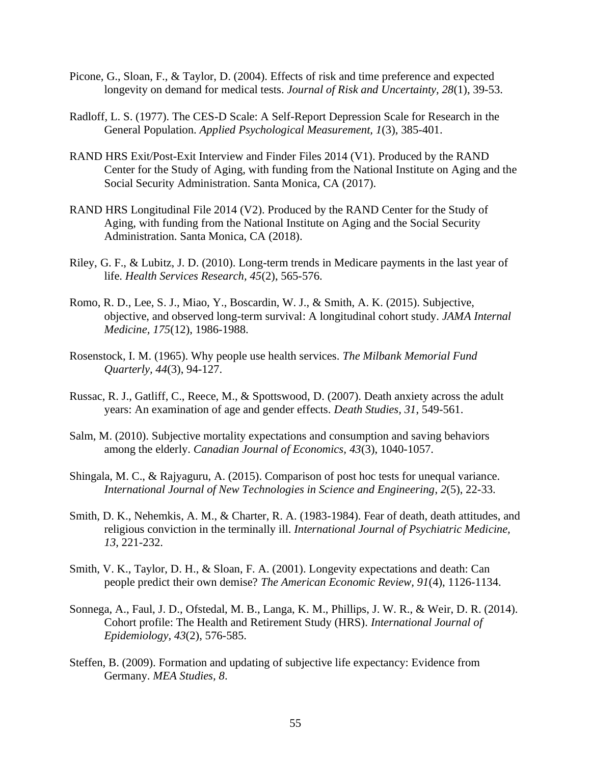- Picone, G., Sloan, F., & Taylor, D. (2004). Effects of risk and time preference and expected longevity on demand for medical tests. *Journal of Risk and Uncertainty, 28*(1), 39-53.
- Radloff, L. S. (1977). The CES-D Scale: A Self-Report Depression Scale for Research in the General Population. *Applied Psychological Measurement, 1*(3), 385-401.
- RAND HRS Exit/Post-Exit Interview and Finder Files 2014 (V1). Produced by the RAND Center for the Study of Aging, with funding from the National Institute on Aging and the Social Security Administration. Santa Monica, CA (2017).
- RAND HRS Longitudinal File 2014 (V2). Produced by the RAND Center for the Study of Aging, with funding from the National Institute on Aging and the Social Security Administration. Santa Monica, CA (2018).
- Riley, G. F., & Lubitz, J. D. (2010). Long-term trends in Medicare payments in the last year of life. *Health Services Research, 45*(2), 565-576.
- Romo, R. D., Lee, S. J., Miao, Y., Boscardin, W. J., & Smith, A. K. (2015). Subjective, objective, and observed long-term survival: A longitudinal cohort study. *JAMA Internal Medicine, 175*(12), 1986-1988.
- Rosenstock, I. M. (1965). Why people use health services. *The Milbank Memorial Fund Quarterly, 44*(3), 94-127.
- Russac, R. J., Gatliff, C., Reece, M., & Spottswood, D. (2007). Death anxiety across the adult years: An examination of age and gender effects. *Death Studies, 31*, 549-561.
- Salm, M. (2010). Subjective mortality expectations and consumption and saving behaviors among the elderly. *Canadian Journal of Economics, 43*(3), 1040-1057.
- Shingala, M. C., & Rajyaguru, A. (2015). Comparison of post hoc tests for unequal variance. *International Journal of New Technologies in Science and Engineering*, *2*(5), 22-33.
- Smith, D. K., Nehemkis, A. M., & Charter, R. A. (1983-1984). Fear of death, death attitudes, and religious conviction in the terminally ill. *International Journal of Psychiatric Medicine, 13*, 221-232.
- Smith, V. K., Taylor, D. H., & Sloan, F. A. (2001). Longevity expectations and death: Can people predict their own demise? *The American Economic Review, 91*(4), 1126-1134.
- Sonnega, A., Faul, J. D., Ofstedal, M. B., Langa, K. M., Phillips, J. W. R., & Weir, D. R. (2014). Cohort profile: The Health and Retirement Study (HRS). *International Journal of Epidemiology, 43*(2), 576-585.
- Steffen, B. (2009). Formation and updating of subjective life expectancy: Evidence from Germany. *MEA Studies, 8*.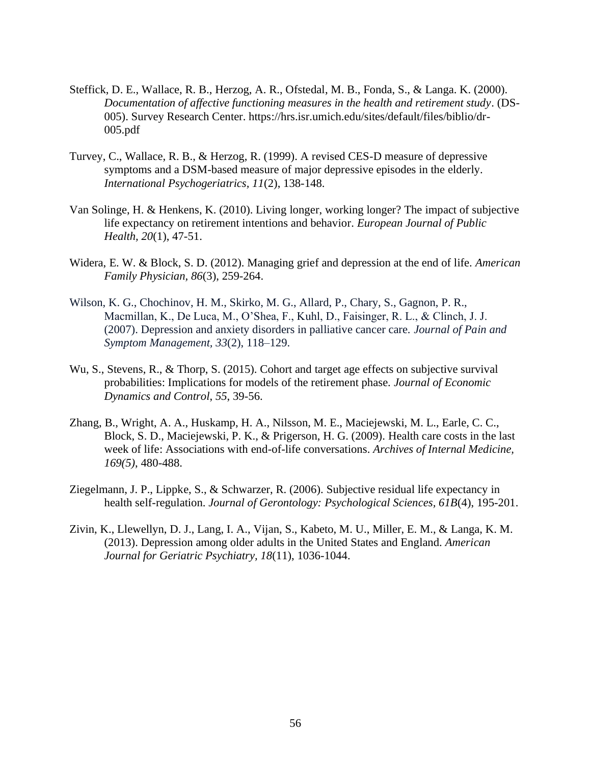- Steffick, D. E., Wallace, R. B., Herzog, A. R., Ofstedal, M. B., Fonda, S., & Langa. K. (2000). *Documentation of affective functioning measures in the health and retirement study*. (DS-005). Survey Research Center. https://hrs.isr.umich.edu/sites/default/files/biblio/dr-005.pdf
- Turvey, C., Wallace, R. B., & Herzog, R. (1999). A revised CES-D measure of depressive symptoms and a DSM-based measure of major depressive episodes in the elderly. *International Psychogeriatrics, 11*(2), 138-148.
- Van Solinge, H. & Henkens, K. (2010). Living longer, working longer? The impact of subjective life expectancy on retirement intentions and behavior. *European Journal of Public Health, 20*(1), 47-51.
- Widera, E. W. & Block, S. D. (2012). Managing grief and depression at the end of life. *American Family Physician, 86*(3), 259-264.
- Wilson, K. G., Chochinov, H. M., Skirko, M. G., Allard, P., Chary, S., Gagnon, P. R., Macmillan, K., De Luca, M., O'Shea, F., Kuhl, D., Faisinger, R. L., & Clinch, J. J. (2007). Depression and anxiety disorders in palliative cancer care. *Journal of Pain and Symptom Management, 33*(2), 118–129.
- Wu, S., Stevens, R., & Thorp, S. (2015). Cohort and target age effects on subjective survival probabilities: Implications for models of the retirement phase. *Journal of Economic Dynamics and Control*, *55*, 39-56.
- Zhang, B., Wright, A. A., Huskamp, H. A., Nilsson, M. E., Maciejewski, M. L., Earle, C. C., Block, S. D., Maciejewski, P. K., & Prigerson, H. G. (2009). Health care costs in the last week of life: Associations with end-of-life conversations. *Archives of Internal Medicine, 169(5)*, 480-488.
- Ziegelmann, J. P., Lippke, S., & Schwarzer, R. (2006). Subjective residual life expectancy in health self-regulation. *Journal of Gerontology: Psychological Sciences, 61B*(4), 195-201.
- Zivin, K., Llewellyn, D. J., Lang, I. A., Vijan, S., Kabeto, M. U., Miller, E. M., & Langa, K. M. (2013). Depression among older adults in the United States and England. *American Journal for Geriatric Psychiatry, 18*(11), 1036-1044.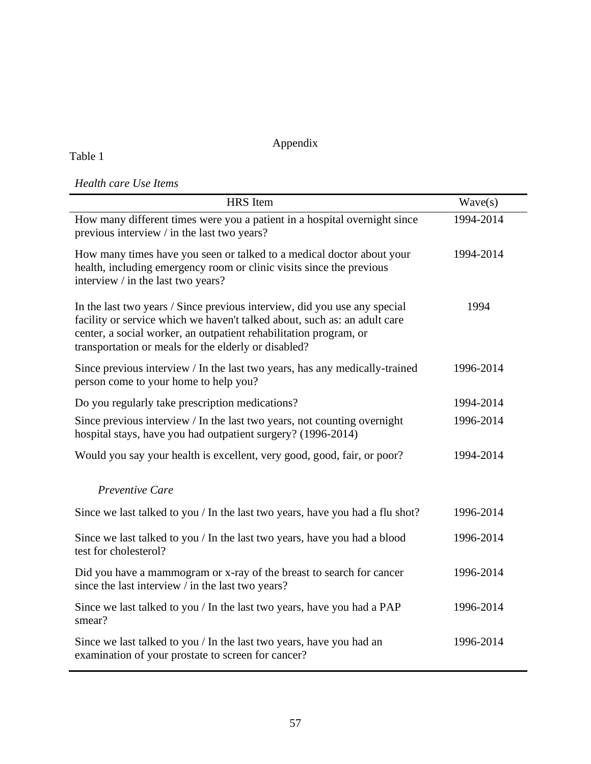# Appendix

# Table 1

# *Health care Use Items*

| <b>HRS</b> Item                                                                                                                                                                                                                                                                     | Wave(s)   |
|-------------------------------------------------------------------------------------------------------------------------------------------------------------------------------------------------------------------------------------------------------------------------------------|-----------|
| How many different times were you a patient in a hospital overnight since<br>previous interview / in the last two years?                                                                                                                                                            | 1994-2014 |
| How many times have you seen or talked to a medical doctor about your<br>health, including emergency room or clinic visits since the previous<br>interview / in the last two years?                                                                                                 | 1994-2014 |
| In the last two years / Since previous interview, did you use any special<br>facility or service which we haven't talked about, such as: an adult care<br>center, a social worker, an outpatient rehabilitation program, or<br>transportation or meals for the elderly or disabled? | 1994      |
| Since previous interview / In the last two years, has any medically-trained<br>person come to your home to help you?                                                                                                                                                                | 1996-2014 |
| Do you regularly take prescription medications?                                                                                                                                                                                                                                     | 1994-2014 |
| Since previous interview / In the last two years, not counting overnight<br>hospital stays, have you had outpatient surgery? (1996-2014)                                                                                                                                            | 1996-2014 |
| Would you say your health is excellent, very good, good, fair, or poor?                                                                                                                                                                                                             | 1994-2014 |
| Preventive Care                                                                                                                                                                                                                                                                     |           |
| Since we last talked to you / In the last two years, have you had a flu shot?                                                                                                                                                                                                       | 1996-2014 |
| Since we last talked to you / In the last two years, have you had a blood<br>test for cholesterol?                                                                                                                                                                                  | 1996-2014 |
| Did you have a mammogram or x-ray of the breast to search for cancer<br>since the last interview / in the last two years?                                                                                                                                                           | 1996-2014 |
| Since we last talked to you / In the last two years, have you had a PAP<br>smear?                                                                                                                                                                                                   | 1996-2014 |
| Since we last talked to you / In the last two years, have you had an<br>examination of your prostate to screen for cancer?                                                                                                                                                          | 1996-2014 |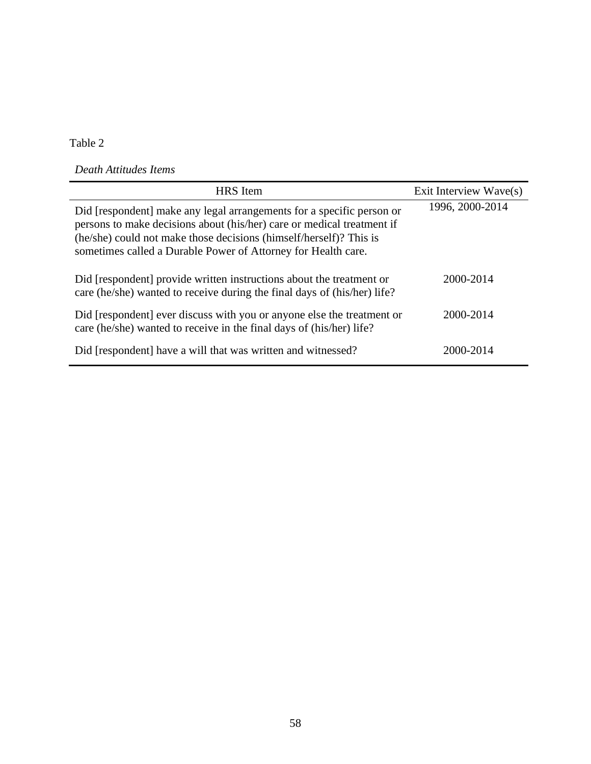Table 2

*Death Attitudes Items*

| <b>HRS</b> Item                                                                                                                                                                                                                                                                        | Exit Interview Wave(s) |
|----------------------------------------------------------------------------------------------------------------------------------------------------------------------------------------------------------------------------------------------------------------------------------------|------------------------|
| Did [respondent] make any legal arrangements for a specific person or<br>persons to make decisions about (his/her) care or medical treatment if<br>(he/she) could not make those decisions (himself/herself)? This is<br>sometimes called a Durable Power of Attorney for Health care. | 1996, 2000-2014        |
| Did [respondent] provide written instructions about the treatment or<br>care (he/she) wanted to receive during the final days of (his/her) life?                                                                                                                                       | 2000-2014              |
| Did [respondent] ever discuss with you or anyone else the treatment or<br>care (he/she) wanted to receive in the final days of (his/her) life?                                                                                                                                         | 2000-2014              |
| Did [respondent] have a will that was written and witnessed?                                                                                                                                                                                                                           | 2000-2014              |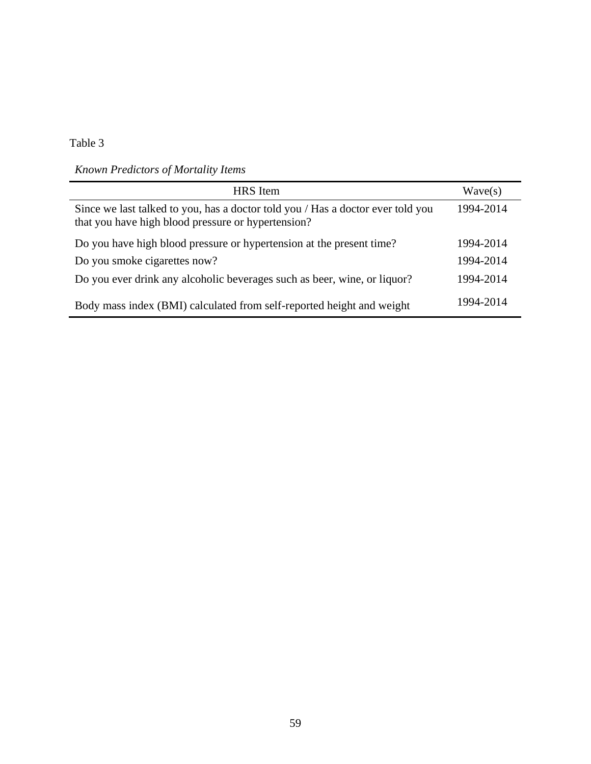Table 3

*Known Predictors of Mortality Items*

| HRS Item                                                                                                                              | Wave(s)   |
|---------------------------------------------------------------------------------------------------------------------------------------|-----------|
| Since we last talked to you, has a doctor told you / Has a doctor ever told you<br>that you have high blood pressure or hypertension? | 1994-2014 |
| Do you have high blood pressure or hypertension at the present time?                                                                  | 1994-2014 |
| Do you smoke cigarettes now?                                                                                                          | 1994-2014 |
| Do you ever drink any alcoholic beverages such as beer, wine, or liquor?                                                              | 1994-2014 |
| Body mass index (BMI) calculated from self-reported height and weight                                                                 | 1994-2014 |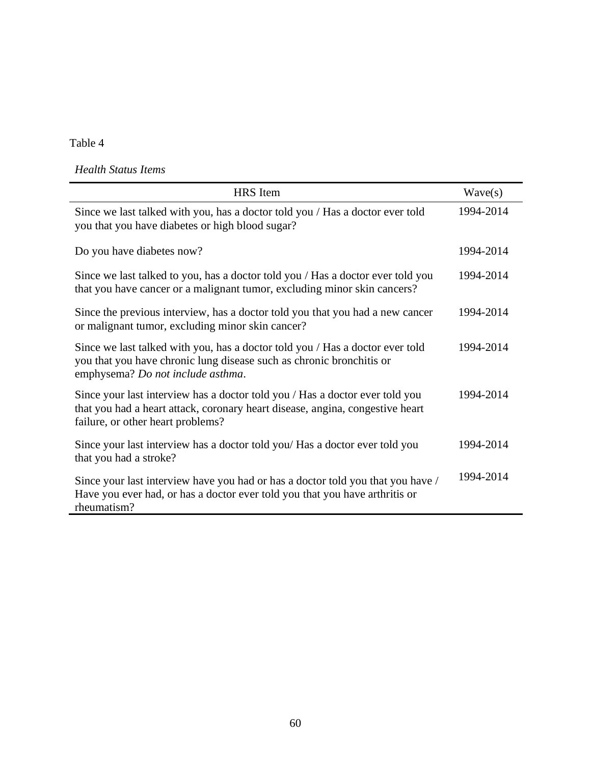Table 4

*Health Status Items*

| <b>HRS</b> Item                                                                                                                                                                                    | Wave(s)   |
|----------------------------------------------------------------------------------------------------------------------------------------------------------------------------------------------------|-----------|
| Since we last talked with you, has a doctor told you / Has a doctor ever told<br>you that you have diabetes or high blood sugar?                                                                   | 1994-2014 |
| Do you have diabetes now?                                                                                                                                                                          | 1994-2014 |
| Since we last talked to you, has a doctor told you / Has a doctor ever told you<br>that you have cancer or a malignant tumor, excluding minor skin cancers?                                        | 1994-2014 |
| Since the previous interview, has a doctor told you that you had a new cancer<br>or malignant tumor, excluding minor skin cancer?                                                                  | 1994-2014 |
| Since we last talked with you, has a doctor told you / Has a doctor ever told<br>you that you have chronic lung disease such as chronic bronchitis or<br>emphysema? Do not include asthma.         | 1994-2014 |
| Since your last interview has a doctor told you / Has a doctor ever told you<br>that you had a heart attack, coronary heart disease, angina, congestive heart<br>failure, or other heart problems? | 1994-2014 |
| Since your last interview has a doctor told you/ Has a doctor ever told you<br>that you had a stroke?                                                                                              | 1994-2014 |
| Since your last interview have you had or has a doctor told you that you have /<br>Have you ever had, or has a doctor ever told you that you have arthritis or<br>rheumatism?                      | 1994-2014 |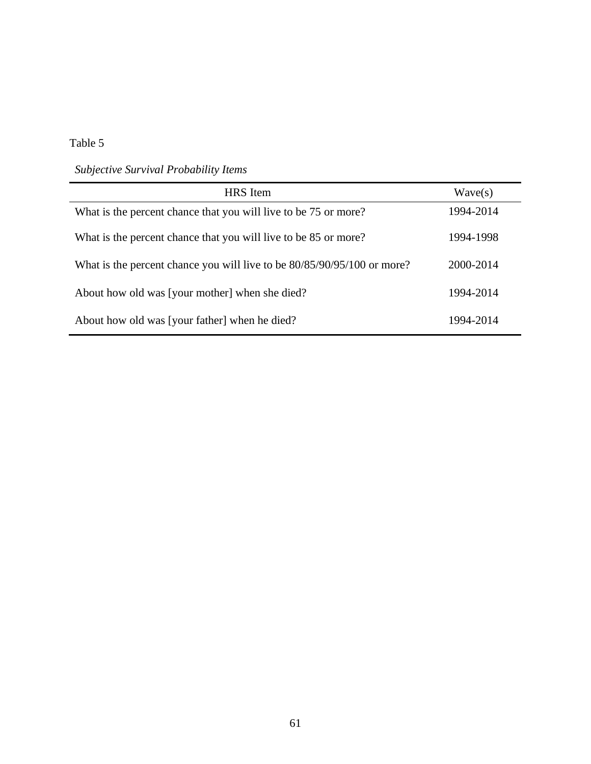*Subjective Survival Probability Items*

| <b>HRS</b> Item                                                         | Wave(s)   |
|-------------------------------------------------------------------------|-----------|
| What is the percent chance that you will live to be 75 or more?         | 1994-2014 |
| What is the percent chance that you will live to be 85 or more?         | 1994-1998 |
| What is the percent chance you will live to be 80/85/90/95/100 or more? | 2000-2014 |
| About how old was [your mother] when she died?                          | 1994-2014 |
| About how old was [your father] when he died?                           | 1994-2014 |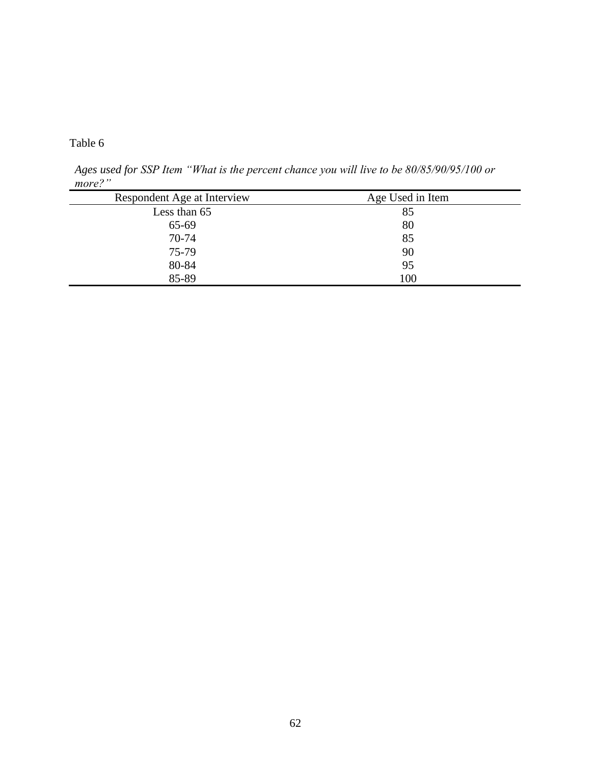*Ages used for SSP Item "What is the percent chance you will live to be 80/85/90/95/100 or more?"*

| Respondent Age at Interview | Age Used in Item |
|-----------------------------|------------------|
| Less than 65                | 85               |
| 65-69                       | 80               |
| 70-74                       | 85               |
| 75-79                       | 90               |
| 80-84                       | 95               |
| 85-89                       | 100              |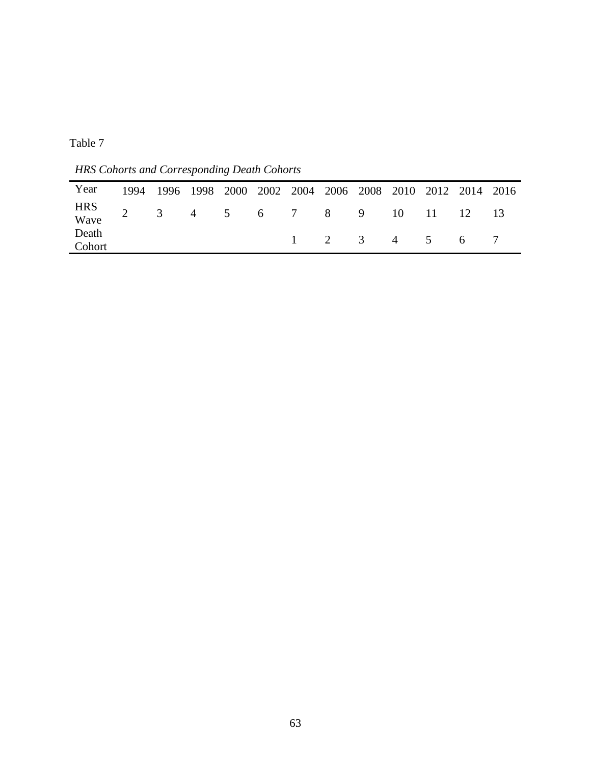*HRS Cohorts and Corresponding Death Cohorts*

| Year                                    | 1994 1996 1998 2000 2002 2004 2006 2008 2010 2012 2014 2016 |  |  |                             |  |  |  |
|-----------------------------------------|-------------------------------------------------------------|--|--|-----------------------------|--|--|--|
| HRS<br>Wave 2 3 4 5 6 7 8 9 10 11 12 13 |                                                             |  |  |                             |  |  |  |
| Death<br>Cohort                         |                                                             |  |  | $1 \t2 \t3 \t4 \t5 \t6 \t7$ |  |  |  |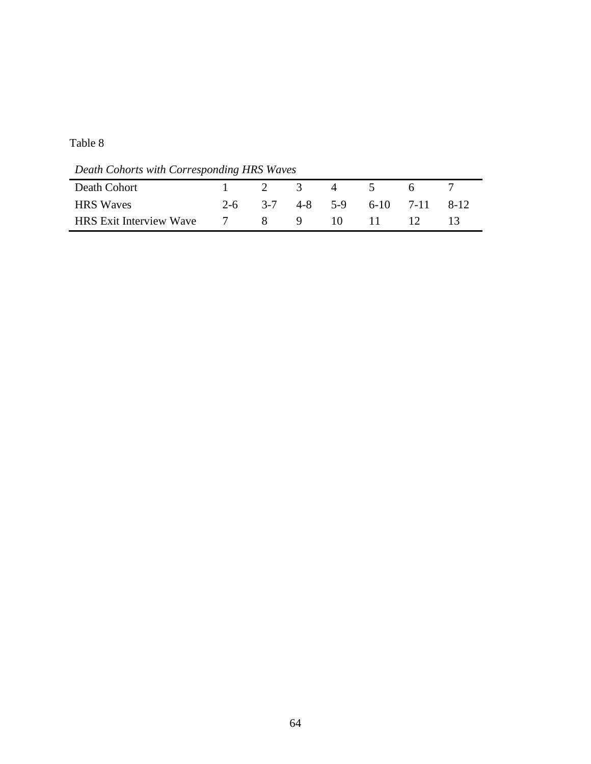*Death Cohorts with Corresponding HRS Waves*

| Death Cohort                   | $1 \t 2 \t 3 \t 4$ |  | $\overline{5}$ | - 6 -                                        |  |
|--------------------------------|--------------------|--|----------------|----------------------------------------------|--|
| <b>HRS</b> Waves               |                    |  |                | $2-6$ $3-7$ $4-8$ $5-9$ $6-10$ $7-11$ $8-12$ |  |
| <b>HRS</b> Exit Interview Wave | $\overline{7}$     |  |                | 8 9 10 11 12 13                              |  |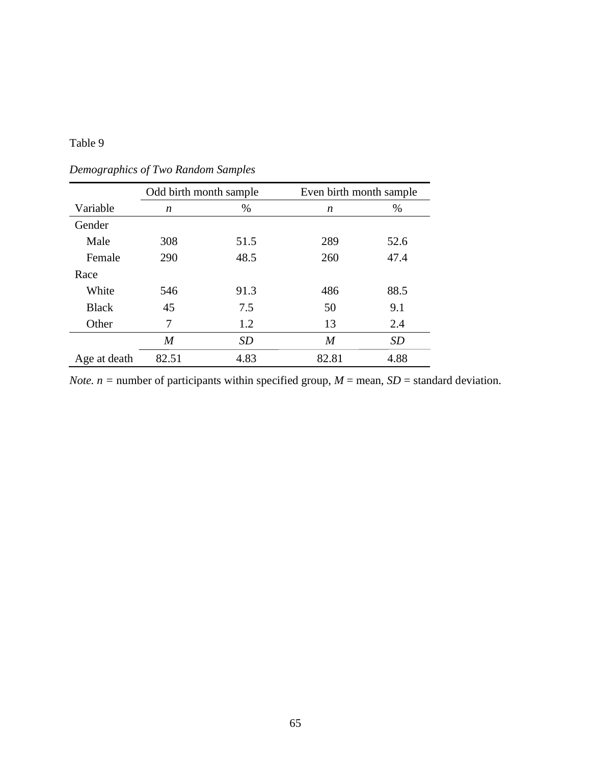|              | Odd birth month sample |           | Even birth month sample |           |
|--------------|------------------------|-----------|-------------------------|-----------|
| Variable     | n                      | %         | n                       | $\%$      |
| Gender       |                        |           |                         |           |
| Male         | 308                    | 51.5      | 289                     | 52.6      |
| Female       | 290                    | 48.5      | 260                     | 47.4      |
| Race         |                        |           |                         |           |
| White        | 546                    | 91.3      | 486                     | 88.5      |
| <b>Black</b> | 45                     | 7.5       | 50                      | 9.1       |
| Other        | 7                      | 1.2       | 13                      | 2.4       |
|              | M                      | <i>SD</i> | $\boldsymbol{M}$        | <b>SD</b> |
| Age at death | 82.51                  | 4.83      | 82.81                   | 4.88      |

*Demographics of Two Random Samples*

*Note.*  $n =$  number of participants within specified group,  $M =$  mean,  $SD =$  standard deviation.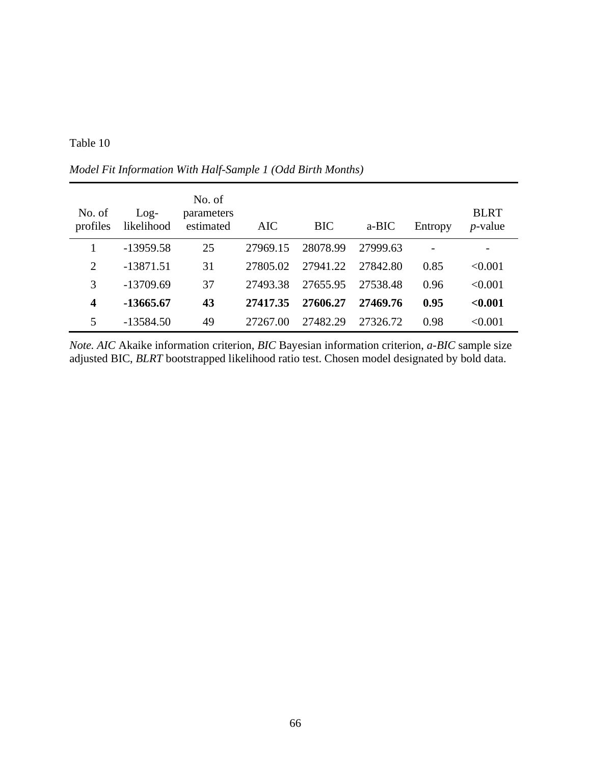| No. of<br>profiles | $Log-$<br>likelihood | No. of<br>parameters<br>estimated | AIC      | <b>BIC</b> | a-BIC    | Entropy        | <b>BLRT</b><br>$p$ -value |
|--------------------|----------------------|-----------------------------------|----------|------------|----------|----------------|---------------------------|
|                    | $-13959.58$          | 25                                | 27969.15 | 28078.99   | 27999.63 | $\overline{a}$ |                           |
| 2                  | $-13871.51$          | 31                                | 27805.02 | 27941.22   | 27842.80 | 0.85           | < 0.001                   |
| 3                  | $-13709.69$          | 37                                | 27493.38 | 27655.95   | 27538.48 | 0.96           | < 0.001                   |
| $\boldsymbol{4}$   | -13665.67            | 43                                | 27417.35 | 27606.27   | 27469.76 | 0.95           | < 0.001                   |
|                    | $-13584.50$          | 49                                | 27267.00 | 27482.29   | 27326.72 | 0.98           | < 0.001                   |

*Model Fit Information With Half-Sample 1 (Odd Birth Months)*

*Note. AIC* Akaike information criterion, *BIC* Bayesian information criterion, *a-BIC* sample size adjusted BIC, *BLRT* bootstrapped likelihood ratio test. Chosen model designated by bold data.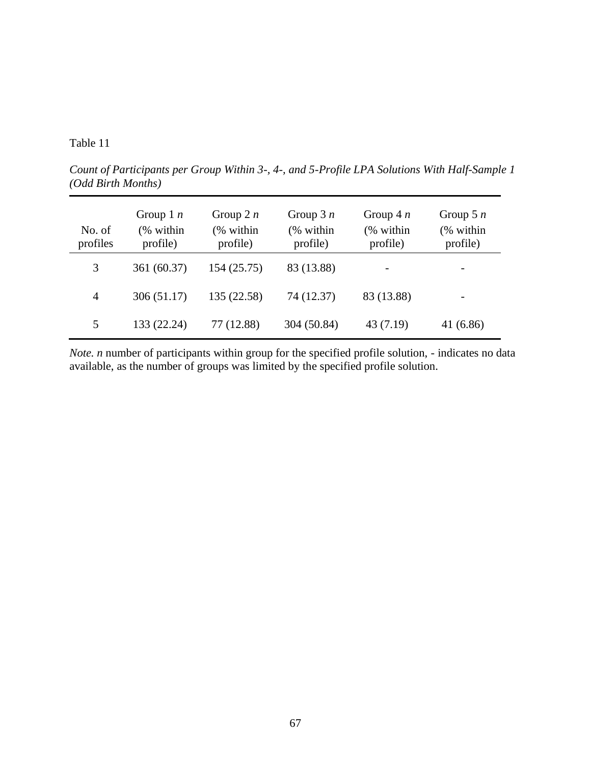*Count of Participants per Group Within 3-, 4-, and 5-Profile LPA Solutions With Half-Sample 1 (Odd Birth Months)*

| No. of<br>profiles | Group 1 $n$<br>(% within<br>profile) | Group 2 $n$<br>(% within<br>profile) | Group $3n$<br>(% within<br>profile) | Group $4n$<br>(% within<br>profile) | Group 5 $n$<br>(% within<br>profile) |
|--------------------|--------------------------------------|--------------------------------------|-------------------------------------|-------------------------------------|--------------------------------------|
| 3                  | 361 (60.37)                          | 154 (25.75)                          | 83 (13.88)                          |                                     |                                      |
| 4                  | 306(51.17)                           | 135 (22.58)                          | 74 (12.37)                          | 83 (13.88)                          |                                      |
| 5                  | 133 (22.24)                          | 77 (12.88)                           | 304 (50.84)                         | 43(7.19)                            | 41(6.86)                             |

*Note. n* number of participants within group for the specified profile solution, - indicates no data available, as the number of groups was limited by the specified profile solution.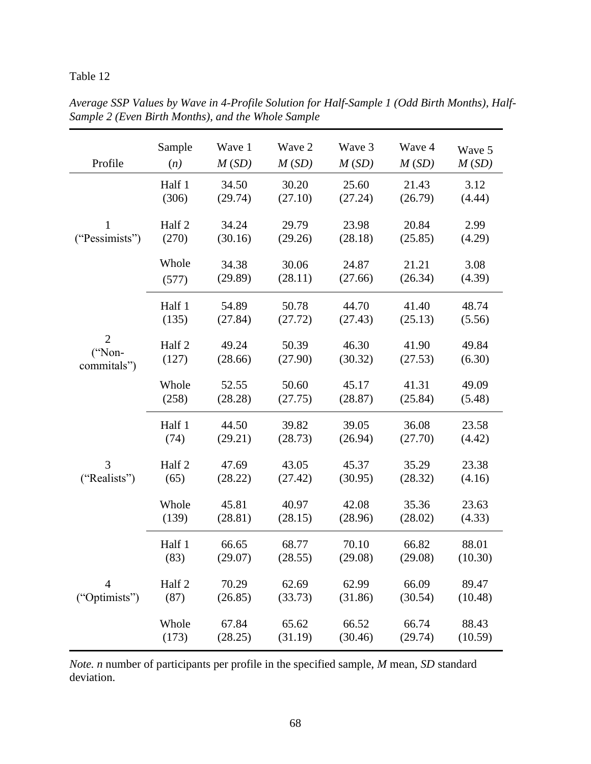| Profile                                 | Sample          | Wave 1           | Wave 2           | Wave 3           | Wave 4           | Wave 5          |
|-----------------------------------------|-----------------|------------------|------------------|------------------|------------------|-----------------|
|                                         | (n)             | M(SD)            | M(SD)            | M(SD)            | M(SD)            | M(SD)           |
|                                         | Half 1          | 34.50            | 30.20            | 25.60            | 21.43            | 3.12            |
|                                         | (306)           | (29.74)          | (27.10)          | (27.24)          | (26.79)          | (4.44)          |
| 1                                       | Half 2          | 34.24            | 29.79            | 23.98            | 20.84            | 2.99            |
| ("Pessimists")                          | (270)           | (30.16)          | (29.26)          | (28.18)          | (25.85)          | (4.29)          |
|                                         | Whole           | 34.38            | 30.06            | 24.87            | 21.21            | 3.08            |
|                                         | (577)           | (29.89)          | (28.11)          | (27.66)          | (26.34)          | (4.39)          |
|                                         | Half 1          | 54.89            | 50.78            | 44.70            | 41.40            | 48.74           |
|                                         | (135)           | (27.84)          | (27.72)          | (27.43)          | (25.13)          | (5.56)          |
| $\overline{2}$<br>("Non-<br>commitals") | Half 2<br>(127) | 49.24<br>(28.66) | 50.39<br>(27.90) | 46.30<br>(30.32) | 41.90<br>(27.53) | 49.84<br>(6.30) |
|                                         | Whole<br>(258)  | 52.55<br>(28.28) | 50.60<br>(27.75) | 45.17<br>(28.87) | 41.31<br>(25.84) | 49.09<br>(5.48) |
|                                         | Half 1          | 44.50            | 39.82            | 39.05            | 36.08            | 23.58           |
|                                         | (74)            | (29.21)          | (28.73)          | (26.94)          | (27.70)          | (4.42)          |
| 3                                       | Half 2          | 47.69            | 43.05            | 45.37            | 35.29            | 23.38           |
| ("Realists")                            | (65)            | (28.22)          | (27.42)          | (30.95)          | (28.32)          | (4.16)          |
|                                         | Whole           | 45.81            | 40.97            | 42.08            | 35.36            | 23.63           |
|                                         | (139)           | (28.81)          | (28.15)          | (28.96)          | (28.02)          | (4.33)          |
|                                         | Half 1          | 66.65            | 68.77            | 70.10            | 66.82            | 88.01           |
|                                         | (83)            | (29.07)          | (28.55)          | (29.08)          | (29.08)          | (10.30)         |
| $\overline{4}$                          | Half 2          | 70.29            | 62.69            | 62.99            | 66.09            | 89.47           |
| ("Optimists")                           | (87)            | (26.85)          | (33.73)          | (31.86)          | (30.54)          | (10.48)         |
|                                         | Whole           | 67.84            | 65.62            | 66.52            | 66.74            | 88.43           |
|                                         | (173)           | (28.25)          | (31.19)          | (30.46)          | (29.74)          | (10.59)         |

*Average SSP Values by Wave in 4-Profile Solution for Half-Sample 1 (Odd Birth Months), Half-Sample 2 (Even Birth Months), and the Whole Sample*

*Note. n* number of participants per profile in the specified sample, *M* mean, *SD* standard deviation.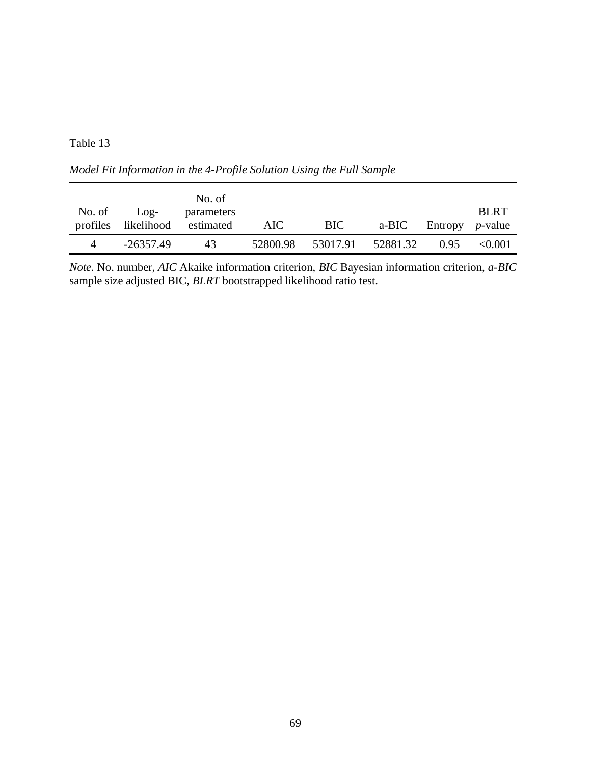*Model Fit Information in the 4-Profile Solution Using the Full Sample*

|        |             | No. of                        |          |     |                      |                          |             |
|--------|-------------|-------------------------------|----------|-----|----------------------|--------------------------|-------------|
| No. of | Log-        | parameters                    |          |     |                      |                          | <b>BLRT</b> |
|        |             | profiles likelihood estimated | AIC.     | BIC |                      | a-BIC Entropy $p$ -value |             |
| 4      | $-26357.49$ | 43                            | 52800.98 |     | 53017.91    52881.32 | 0.95                     | < 0.001     |

*Note.* No. number, *AIC* Akaike information criterion, *BIC* Bayesian information criterion, *a-BIC* sample size adjusted BIC, *BLRT* bootstrapped likelihood ratio test.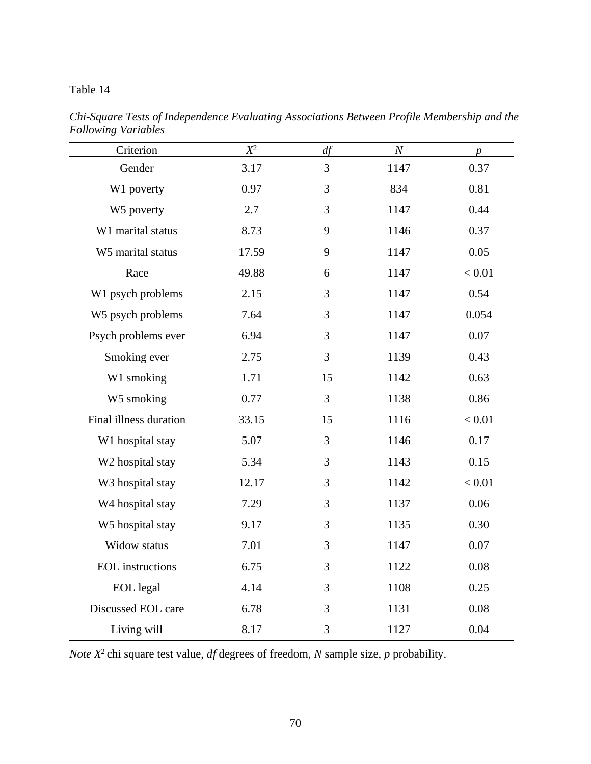| Criterion                    | $X^2$ | df | $\cal N$ | $\boldsymbol{p}$ |
|------------------------------|-------|----|----------|------------------|
| Gender                       | 3.17  | 3  | 1147     | 0.37             |
| W1 poverty                   | 0.97  | 3  | 834      | 0.81             |
| W5 poverty                   | 2.7   | 3  | 1147     | 0.44             |
| W1 marital status            | 8.73  | 9  | 1146     | 0.37             |
| W5 marital status            | 17.59 | 9  | 1147     | 0.05             |
| Race                         | 49.88 | 6  | 1147     | < 0.01           |
| W1 psych problems            | 2.15  | 3  | 1147     | 0.54             |
| W5 psych problems            | 7.64  | 3  | 1147     | 0.054            |
| Psych problems ever          | 6.94  | 3  | 1147     | 0.07             |
| Smoking ever                 | 2.75  | 3  | 1139     | 0.43             |
| W1 smoking                   | 1.71  | 15 | 1142     | 0.63             |
| W5 smoking                   | 0.77  | 3  | 1138     | 0.86             |
| Final illness duration       | 33.15 | 15 | 1116     | < 0.01           |
| W1 hospital stay             | 5.07  | 3  | 1146     | 0.17             |
| W2 hospital stay             | 5.34  | 3  | 1143     | 0.15             |
| W3 hospital stay             | 12.17 | 3  | 1142     | < 0.01           |
| W <sub>4</sub> hospital stay | 7.29  | 3  | 1137     | 0.06             |
| W5 hospital stay             | 9.17  | 3  | 1135     | 0.30             |
| Widow status                 | 7.01  | 3  | 1147     | 0.07             |
| <b>EOL</b> instructions      | 6.75  | 3  | 1122     | 0.08             |
| <b>EOL</b> legal             | 4.14  | 3  | 1108     | 0.25             |
| Discussed EOL care           | 6.78  | 3  | 1131     | 0.08             |
| Living will                  | 8.17  | 3  | 1127     | 0.04             |

*Chi-Square Tests of Independence Evaluating Associations Between Profile Membership and the Following Variables*

*Note X* 2 chi square test value, *df* degrees of freedom, *N* sample size, *p* probability.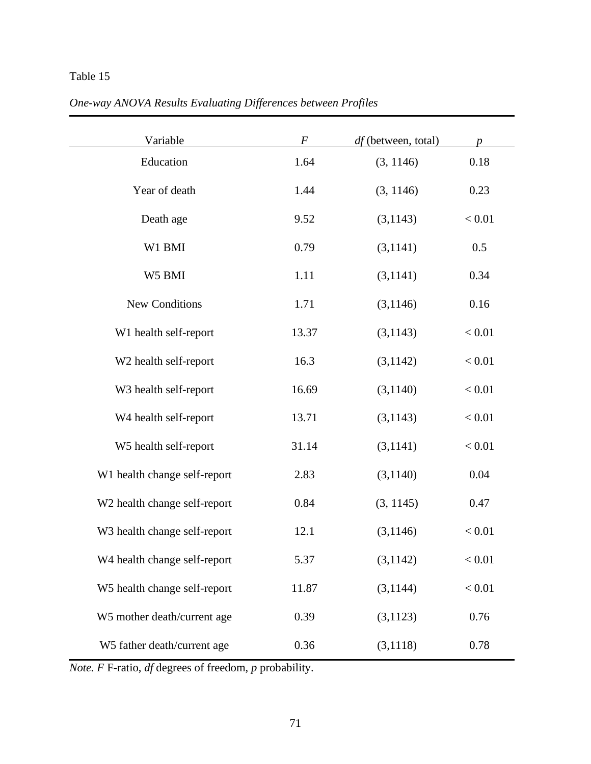| One-way ANOVA Results Evaluating Differences between Profiles |  |
|---------------------------------------------------------------|--|
|                                                               |  |

| Variable                     | $\boldsymbol{F}$ | df (between, total) | $\boldsymbol{p}$ |
|------------------------------|------------------|---------------------|------------------|
| Education                    | 1.64             | (3, 1146)           | 0.18             |
| Year of death                | 1.44             | (3, 1146)           | 0.23             |
| Death age                    | 9.52             | (3, 1143)           | < 0.01           |
| W1 BMI                       | 0.79             | (3,1141)            | 0.5              |
| W5 BMI                       | 1.11             | (3,1141)            | 0.34             |
| <b>New Conditions</b>        | 1.71             | (3,1146)            | 0.16             |
| W1 health self-report        | 13.37            | (3, 1143)           | < 0.01           |
| W2 health self-report        | 16.3             | (3,1142)            | < 0.01           |
| W3 health self-report        | 16.69            | (3,1140)            | < 0.01           |
| W4 health self-report        | 13.71            | (3,1143)            | < 0.01           |
| W5 health self-report        | 31.14            | (3,1141)            | < 0.01           |
| W1 health change self-report | 2.83             | (3,1140)            | 0.04             |
| W2 health change self-report | 0.84             | (3, 1145)           | 0.47             |
| W3 health change self-report | 12.1             | (3,1146)            | < 0.01           |
| W4 health change self-report | 5.37             | (3,1142)            | < 0.01           |
| W5 health change self-report | 11.87            | (3,1144)            | < 0.01           |
| W5 mother death/current age  | 0.39             | (3, 1123)           | 0.76             |
| W5 father death/current age  | 0.36             | (3,1118)            | 0.78             |

*Note. F* F-ratio, *df* degrees of freedom, *p* probability.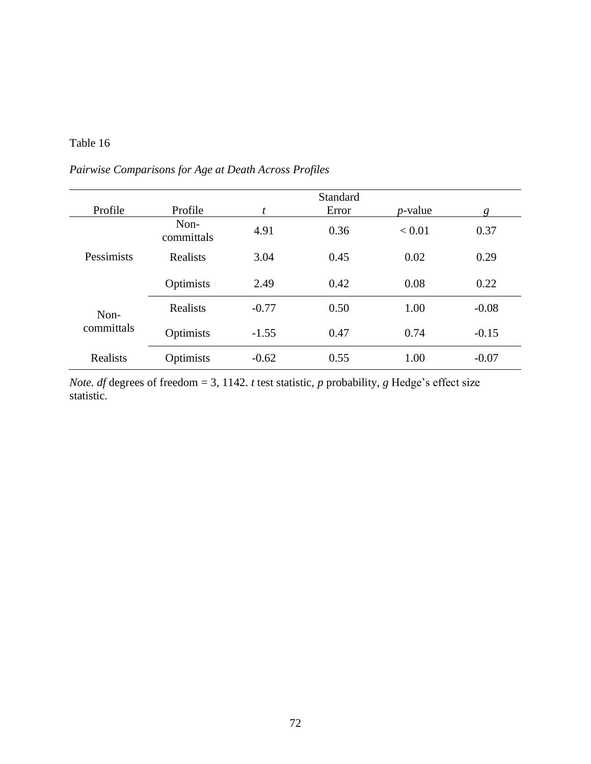*Pairwise Comparisons for Age at Death Across Profiles*

|                    |                    |         | <b>Standard</b> |            |         |
|--------------------|--------------------|---------|-----------------|------------|---------|
| Profile            | Profile            | t       | Error           | $p$ -value | g       |
| Pessimists         | Non-<br>committals | 4.91    | 0.36            | < 0.01     | 0.37    |
|                    | Realists           | 3.04    | 0.45            | 0.02       | 0.29    |
|                    | Optimists          | 2.49    | 0.42            | 0.08       | 0.22    |
| Non-<br>committals | <b>Realists</b>    | $-0.77$ | 0.50            | 1.00       | $-0.08$ |
|                    | Optimists          | $-1.55$ | 0.47            | 0.74       | $-0.15$ |
| Realists           | Optimists          | $-0.62$ | 0.55            | 1.00       | $-0.07$ |

*Note. df* degrees of freedom = 3, 1142. *t* test statistic, *p* probability, *g* Hedge's effect size statistic.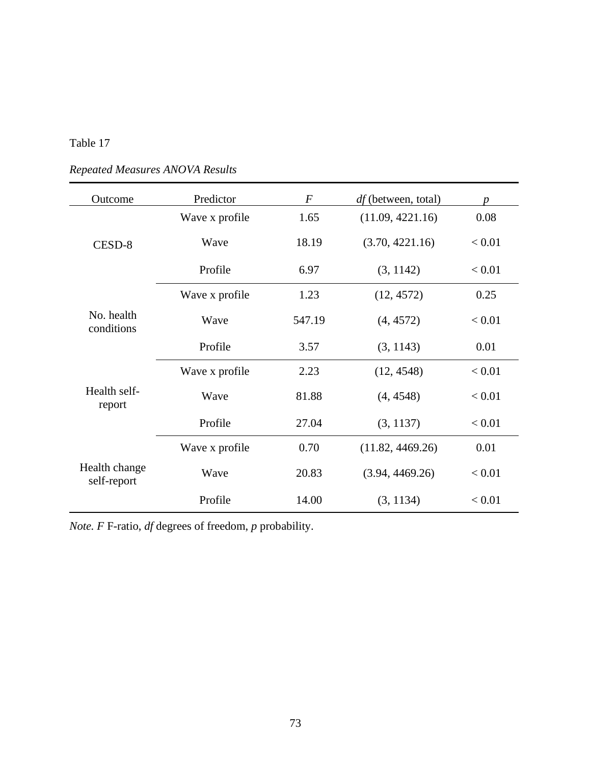| Outcome                      | Predictor      | $\overline{F}$ | <i>df</i> (between, total) | $\boldsymbol{p}$ |
|------------------------------|----------------|----------------|----------------------------|------------------|
|                              | Wave x profile | 1.65           | (11.09, 4221.16)           | 0.08             |
| CESD-8                       | Wave           | 18.19          | (3.70, 4221.16)            | < 0.01           |
|                              | Profile        | 6.97           | (3, 1142)                  | < 0.01           |
|                              | Wave x profile | 1.23           | (12, 4572)                 | 0.25             |
| No. health<br>conditions     | Wave           | 547.19         | (4, 4572)                  | < 0.01           |
|                              | Profile        | 3.57           | (3, 1143)                  | 0.01             |
|                              | Wave x profile | 2.23           | (12, 4548)                 | < 0.01           |
| Health self-<br>report       | Wave           | 81.88          | (4, 4548)                  | < 0.01           |
|                              | Profile        | 27.04          | (3, 1137)                  | < 0.01           |
|                              | Wave x profile | 0.70           | (11.82, 4469.26)           | 0.01             |
| Health change<br>self-report | Wave           | 20.83          | (3.94, 4469.26)            | < 0.01           |
|                              | Profile        | 14.00          | (3, 1134)                  | < 0.01           |

*Repeated Measures ANOVA Results*

*Note. F* F-ratio, *df* degrees of freedom, *p* probability.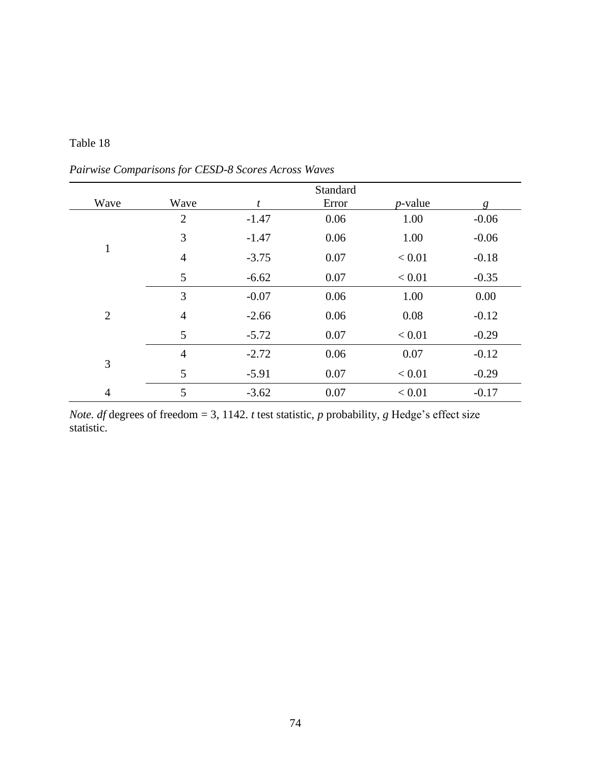|                |                |         | Standard |            |         |
|----------------|----------------|---------|----------|------------|---------|
| Wave           | Wave           | t       | Error    | $p$ -value | g       |
|                | $\overline{2}$ | $-1.47$ | 0.06     | 1.00       | $-0.06$ |
|                | 3              | $-1.47$ | 0.06     | 1.00       | $-0.06$ |
| $\mathbf{1}$   | 4              | $-3.75$ | 0.07     | < 0.01     | $-0.18$ |
|                | 5              | $-6.62$ | 0.07     | < 0.01     | $-0.35$ |
|                | 3              | $-0.07$ | 0.06     | 1.00       | 0.00    |
| $\overline{2}$ | 4              | $-2.66$ | 0.06     | 0.08       | $-0.12$ |
|                | 5              | $-5.72$ | 0.07     | < 0.01     | $-0.29$ |
| 3              | $\overline{4}$ | $-2.72$ | 0.06     | 0.07       | $-0.12$ |
|                | 5              | $-5.91$ | 0.07     | < 0.01     | $-0.29$ |
| $\overline{4}$ | 5              | $-3.62$ | 0.07     | < 0.01     | $-0.17$ |

*Pairwise Comparisons for CESD-8 Scores Across Waves*

*Note. df* degrees of freedom = 3, 1142. *t* test statistic, *p* probability, *g* Hedge's effect size statistic.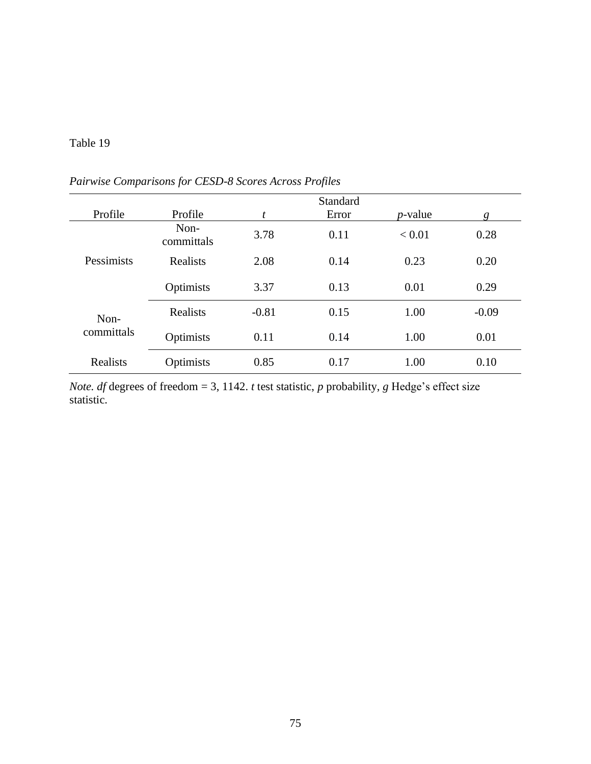|                    |                    |         | Standard |            |         |
|--------------------|--------------------|---------|----------|------------|---------|
| Profile            | Profile            | t       | Error    | $p$ -value | g       |
| Pessimists         | Non-<br>committals | 3.78    | 0.11     | < 0.01     | 0.28    |
|                    | Realists           | 2.08    | 0.14     | 0.23       | 0.20    |
|                    | Optimists          | 3.37    | 0.13     | 0.01       | 0.29    |
| Non-<br>committals | Realists           | $-0.81$ | 0.15     | 1.00       | $-0.09$ |
|                    | Optimists          | 0.11    | 0.14     | 1.00       | 0.01    |
| Realists           | Optimists          | 0.85    | 0.17     | 1.00       | 0.10    |

*Pairwise Comparisons for CESD-8 Scores Across Profiles*

*Note. df* degrees of freedom = 3, 1142. *t* test statistic, *p* probability, *g* Hedge's effect size statistic.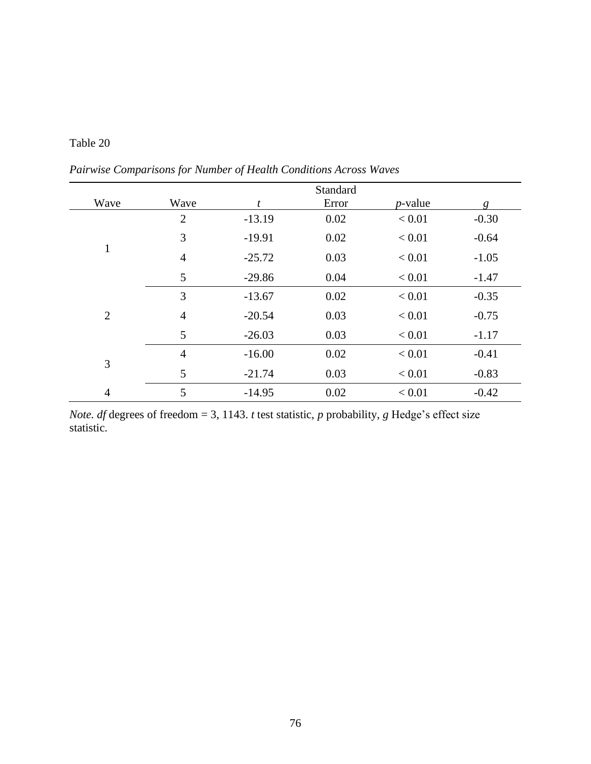| Table 20 |  |
|----------|--|
|----------|--|

*Pairwise Comparisons for Number of Health Conditions Across Waves*

|                |                |          | Standard |            |         |
|----------------|----------------|----------|----------|------------|---------|
| Wave           | Wave           | t        | Error    | $p$ -value | g       |
|                | $\overline{2}$ | $-13.19$ | 0.02     | < 0.01     | $-0.30$ |
|                | 3              | $-19.91$ | 0.02     | < 0.01     | $-0.64$ |
| 1              | $\overline{4}$ | $-25.72$ | 0.03     | < 0.01     | $-1.05$ |
|                | 5              | $-29.86$ | 0.04     | < 0.01     | $-1.47$ |
|                | 3              | $-13.67$ | 0.02     | < 0.01     | $-0.35$ |
| $\overline{2}$ | $\overline{4}$ | $-20.54$ | 0.03     | < 0.01     | $-0.75$ |
|                | 5              | $-26.03$ | 0.03     | < 0.01     | $-1.17$ |
| 3              | $\overline{4}$ | $-16.00$ | 0.02     | < 0.01     | $-0.41$ |
|                | 5              | $-21.74$ | 0.03     | < 0.01     | $-0.83$ |
| $\overline{4}$ | 5              | $-14.95$ | 0.02     | < 0.01     | $-0.42$ |

*Note. df* degrees of freedom = 3, 1143. *t* test statistic, *p* probability, *g* Hedge's effect size statistic.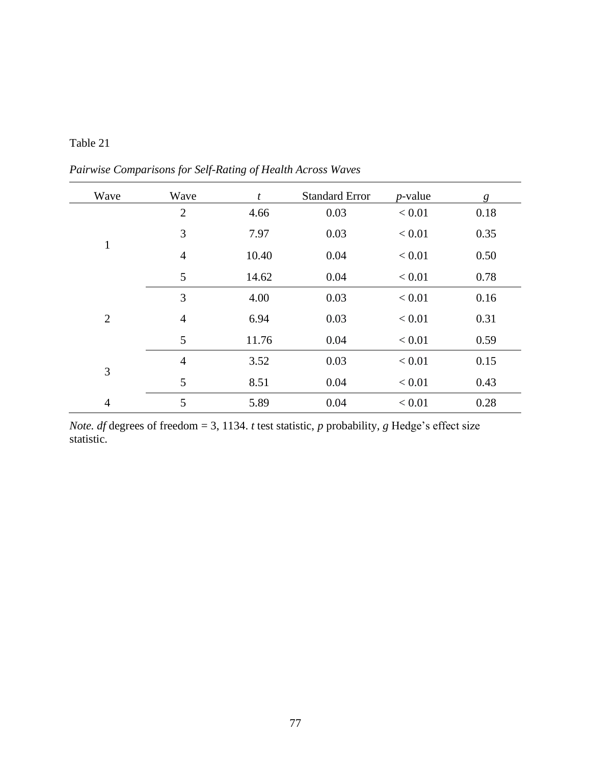| Wave           | Wave           | t     | <b>Standard Error</b> | $p$ -value | g    |
|----------------|----------------|-------|-----------------------|------------|------|
|                | $\overline{2}$ | 4.66  | 0.03                  | < 0.01     | 0.18 |
|                | 3              | 7.97  | 0.03                  | < 0.01     | 0.35 |
| $\mathbf{1}$   | $\overline{4}$ | 10.40 | 0.04                  | < 0.01     | 0.50 |
|                | 5              | 14.62 | 0.04                  | < 0.01     | 0.78 |
|                | 3              | 4.00  | 0.03                  | < 0.01     | 0.16 |
| $\overline{2}$ | $\overline{4}$ | 6.94  | 0.03                  | < 0.01     | 0.31 |
|                | 5              | 11.76 | 0.04                  | < 0.01     | 0.59 |
|                | $\overline{4}$ | 3.52  | 0.03                  | < 0.01     | 0.15 |
| 3              | 5              | 8.51  | 0.04                  | < 0.01     | 0.43 |
| $\overline{4}$ | 5              | 5.89  | 0.04                  | < 0.01     | 0.28 |

*Pairwise Comparisons for Self-Rating of Health Across Waves*

*Note. df* degrees of freedom = 3, 1134. *t* test statistic, *p* probability, *g* Hedge's effect size statistic.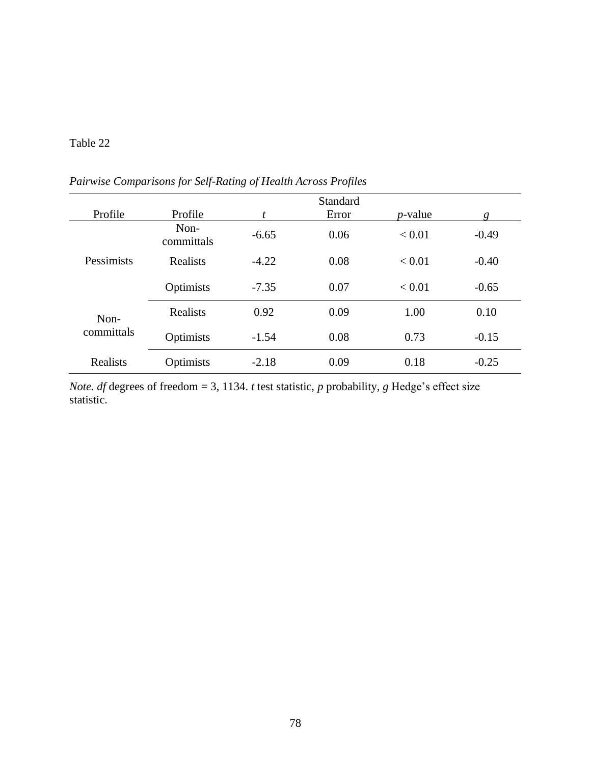|                    |                    |         | Standard |            |         |
|--------------------|--------------------|---------|----------|------------|---------|
| Profile            | Profile            | t       | Error    | $p$ -value | g       |
| Pessimists         | Non-<br>committals | $-6.65$ | 0.06     | < 0.01     | $-0.49$ |
|                    | Realists           | $-4.22$ | 0.08     | < 0.01     | $-0.40$ |
|                    | Optimists          | $-7.35$ | 0.07     | < 0.01     | $-0.65$ |
| Non-<br>committals | Realists           | 0.92    | 0.09     | 1.00       | 0.10    |
|                    | Optimists          | $-1.54$ | 0.08     | 0.73       | $-0.15$ |
| <b>Realists</b>    | Optimists          | $-2.18$ | 0.09     | 0.18       | $-0.25$ |

*Pairwise Comparisons for Self-Rating of Health Across Profiles*

*Note. df* degrees of freedom = 3, 1134. *t* test statistic, *p* probability, *g* Hedge's effect size statistic.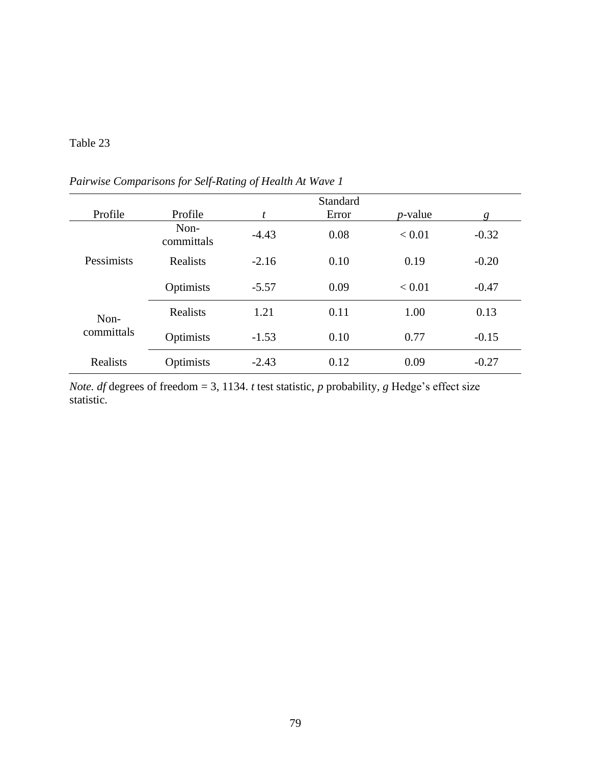|                    |                    |         | Standard |            |         |
|--------------------|--------------------|---------|----------|------------|---------|
| Profile            | Profile            | t       | Error    | $p$ -value | g       |
| Pessimists         | Non-<br>committals | $-4.43$ | 0.08     | < 0.01     | $-0.32$ |
|                    | Realists           | $-2.16$ | 0.10     | 0.19       | $-0.20$ |
|                    | Optimists          | $-5.57$ | 0.09     | < 0.01     | $-0.47$ |
| Non-<br>committals | Realists           | 1.21    | 0.11     | 1.00       | 0.13    |
|                    | Optimists          | $-1.53$ | 0.10     | 0.77       | $-0.15$ |
| <b>Realists</b>    | Optimists          | $-2.43$ | 0.12     | 0.09       | $-0.27$ |

*Pairwise Comparisons for Self-Rating of Health At Wave 1*

*Note. df* degrees of freedom = 3, 1134. *t* test statistic, *p* probability, *g* Hedge's effect size statistic.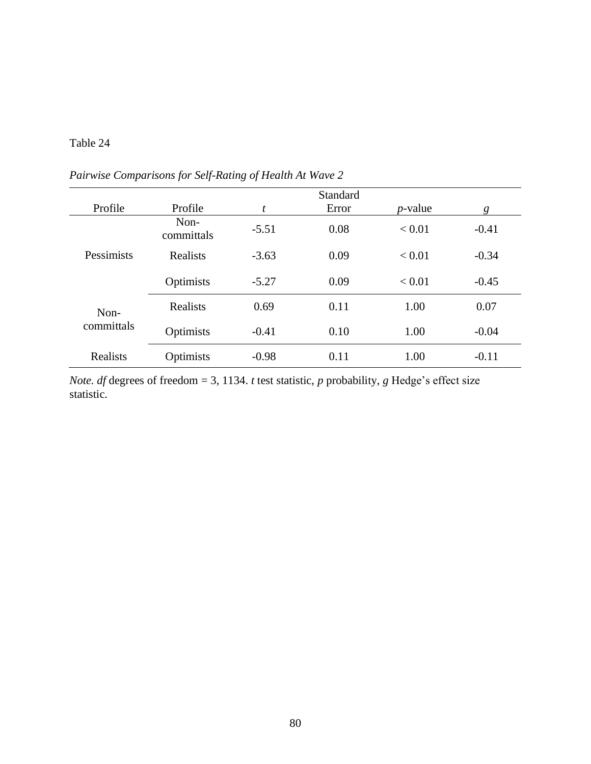|                    |                    |         | Standard |            |         |
|--------------------|--------------------|---------|----------|------------|---------|
| Profile            | Profile            | t       | Error    | $p$ -value | g       |
| Pessimists         | Non-<br>committals | $-5.51$ | 0.08     | < 0.01     | $-0.41$ |
|                    | Realists           | $-3.63$ | 0.09     | < 0.01     | $-0.34$ |
|                    | Optimists          | $-5.27$ | 0.09     | < 0.01     | $-0.45$ |
| Non-<br>committals | <b>Realists</b>    | 0.69    | 0.11     | 1.00       | 0.07    |
|                    | Optimists          | $-0.41$ | 0.10     | 1.00       | $-0.04$ |
| <b>Realists</b>    | Optimists          | $-0.98$ | 0.11     | 1.00       | $-0.11$ |

*Pairwise Comparisons for Self-Rating of Health At Wave 2*

*Note. df* degrees of freedom = 3, 1134. *t* test statistic, *p* probability, *g* Hedge's effect size statistic.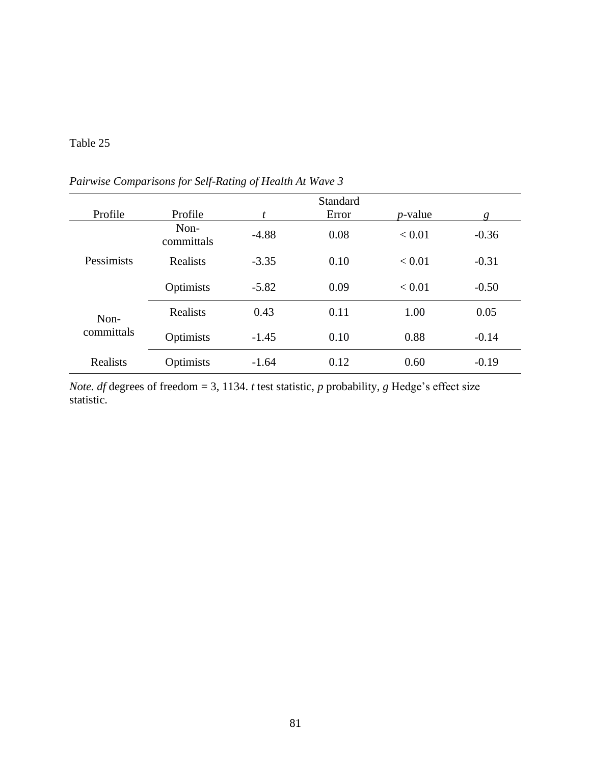|                    |                    |         | <b>Standard</b> |            |         |
|--------------------|--------------------|---------|-----------------|------------|---------|
| Profile            | Profile            | t       | Error           | $p$ -value | g       |
| Pessimists         | Non-<br>committals | $-4.88$ | 0.08            | < 0.01     | $-0.36$ |
|                    | Realists           | $-3.35$ | 0.10            | < 0.01     | $-0.31$ |
|                    | Optimists          | $-5.82$ | 0.09            | < 0.01     | $-0.50$ |
| Non-<br>committals | <b>Realists</b>    | 0.43    | 0.11            | 1.00       | 0.05    |
|                    | Optimists          | $-1.45$ | 0.10            | 0.88       | $-0.14$ |
| <b>Realists</b>    | Optimists          | $-1.64$ | 0.12            | 0.60       | $-0.19$ |

*Pairwise Comparisons for Self-Rating of Health At Wave 3*

*Note. df* degrees of freedom = 3, 1134. *t* test statistic, *p* probability, *g* Hedge's effect size statistic.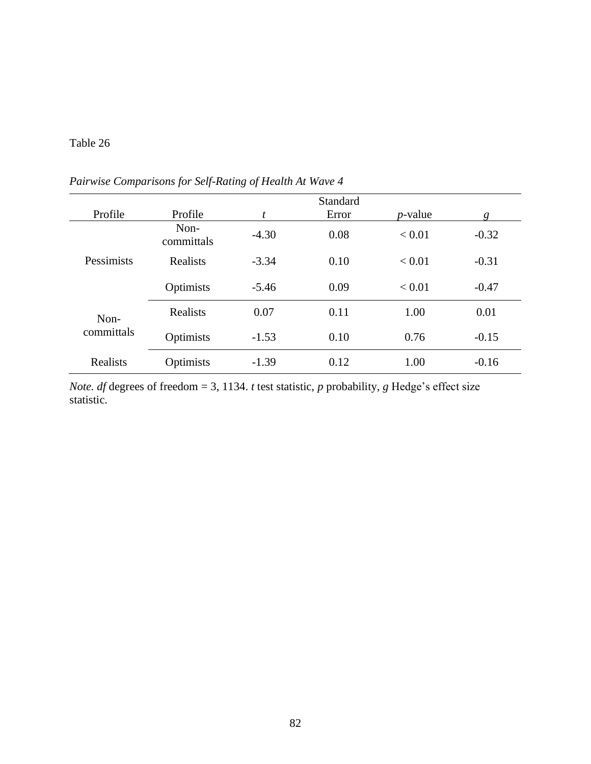|                    |                    |         | Standard |            |         |
|--------------------|--------------------|---------|----------|------------|---------|
| Profile            | Profile            | t       | Error    | $p$ -value | g       |
| Pessimists         | Non-<br>committals | $-4.30$ | 0.08     | < 0.01     | $-0.32$ |
|                    | Realists           | $-3.34$ | 0.10     | < 0.01     | $-0.31$ |
|                    | Optimists          | $-5.46$ | 0.09     | < 0.01     | $-0.47$ |
| Non-<br>committals | Realists           | 0.07    | 0.11     | 1.00       | 0.01    |
|                    | Optimists          | $-1.53$ | 0.10     | 0.76       | $-0.15$ |
| <b>Realists</b>    | Optimists          | $-1.39$ | 0.12     | 1.00       | $-0.16$ |

*Pairwise Comparisons for Self-Rating of Health At Wave 4*

*Note. df* degrees of freedom = 3, 1134. *t* test statistic, *p* probability, *g* Hedge's effect size statistic.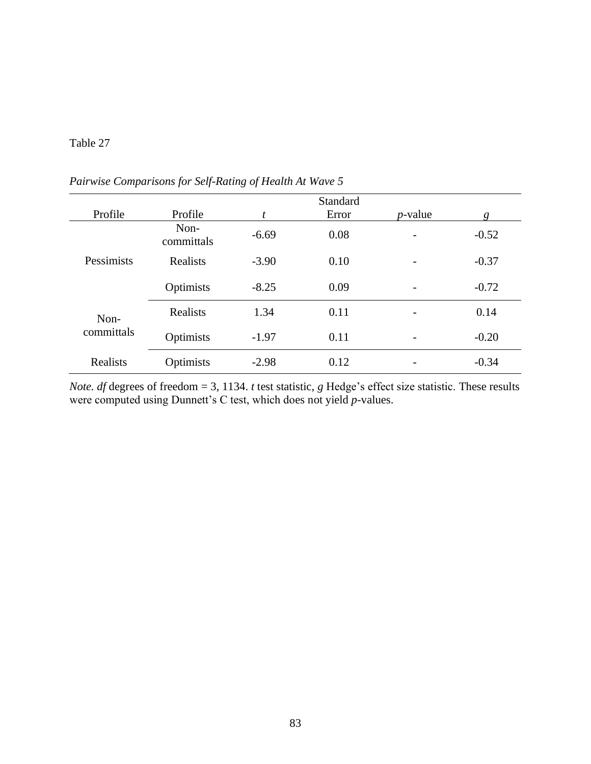|                    |                    |         | <b>Standard</b> |            |         |
|--------------------|--------------------|---------|-----------------|------------|---------|
| Profile            | Profile            | t       | Error           | $p$ -value | g       |
| Pessimists         | Non-<br>committals | $-6.69$ | 0.08            |            | $-0.52$ |
|                    | Realists           | $-3.90$ | 0.10            |            | $-0.37$ |
|                    | Optimists          | $-8.25$ | 0.09            |            | $-0.72$ |
| Non-<br>committals | Realists           | 1.34    | 0.11            |            | 0.14    |
|                    | Optimists          | $-1.97$ | 0.11            |            | $-0.20$ |
| Realists           | Optimists          | $-2.98$ | 0.12            |            | $-0.34$ |

*Pairwise Comparisons for Self-Rating of Health At Wave 5*

*Note. df* degrees of freedom = 3, 1134. *t* test statistic, *g* Hedge's effect size statistic. These results were computed using Dunnett's C test, which does not yield *p-*values.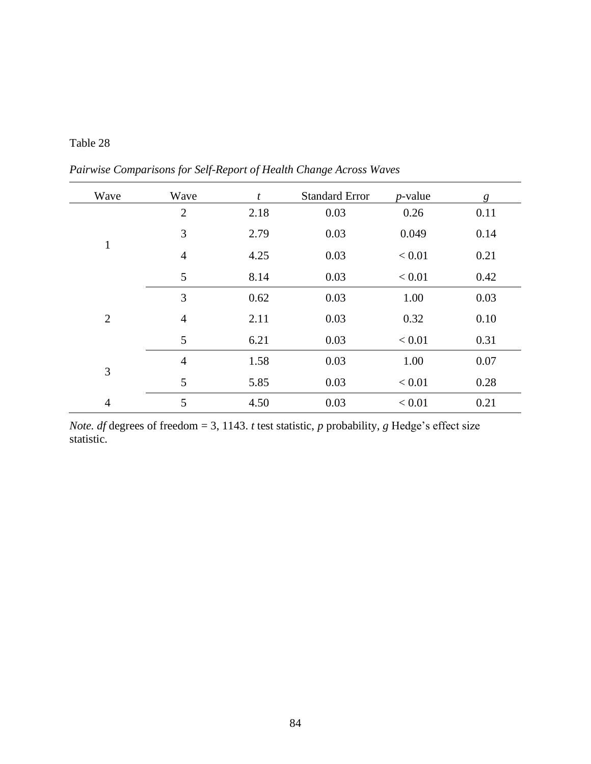| Table 28 |  |
|----------|--|
|----------|--|

*Pairwise Comparisons for Self-Report of Health Change Across Waves*

| Wave           | Wave           | $\boldsymbol{t}$ | <b>Standard Error</b> | $p$ -value | g    |
|----------------|----------------|------------------|-----------------------|------------|------|
|                | $\overline{2}$ | 2.18             | 0.03                  | 0.26       | 0.11 |
|                | 3              | 2.79             | 0.03                  | 0.049      | 0.14 |
| $\mathbf{1}$   | $\overline{4}$ | 4.25             | 0.03                  | < 0.01     | 0.21 |
|                | 5              | 8.14             | 0.03                  | < 0.01     | 0.42 |
| $\overline{2}$ | 3              | 0.62             | 0.03                  | 1.00       | 0.03 |
|                | $\overline{4}$ | 2.11             | 0.03                  | 0.32       | 0.10 |
|                | 5              | 6.21             | 0.03                  | < 0.01     | 0.31 |
| 3              | $\overline{4}$ | 1.58             | 0.03                  | 1.00       | 0.07 |
|                | 5              | 5.85             | 0.03                  | < 0.01     | 0.28 |
| $\overline{4}$ | 5              | 4.50             | 0.03                  | < 0.01     | 0.21 |

*Note. df* degrees of freedom = 3, 1143. *t* test statistic, *p* probability, *g* Hedge's effect size statistic.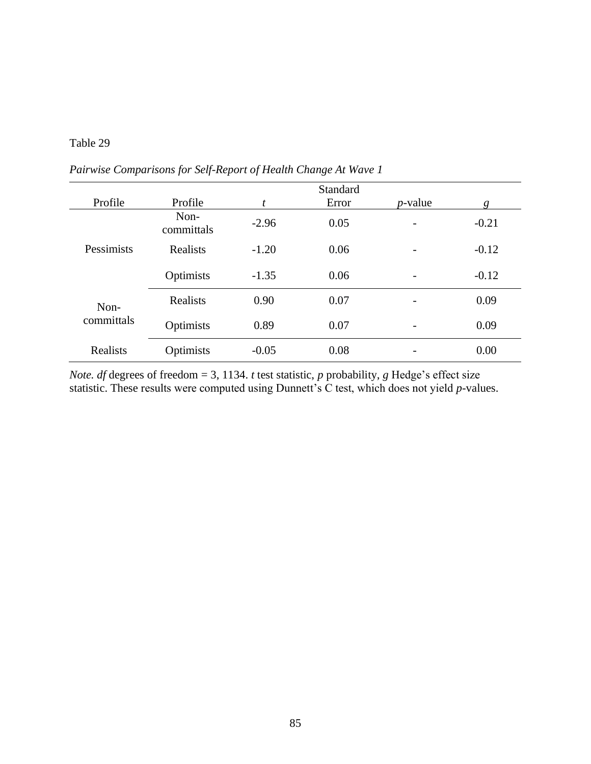|                    |                    |         | Standard |                          |         |
|--------------------|--------------------|---------|----------|--------------------------|---------|
| Profile            | Profile            | t       | Error    | $p$ -value               | g       |
| Pessimists         | Non-<br>committals | $-2.96$ | 0.05     | $\overline{\phantom{0}}$ | $-0.21$ |
|                    | Realists           | $-1.20$ | 0.06     | $\overline{\phantom{0}}$ | $-0.12$ |
|                    | Optimists          | $-1.35$ | 0.06     | $\overline{a}$           | $-0.12$ |
| Non-<br>committals | Realists           | 0.90    | 0.07     |                          | 0.09    |
|                    | Optimists          | 0.89    | 0.07     |                          | 0.09    |
| Realists           | Optimists          | $-0.05$ | 0.08     |                          | 0.00    |

*Pairwise Comparisons for Self-Report of Health Change At Wave 1*

*Note. df* degrees of freedom = 3, 1134. *t* test statistic, *p* probability, *g* Hedge's effect size statistic. These results were computed using Dunnett's C test, which does not yield *p-*values.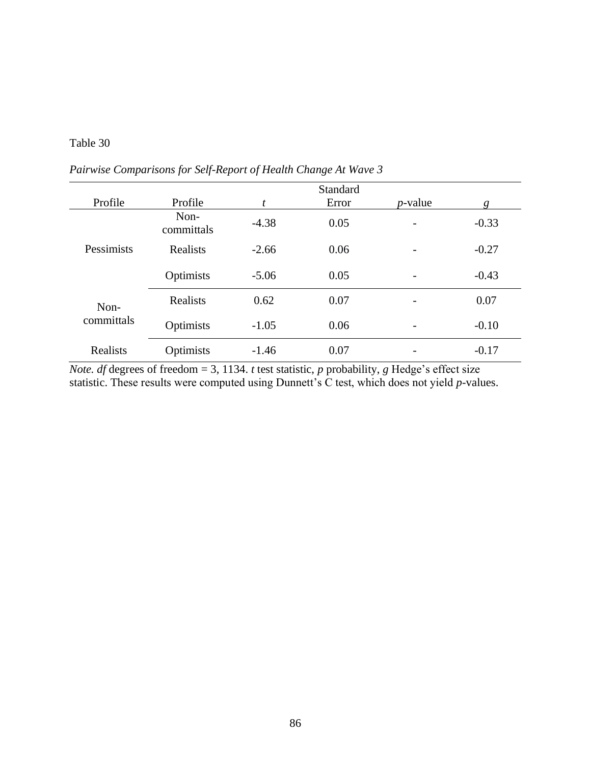|                    |                    |         | Standard |                          |         |
|--------------------|--------------------|---------|----------|--------------------------|---------|
| Profile            | Profile            | t       | Error    | $p$ -value               | g       |
| Pessimists         | Non-<br>committals | $-4.38$ | 0.05     |                          | $-0.33$ |
|                    | <b>Realists</b>    | $-2.66$ | 0.06     |                          | $-0.27$ |
|                    | Optimists          | $-5.06$ | 0.05     | $\overline{\phantom{0}}$ | $-0.43$ |
| Non-<br>committals | <b>Realists</b>    | 0.62    | 0.07     |                          | 0.07    |
|                    | Optimists          | $-1.05$ | 0.06     | $\overline{\phantom{0}}$ | $-0.10$ |
| Realists           | Optimists          | $-1.46$ | 0.07     |                          | $-0.17$ |

*Pairwise Comparisons for Self-Report of Health Change At Wave 3*

*Note. df* degrees of freedom = 3, 1134. *t* test statistic, *p* probability, *g* Hedge's effect size statistic. These results were computed using Dunnett's C test, which does not yield *p-*values.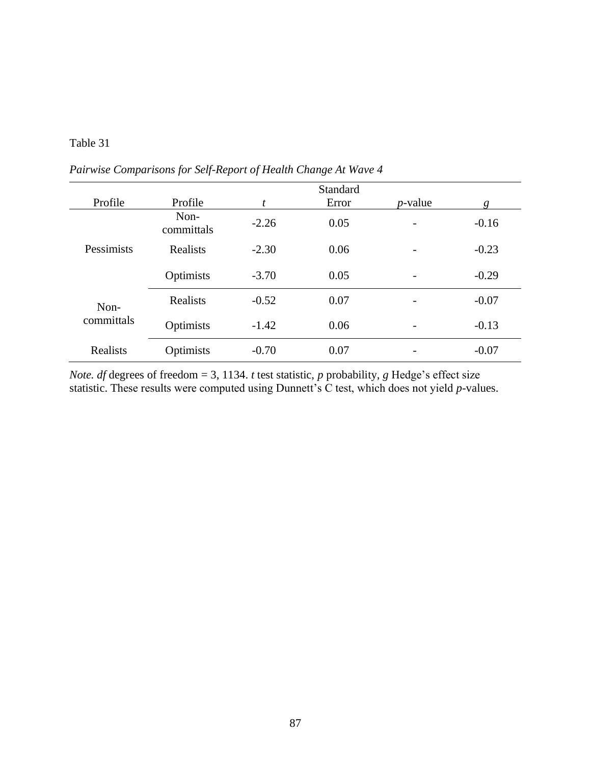|                    |                    |         | Standard |                          |         |
|--------------------|--------------------|---------|----------|--------------------------|---------|
| Profile            | Profile            | t       | Error    | $p$ -value               | g       |
| Pessimists         | Non-<br>committals | $-2.26$ | 0.05     |                          | $-0.16$ |
|                    | Realists           | $-2.30$ | 0.06     |                          | $-0.23$ |
|                    | Optimists          | $-3.70$ | 0.05     | $\overline{\phantom{0}}$ | $-0.29$ |
| Non-<br>committals | <b>Realists</b>    | $-0.52$ | 0.07     |                          | $-0.07$ |
|                    | Optimists          | $-1.42$ | 0.06     |                          | $-0.13$ |
| Realists           | Optimists          | $-0.70$ | 0.07     |                          | $-0.07$ |

*Pairwise Comparisons for Self-Report of Health Change At Wave 4*

*Note. df* degrees of freedom = 3, 1134. *t* test statistic, *p* probability, *g* Hedge's effect size statistic. These results were computed using Dunnett's C test, which does not yield *p-*values.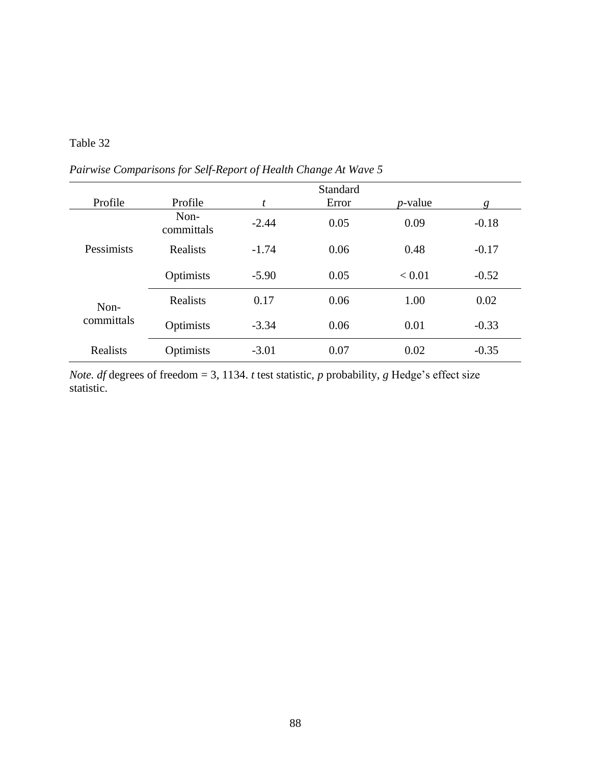|                    |                    |         | Standard |            |         |
|--------------------|--------------------|---------|----------|------------|---------|
| Profile            | Profile            | t       | Error    | $p$ -value | g       |
| Pessimists         | Non-<br>committals | $-2.44$ | 0.05     | 0.09       | $-0.18$ |
|                    | Realists           | $-1.74$ | 0.06     | 0.48       | $-0.17$ |
|                    | Optimists          | $-5.90$ | 0.05     | < 0.01     | $-0.52$ |
| Non-<br>committals | Realists           | 0.17    | 0.06     | 1.00       | 0.02    |
|                    | Optimists          | $-3.34$ | 0.06     | 0.01       | $-0.33$ |
| Realists           | Optimists          | $-3.01$ | 0.07     | 0.02       | $-0.35$ |

*Pairwise Comparisons for Self-Report of Health Change At Wave 5*

*Note. df* degrees of freedom = 3, 1134. *t* test statistic, *p* probability, *g* Hedge's effect size statistic.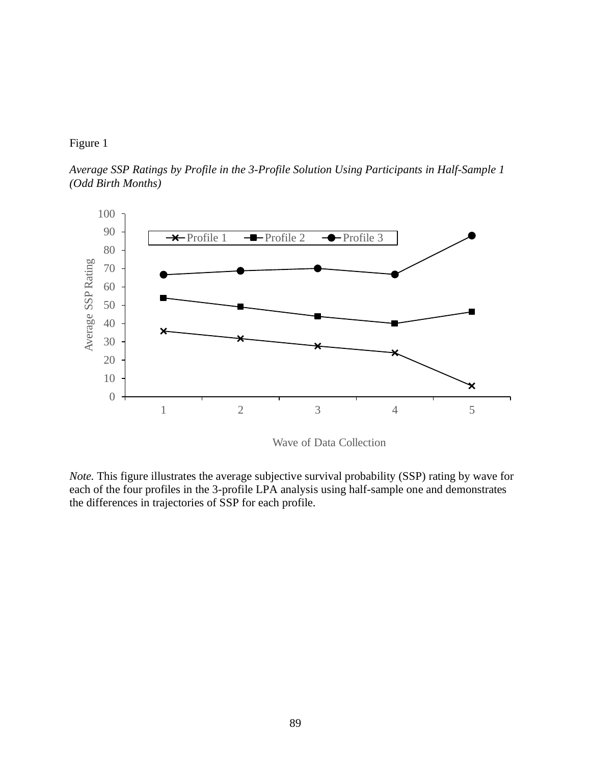

*Average SSP Ratings by Profile in the 3-Profile Solution Using Participants in Half-Sample 1 (Odd Birth Months)*



Wave of Data Collection

*Note.* This figure illustrates the average subjective survival probability (SSP) rating by wave for each of the four profiles in the 3-profile LPA analysis using half-sample one and demonstrates the differences in trajectories of SSP for each profile.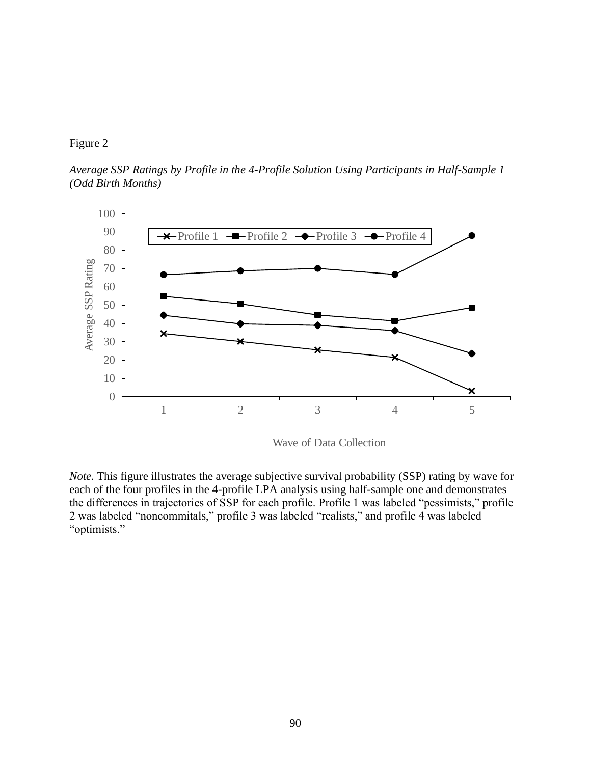

*Average SSP Ratings by Profile in the 4-Profile Solution Using Participants in Half-Sample 1 (Odd Birth Months)*



Wave of Data Collection

*Note.* This figure illustrates the average subjective survival probability (SSP) rating by wave for each of the four profiles in the 4-profile LPA analysis using half-sample one and demonstrates the differences in trajectories of SSP for each profile. Profile 1 was labeled "pessimists," profile 2 was labeled "noncommitals," profile 3 was labeled "realists," and profile 4 was labeled "optimists."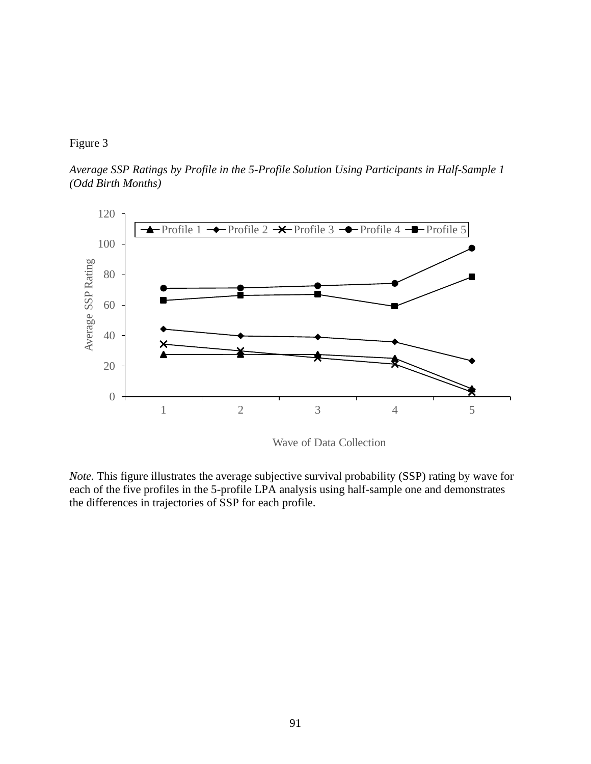#### Figure 3

*Average SSP Ratings by Profile in the 5-Profile Solution Using Participants in Half-Sample 1 (Odd Birth Months)*



Wave of Data Collection

*Note.* This figure illustrates the average subjective survival probability (SSP) rating by wave for each of the five profiles in the 5-profile LPA analysis using half-sample one and demonstrates the differences in trajectories of SSP for each profile.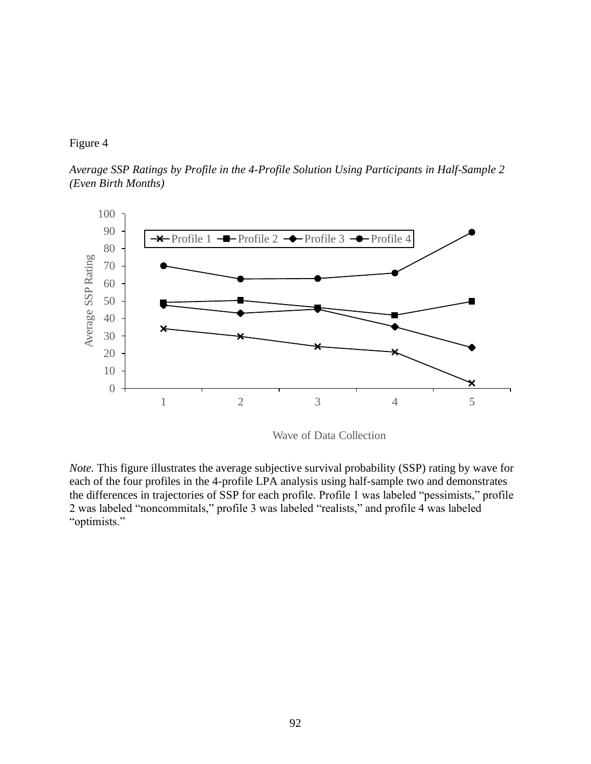#### Figure 4

*Average SSP Ratings by Profile in the 4-Profile Solution Using Participants in Half-Sample 2 (Even Birth Months)*



Wave of Data Collection

*Note.* This figure illustrates the average subjective survival probability (SSP) rating by wave for each of the four profiles in the 4-profile LPA analysis using half-sample two and demonstrates the differences in trajectories of SSP for each profile. Profile 1 was labeled "pessimists," profile 2 was labeled "noncommitals," profile 3 was labeled "realists," and profile 4 was labeled "optimists."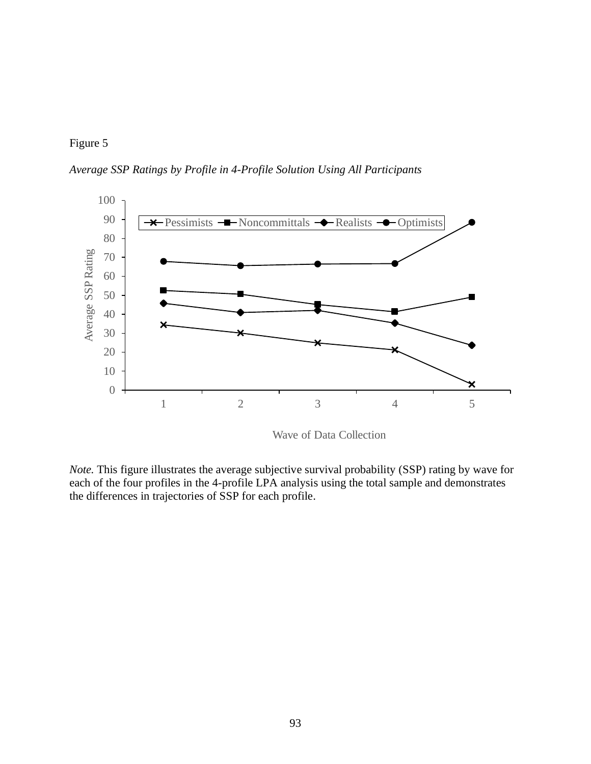

*Average SSP Ratings by Profile in 4-Profile Solution Using All Participants*



Wave of Data Collection

*Note.* This figure illustrates the average subjective survival probability (SSP) rating by wave for each of the four profiles in the 4-profile LPA analysis using the total sample and demonstrates the differences in trajectories of SSP for each profile.